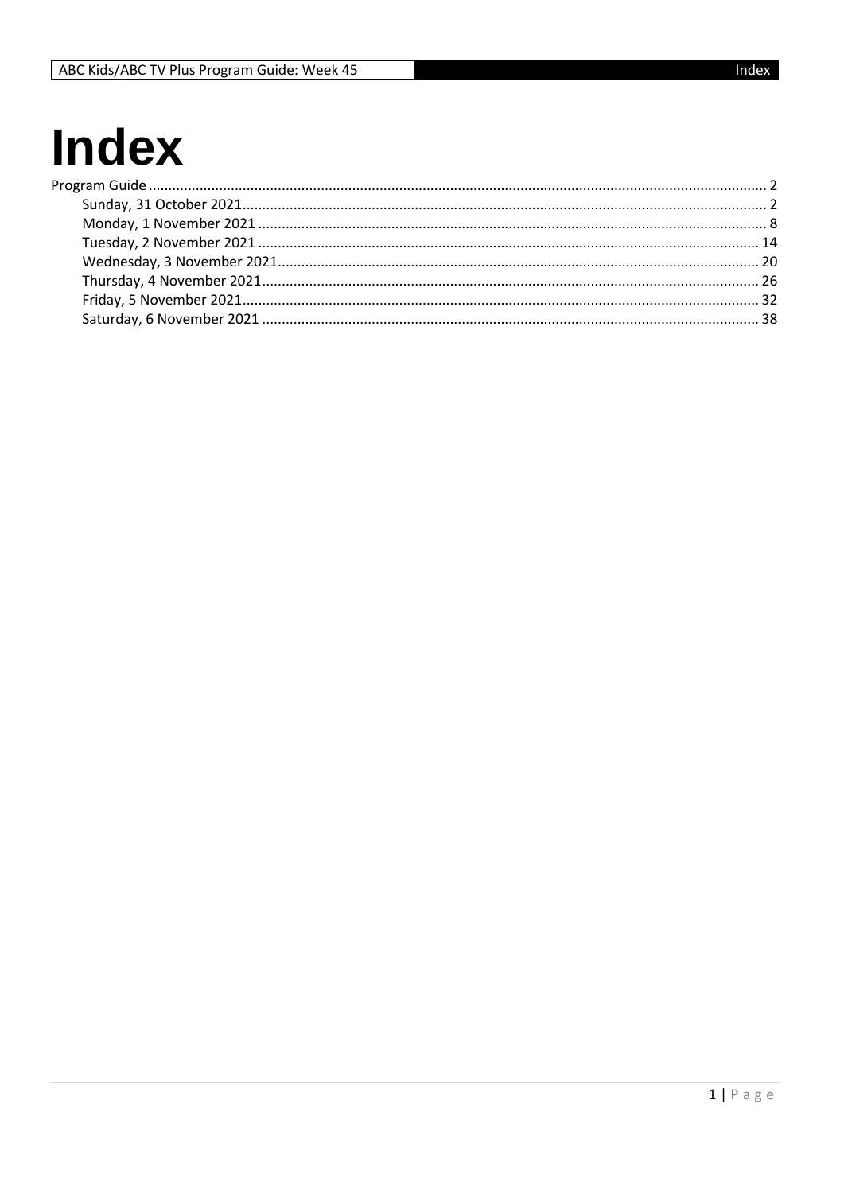# **Index**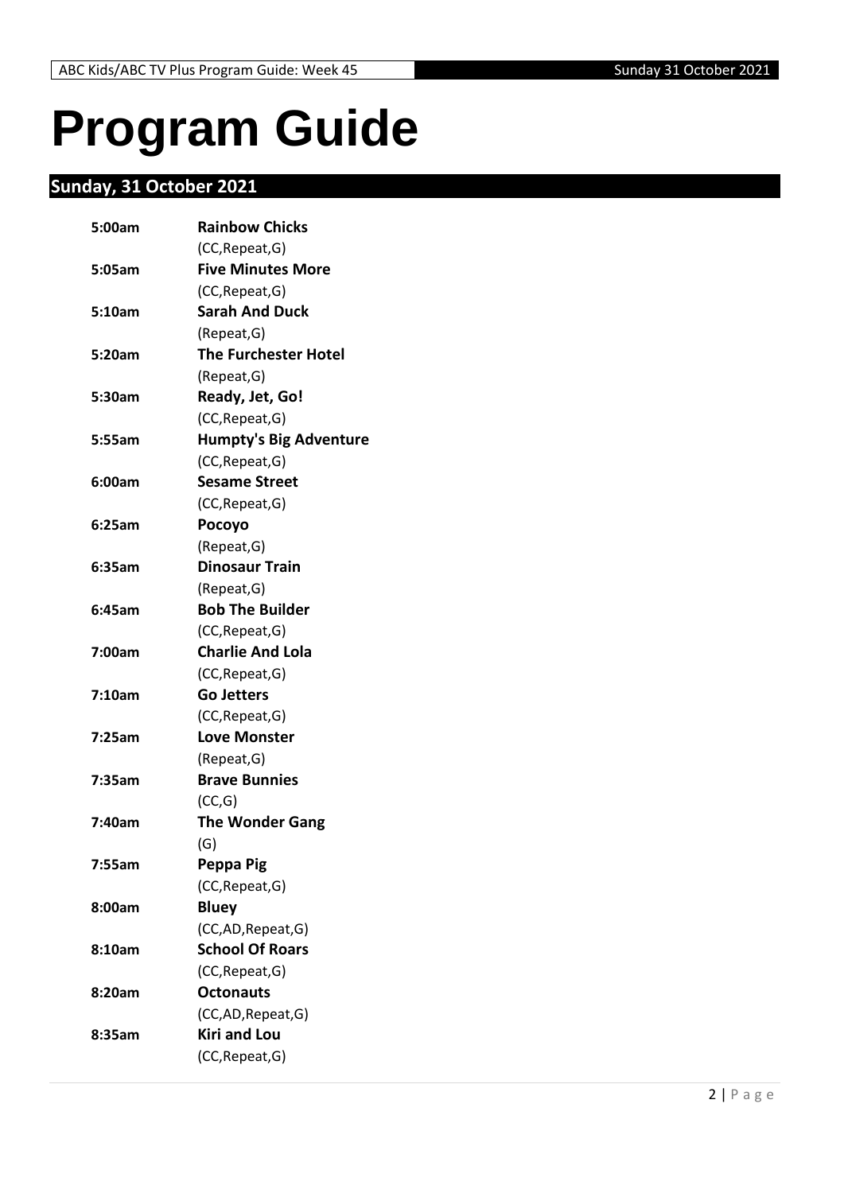## <span id="page-1-0"></span>**Program Guide**

## <span id="page-1-1"></span>**Sunday, 31 October 2021**

| 5:00am | <b>Rainbow Chicks</b>         |
|--------|-------------------------------|
|        | (CC, Repeat, G)               |
| 5:05am | <b>Five Minutes More</b>      |
|        | (CC, Repeat, G)               |
| 5:10am | <b>Sarah And Duck</b>         |
|        | (Repeat,G)                    |
| 5:20am | <b>The Furchester Hotel</b>   |
|        | (Repeat, G)                   |
| 5:30am | Ready, Jet, Go!               |
|        | (CC, Repeat, G)               |
| 5:55am | <b>Humpty's Big Adventure</b> |
|        | (CC, Repeat, G)               |
| 6:00am | <b>Sesame Street</b>          |
|        | (CC, Repeat, G)               |
| 6:25am | Pocoyo                        |
|        | (Repeat, G)                   |
| 6:35am | <b>Dinosaur Train</b>         |
|        | (Repeat, G)                   |
| 6:45am | <b>Bob The Builder</b>        |
|        | (CC, Repeat, G)               |
| 7:00am | <b>Charlie And Lola</b>       |
|        | (CC, Repeat, G)               |
| 7:10am | <b>Go Jetters</b>             |
|        | (CC, Repeat, G)               |
| 7:25am | <b>Love Monster</b>           |
|        | (Repeat, G)                   |
| 7:35am | <b>Brave Bunnies</b>          |
|        | (CC,G)                        |
| 7:40am | <b>The Wonder Gang</b>        |
|        | (G)                           |
| 7:55am | Peppa Pig                     |
|        | (CC, Repeat, G)               |
| 8:00am | <b>Bluey</b>                  |
|        | (CC,AD, Repeat, G)            |
| 8:10am | <b>School Of Roars</b>        |
|        | (CC, Repeat, G)               |
| 8:20am | <b>Octonauts</b>              |
|        | (CC,AD, Repeat, G)            |
| 8:35am | <b>Kiri and Lou</b>           |
|        | (CC, Repeat, G)               |
|        |                               |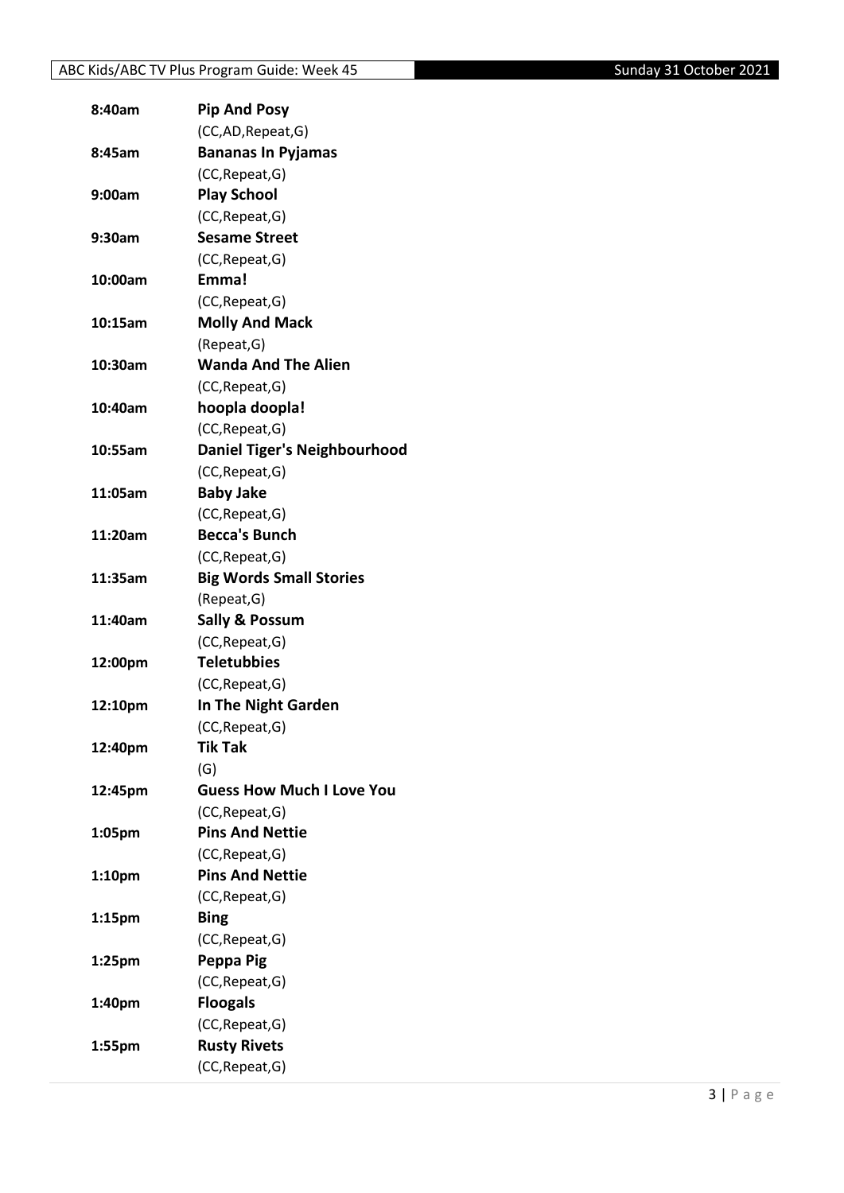| 8:40am  | <b>Pip And Posy</b>                 |
|---------|-------------------------------------|
|         | (CC,AD, Repeat, G)                  |
| 8:45am  | <b>Bananas In Pyjamas</b>           |
|         | (CC, Repeat, G)                     |
| 9:00am  | <b>Play School</b>                  |
|         | (CC, Repeat, G)                     |
| 9:30am  | <b>Sesame Street</b>                |
|         | (CC, Repeat, G)                     |
| 10:00am | Emma!                               |
|         | (CC, Repeat, G)                     |
| 10:15am | <b>Molly And Mack</b>               |
|         | (Repeat, G)                         |
| 10:30am | <b>Wanda And The Alien</b>          |
|         | (CC, Repeat, G)                     |
| 10:40am | hoopla doopla!                      |
|         | (CC, Repeat, G)                     |
| 10:55am | <b>Daniel Tiger's Neighbourhood</b> |
|         | (CC, Repeat, G)                     |
| 11:05am | <b>Baby Jake</b>                    |
|         | (CC, Repeat, G)                     |
| 11:20am | <b>Becca's Bunch</b>                |
|         | (CC, Repeat, G)                     |
| 11:35am | <b>Big Words Small Stories</b>      |
|         | (Repeat, G)                         |
| 11:40am | <b>Sally &amp; Possum</b>           |
|         | (CC, Repeat, G)                     |
| 12:00pm | <b>Teletubbies</b>                  |
|         | (CC, Repeat, G)                     |
| 12:10pm | In The Night Garden                 |
|         | (CC, Repeat, G)                     |
| 12:40pm | Tik Tak                             |
|         | (G)                                 |
| 12:45pm | <b>Guess How Much I Love You</b>    |
|         | (CC, Repeat, G)                     |
| 1:05pm  | <b>Pins And Nettie</b>              |
|         | (CC, Repeat, G)                     |
| 1:10pm  | <b>Pins And Nettie</b>              |
|         | (CC, Repeat, G)                     |
| 1:15pm  | <b>Bing</b>                         |
|         | (CC, Repeat, G)                     |
| 1:25pm  | Peppa Pig                           |
|         | (CC, Repeat, G)                     |
| 1:40pm  | <b>Floogals</b>                     |
|         | (CC, Repeat, G)                     |
| 1:55pm  | <b>Rusty Rivets</b>                 |
|         | (CC, Repeat, G)                     |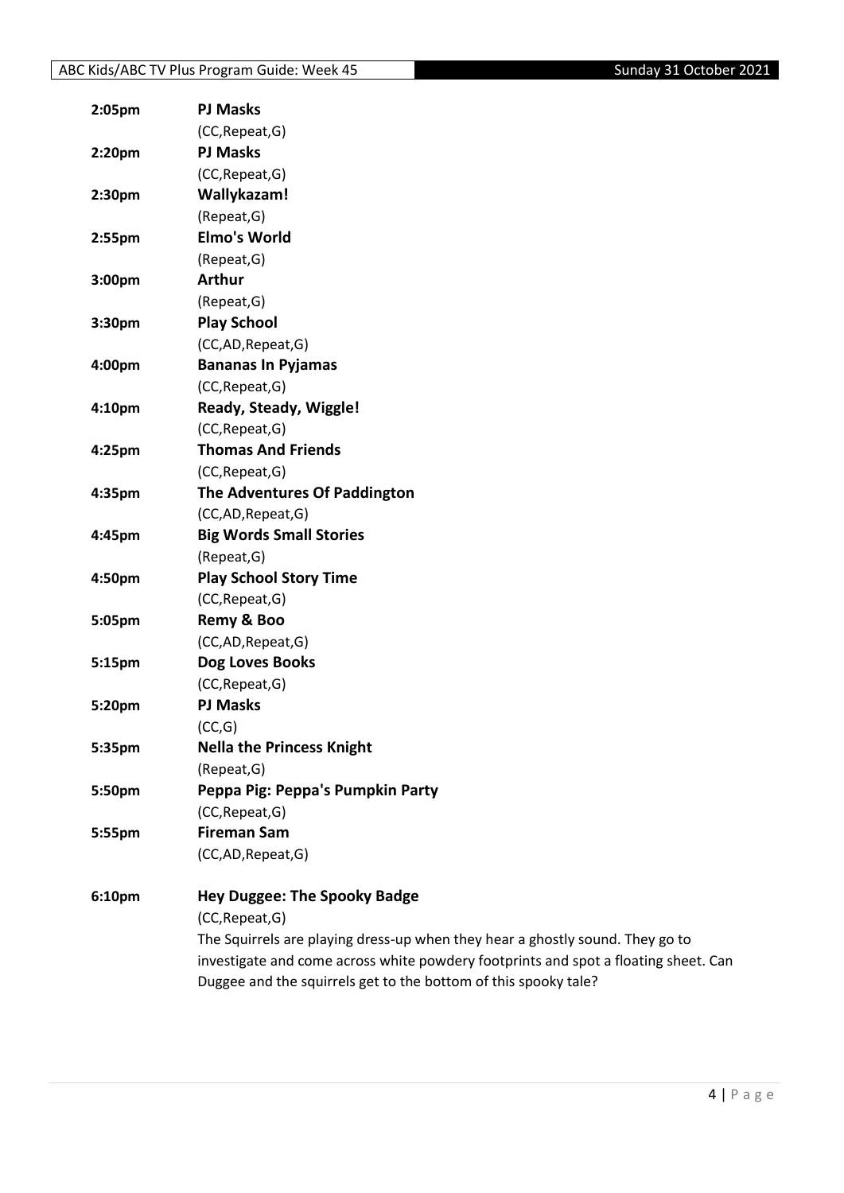| 2:05pm | <b>PJ Masks</b>                                                                     |
|--------|-------------------------------------------------------------------------------------|
|        | (CC, Repeat, G)                                                                     |
| 2:20pm | <b>PJ Masks</b>                                                                     |
|        | (CC, Repeat, G)                                                                     |
| 2:30pm | Wallykazam!                                                                         |
|        | (Repeat, G)                                                                         |
| 2:55pm | <b>Elmo's World</b>                                                                 |
|        | (Repeat, G)                                                                         |
| 3:00pm | <b>Arthur</b>                                                                       |
|        | (Repeat, G)                                                                         |
| 3:30pm | <b>Play School</b>                                                                  |
|        | (CC,AD,Repeat,G)                                                                    |
| 4:00pm | <b>Bananas In Pyjamas</b>                                                           |
|        | (CC, Repeat, G)                                                                     |
| 4:10pm | Ready, Steady, Wiggle!                                                              |
|        | (CC, Repeat, G)                                                                     |
| 4:25pm | <b>Thomas And Friends</b>                                                           |
|        | (CC, Repeat, G)                                                                     |
| 4:35pm | The Adventures Of Paddington                                                        |
|        | (CC,AD,Repeat,G)                                                                    |
| 4:45pm | <b>Big Words Small Stories</b>                                                      |
|        | (Repeat, G)                                                                         |
| 4:50pm | <b>Play School Story Time</b>                                                       |
|        | (CC, Repeat, G)                                                                     |
| 5:05pm | Remy & Boo                                                                          |
|        | (CC,AD,Repeat,G)                                                                    |
| 5:15pm | Dog Loves Books                                                                     |
|        | (CC, Repeat, G)                                                                     |
| 5:20pm | <b>PJ Masks</b>                                                                     |
|        | (CC,G)                                                                              |
| 5:35pm | <b>Nella the Princess Knight</b>                                                    |
|        | (Repeat, G)                                                                         |
| 5:50pm | Peppa Pig: Peppa's Pumpkin Party                                                    |
|        | (CC, Repeat, G)                                                                     |
| 5:55pm | <b>Fireman Sam</b>                                                                  |
|        | (CC,AD,Repeat,G)                                                                    |
| 6:10pm | <b>Hey Duggee: The Spooky Badge</b>                                                 |
|        | (CC, Repeat, G)                                                                     |
|        | The Squirrels are playing dress-up when they hear a ghostly sound. They go to       |
|        | investigate and come across white powdery footprints and spot a floating sheet. Can |

Duggee and the squirrels get to the bottom of this spooky tale?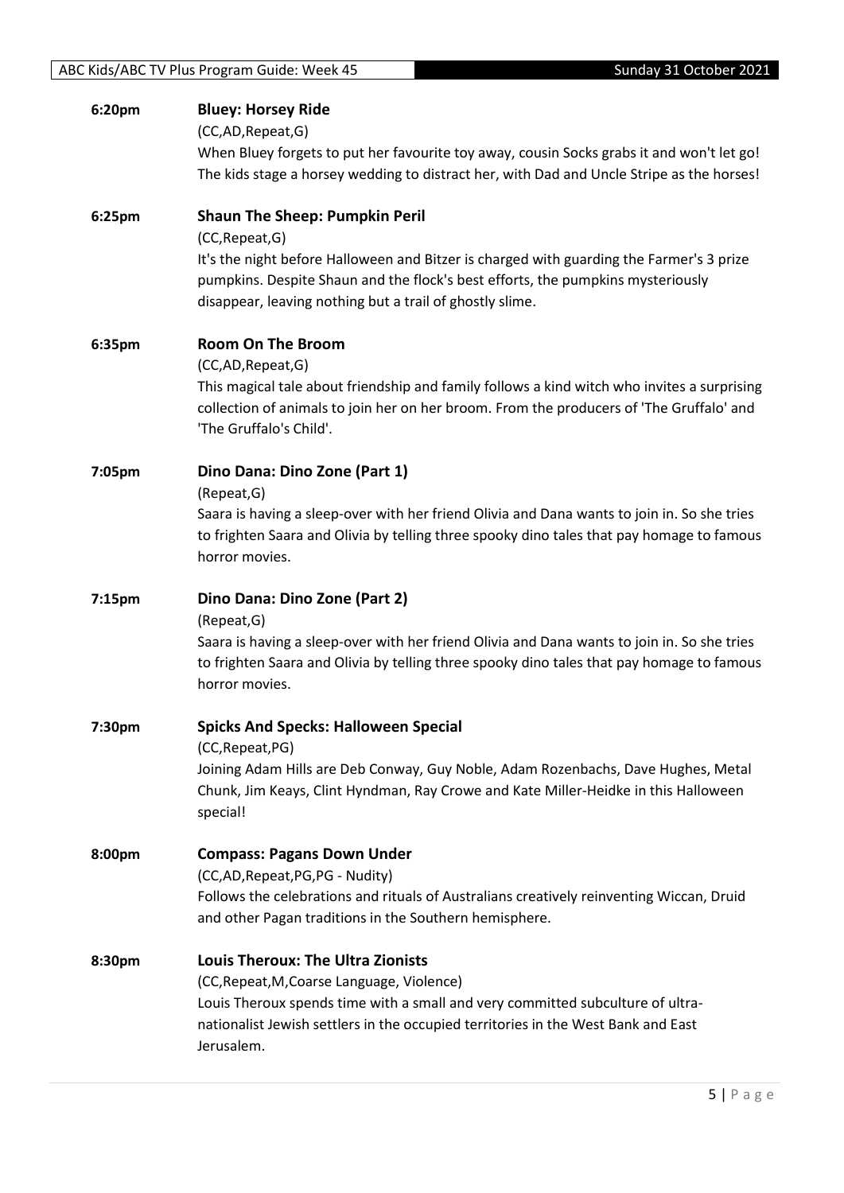| 6:20pm | <b>Bluey: Horsey Ride</b><br>(CC,AD,Repeat,G)<br>When Bluey forgets to put her favourite toy away, cousin Socks grabs it and won't let go!<br>The kids stage a horsey wedding to distract her, with Dad and Uncle Stripe as the horses!                                                             |
|--------|-----------------------------------------------------------------------------------------------------------------------------------------------------------------------------------------------------------------------------------------------------------------------------------------------------|
| 6:25pm | <b>Shaun The Sheep: Pumpkin Peril</b><br>(CC, Repeat, G)<br>It's the night before Halloween and Bitzer is charged with guarding the Farmer's 3 prize<br>pumpkins. Despite Shaun and the flock's best efforts, the pumpkins mysteriously<br>disappear, leaving nothing but a trail of ghostly slime. |
| 6:35pm | <b>Room On The Broom</b><br>(CC,AD, Repeat, G)<br>This magical tale about friendship and family follows a kind witch who invites a surprising<br>collection of animals to join her on her broom. From the producers of 'The Gruffalo' and<br>'The Gruffalo's Child'.                                |
| 7:05pm | Dino Dana: Dino Zone (Part 1)<br>(Repeat, G)<br>Saara is having a sleep-over with her friend Olivia and Dana wants to join in. So she tries<br>to frighten Saara and Olivia by telling three spooky dino tales that pay homage to famous<br>horror movies.                                          |
| 7:15pm | Dino Dana: Dino Zone (Part 2)<br>(Repeat, G)<br>Saara is having a sleep-over with her friend Olivia and Dana wants to join in. So she tries<br>to frighten Saara and Olivia by telling three spooky dino tales that pay homage to famous                                                            |
| 7:30pm | horror movies.<br><b>Spicks And Specks: Halloween Special</b><br>(CC, Repeat, PG)<br>Joining Adam Hills are Deb Conway, Guy Noble, Adam Rozenbachs, Dave Hughes, Metal<br>Chunk, Jim Keays, Clint Hyndman, Ray Crowe and Kate Miller-Heidke in this Halloween<br>special!                           |
| 8:00pm | <b>Compass: Pagans Down Under</b><br>(CC,AD, Repeat, PG, PG - Nudity)<br>Follows the celebrations and rituals of Australians creatively reinventing Wiccan, Druid<br>and other Pagan traditions in the Southern hemisphere.                                                                         |
| 8:30pm | <b>Louis Theroux: The Ultra Zionists</b><br>(CC, Repeat, M, Coarse Language, Violence)<br>Louis Theroux spends time with a small and very committed subculture of ultra-<br>nationalist Jewish settlers in the occupied territories in the West Bank and East<br>Jerusalem.                         |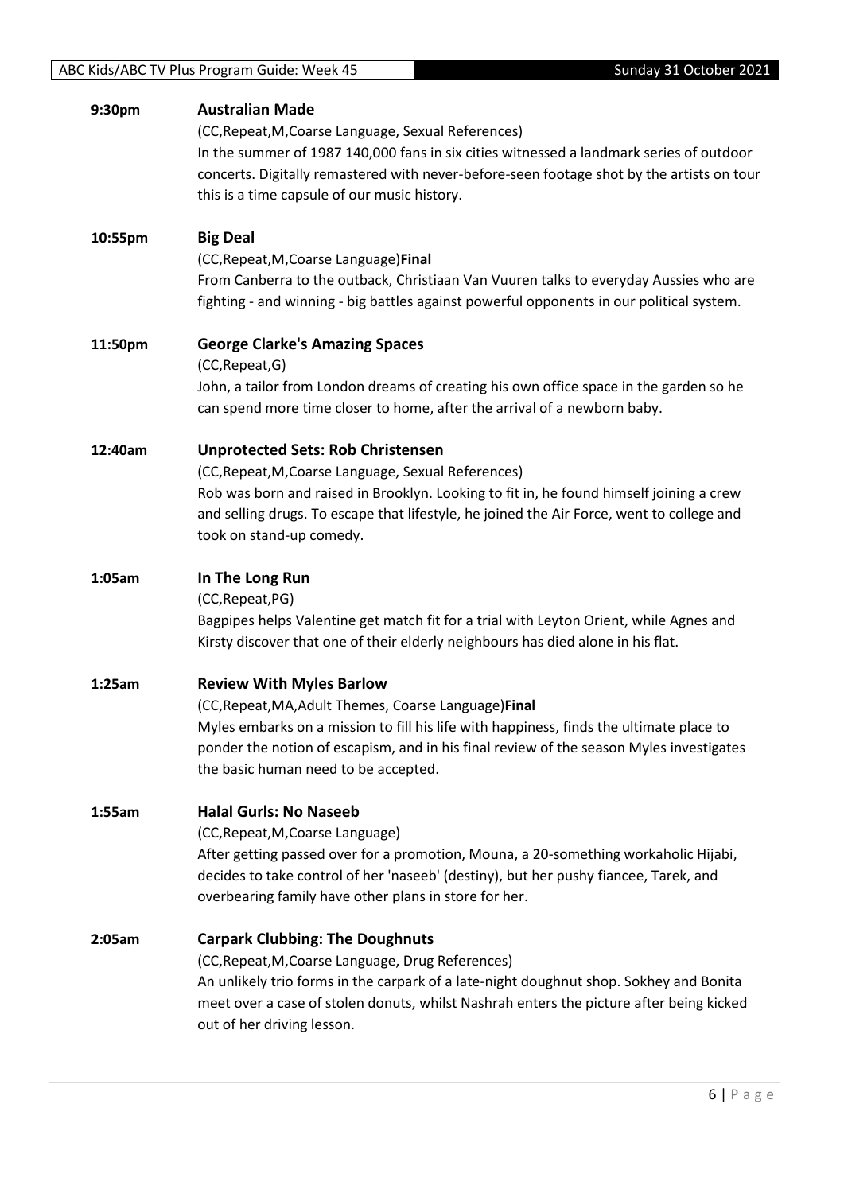| 9:30pm  | <b>Australian Made</b><br>(CC, Repeat, M, Coarse Language, Sexual References)<br>In the summer of 1987 140,000 fans in six cities witnessed a landmark series of outdoor<br>concerts. Digitally remastered with never-before-seen footage shot by the artists on tour<br>this is a time capsule of our music history.  |
|---------|------------------------------------------------------------------------------------------------------------------------------------------------------------------------------------------------------------------------------------------------------------------------------------------------------------------------|
| 10:55pm | <b>Big Deal</b><br>(CC, Repeat, M, Coarse Language) Final<br>From Canberra to the outback, Christiaan Van Vuuren talks to everyday Aussies who are<br>fighting - and winning - big battles against powerful opponents in our political system.                                                                         |
| 11:50pm | <b>George Clarke's Amazing Spaces</b><br>(CC, Repeat, G)<br>John, a tailor from London dreams of creating his own office space in the garden so he<br>can spend more time closer to home, after the arrival of a newborn baby.                                                                                         |
| 12:40am | <b>Unprotected Sets: Rob Christensen</b><br>(CC, Repeat, M, Coarse Language, Sexual References)<br>Rob was born and raised in Brooklyn. Looking to fit in, he found himself joining a crew<br>and selling drugs. To escape that lifestyle, he joined the Air Force, went to college and<br>took on stand-up comedy.    |
| 1:05am  | In The Long Run<br>(CC, Repeat, PG)<br>Bagpipes helps Valentine get match fit for a trial with Leyton Orient, while Agnes and<br>Kirsty discover that one of their elderly neighbours has died alone in his flat.                                                                                                      |
| 1:25am  | <b>Review With Myles Barlow</b><br>(CC, Repeat, MA, Adult Themes, Coarse Language) Final<br>Myles embarks on a mission to fill his life with happiness, finds the ultimate place to<br>ponder the notion of escapism, and in his final review of the season Myles investigates<br>the basic human need to be accepted. |
| 1:55am  | <b>Halal Gurls: No Naseeb</b><br>(CC, Repeat, M, Coarse Language)<br>After getting passed over for a promotion, Mouna, a 20-something workaholic Hijabi,<br>decides to take control of her 'naseeb' (destiny), but her pushy fiancee, Tarek, and<br>overbearing family have other plans in store for her.              |
| 2:05am  | <b>Carpark Clubbing: The Doughnuts</b><br>(CC, Repeat, M, Coarse Language, Drug References)<br>An unlikely trio forms in the carpark of a late-night doughnut shop. Sokhey and Bonita<br>meet over a case of stolen donuts, whilst Nashrah enters the picture after being kicked<br>out of her driving lesson.         |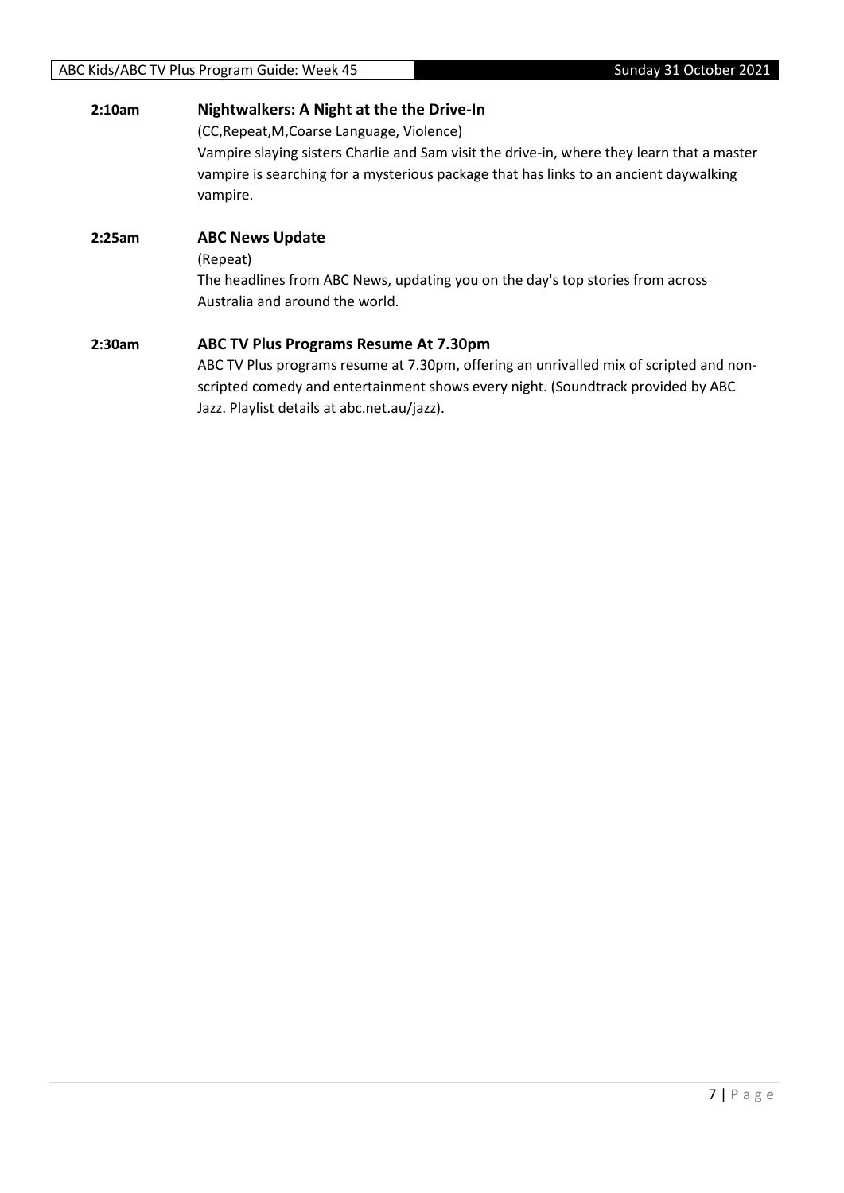| 2:10am | Nightwalkers: A Night at the the Drive-In                                                                                                                                                       |  |
|--------|-------------------------------------------------------------------------------------------------------------------------------------------------------------------------------------------------|--|
|        | (CC, Repeat, M, Coarse Language, Violence)                                                                                                                                                      |  |
|        | Vampire slaying sisters Charlie and Sam visit the drive-in, where they learn that a master<br>vampire is searching for a mysterious package that has links to an ancient daywalking<br>vampire. |  |
| 2:25am | <b>ABC News Update</b>                                                                                                                                                                          |  |
|        | (Repeat)                                                                                                                                                                                        |  |
|        | The headlines from ABC News, updating you on the day's top stories from across                                                                                                                  |  |
|        | Australia and around the world.                                                                                                                                                                 |  |
| 2:30am | ABC TV Plus Programs Resume At 7.30pm                                                                                                                                                           |  |
|        | ABC TV Plus programs resume at 7.30pm, offering an unrivalled mix of scripted and non-                                                                                                          |  |
|        | scripted comedy and entertainment shows every night. (Soundtrack provided by ABC                                                                                                                |  |
|        | Jazz. Playlist details at abc.net.au/jazz).                                                                                                                                                     |  |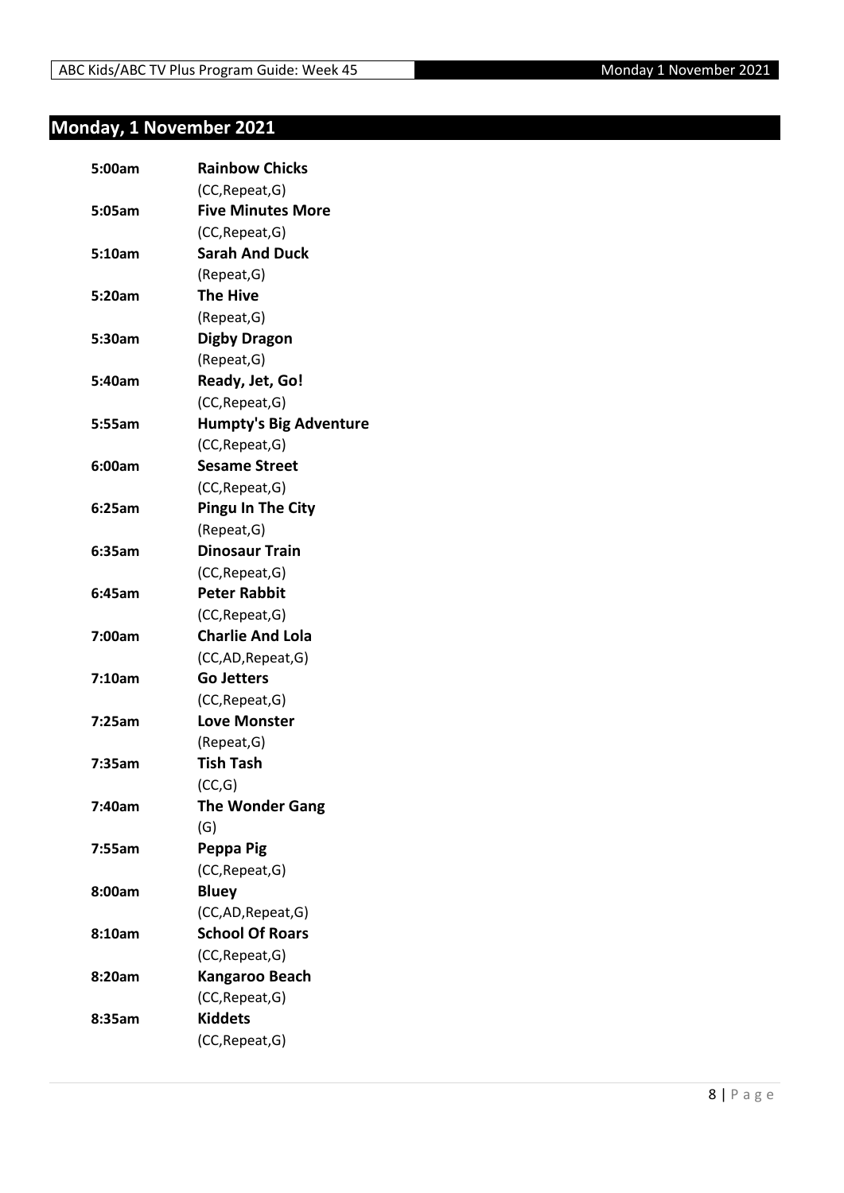## <span id="page-7-0"></span>**Monday, 1 November 2021**

| 5:00am | <b>Rainbow Chicks</b>         |
|--------|-------------------------------|
|        | (CC, Repeat, G)               |
| 5:05am | <b>Five Minutes More</b>      |
|        | (CC, Repeat, G)               |
| 5:10am | <b>Sarah And Duck</b>         |
|        | (Repeat, G)                   |
| 5:20am | <b>The Hive</b>               |
|        | (Repeat, G)                   |
| 5:30am | <b>Digby Dragon</b>           |
|        | (Repeat, G)                   |
| 5:40am | Ready, Jet, Go!               |
|        | (CC, Repeat, G)               |
| 5:55am | <b>Humpty's Big Adventure</b> |
|        | (CC, Repeat, G)               |
| 6:00am | <b>Sesame Street</b>          |
|        | (CC, Repeat, G)               |
| 6:25am | <b>Pingu In The City</b>      |
|        | (Repeat, G)                   |
| 6:35am | <b>Dinosaur Train</b>         |
|        | (CC, Repeat, G)               |
| 6:45am | <b>Peter Rabbit</b>           |
|        | (CC, Repeat, G)               |
| 7:00am | <b>Charlie And Lola</b>       |
|        | (CC,AD, Repeat, G)            |
| 7:10am | <b>Go Jetters</b>             |
|        | (CC, Repeat, G)               |
| 7:25am | <b>Love Monster</b>           |
|        | (Repeat, G)                   |
| 7:35am | <b>Tish Tash</b>              |
|        | (CC, G)                       |
| 7:40am | <b>The Wonder Gang</b>        |
|        | (G)                           |
| 7:55am | Peppa Pig                     |
|        | (CC, Repeat, G)               |
| 8:00am | <b>Bluey</b>                  |
|        | (CC,AD, Repeat, G)            |
| 8:10am | <b>School Of Roars</b>        |
|        | (CC, Repeat, G)               |
| 8:20am | <b>Kangaroo Beach</b>         |
|        | (CC, Repeat, G)               |
| 8:35am | <b>Kiddets</b>                |
|        | (CC, Repeat, G)               |
|        |                               |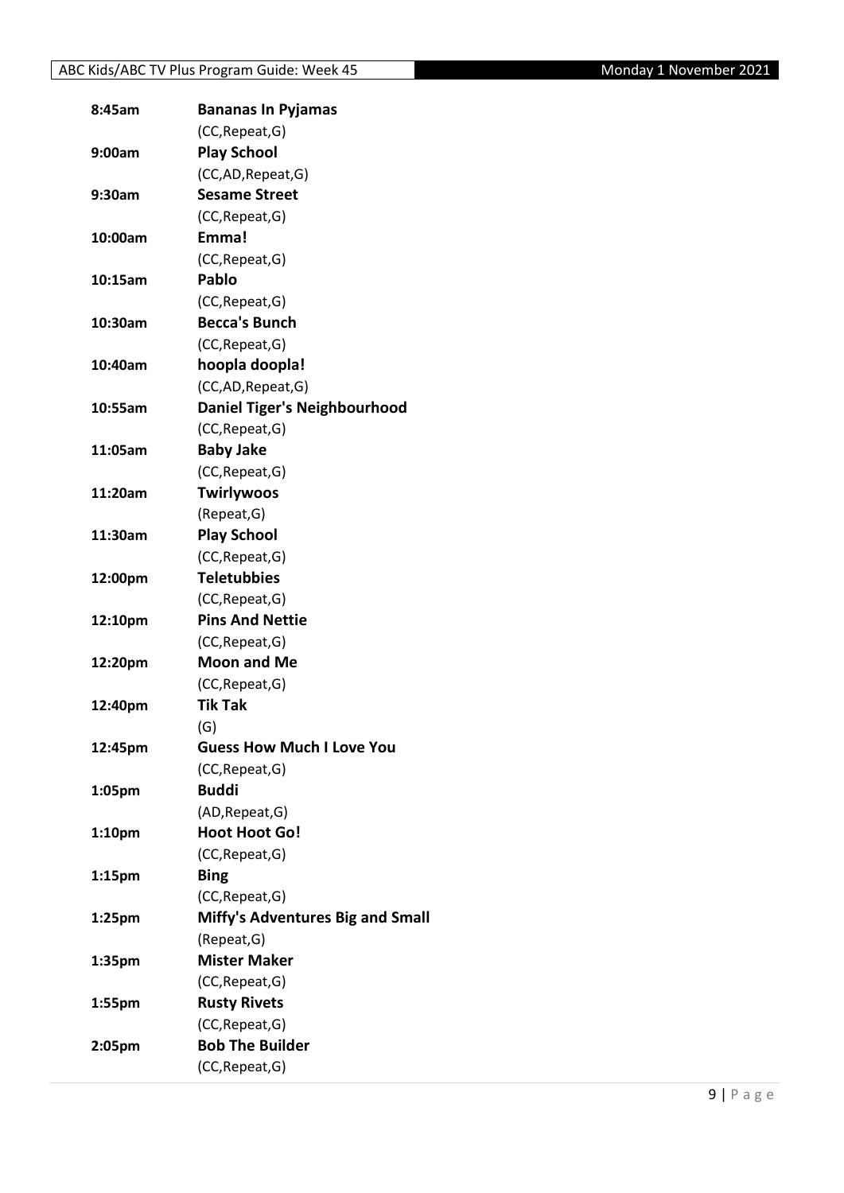| 8:45am             | <b>Bananas In Pyjamas</b>               |
|--------------------|-----------------------------------------|
|                    | (CC, Repeat, G)                         |
| 9:00am             | <b>Play School</b>                      |
|                    | (CC,AD, Repeat, G)                      |
| 9:30am             | <b>Sesame Street</b>                    |
|                    | (CC, Repeat, G)                         |
| 10:00am            | Emma!                                   |
|                    | (CC, Repeat, G)                         |
| 10:15am            | Pablo                                   |
|                    | (CC, Repeat, G)                         |
| 10:30am            | <b>Becca's Bunch</b>                    |
|                    | (CC, Repeat, G)                         |
| 10:40am            | hoopla doopla!                          |
|                    | (CC,AD, Repeat, G)                      |
| 10:55am            | <b>Daniel Tiger's Neighbourhood</b>     |
|                    | (CC, Repeat, G)                         |
| 11:05am            | <b>Baby Jake</b>                        |
|                    | (CC, Repeat, G)                         |
| 11:20am            | <b>Twirlywoos</b>                       |
|                    | (Repeat, G)                             |
| 11:30am            | <b>Play School</b>                      |
|                    | (CC, Repeat, G)                         |
| 12:00pm            | <b>Teletubbies</b>                      |
|                    | (CC, Repeat, G)                         |
| 12:10pm            | <b>Pins And Nettie</b>                  |
|                    | (CC, Repeat, G)                         |
| 12:20pm            | <b>Moon and Me</b>                      |
|                    | (CC, Repeat, G)                         |
| 12:40pm            | <b>Tik Tak</b>                          |
|                    | (G)                                     |
| 12:45pm            | <b>Guess How Much I Love You</b>        |
|                    | (CC, Repeat, G)                         |
| 1:05pm             | <b>Buddi</b>                            |
|                    | (AD, Repeat, G)                         |
| 1:10 <sub>pm</sub> | <b>Hoot Hoot Go!</b>                    |
|                    | (CC, Repeat, G)                         |
| 1:15 <sub>pm</sub> | <b>Bing</b>                             |
|                    | (CC, Repeat, G)                         |
| 1:25 <sub>pm</sub> | <b>Miffy's Adventures Big and Small</b> |
|                    | (Repeat, G)                             |
| 1:35pm             | <b>Mister Maker</b>                     |
|                    | (CC, Repeat, G)                         |
| 1:55pm             | <b>Rusty Rivets</b>                     |
|                    | (CC, Repeat, G)                         |
| 2:05pm             | <b>Bob The Builder</b>                  |
|                    | (CC, Repeat, G)                         |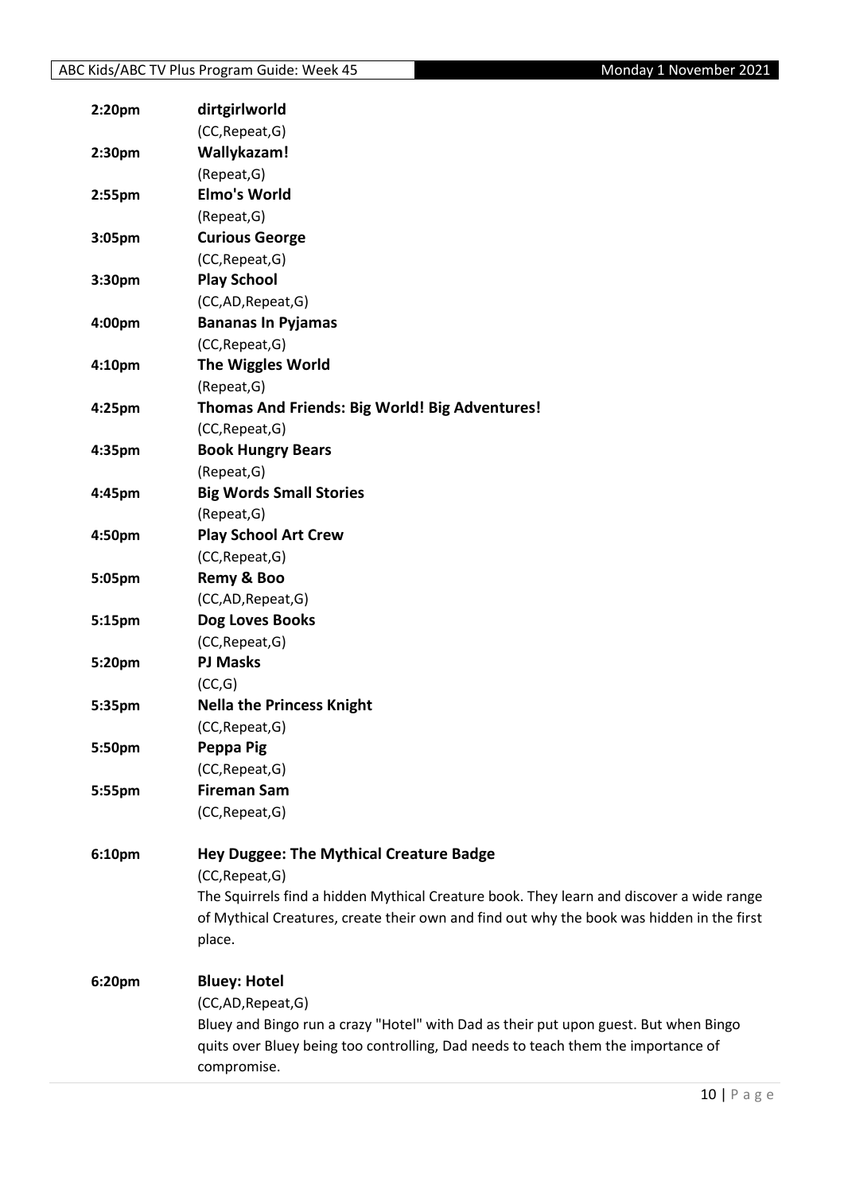| 2:20pm | dirtgirlworld                                                                             |
|--------|-------------------------------------------------------------------------------------------|
|        | (CC, Repeat, G)                                                                           |
| 2:30pm | Wallykazam!                                                                               |
|        | (Repeat, G)                                                                               |
| 2:55pm | <b>Elmo's World</b>                                                                       |
|        | (Repeat, G)                                                                               |
| 3:05pm | <b>Curious George</b>                                                                     |
|        | (CC, Repeat, G)                                                                           |
| 3:30pm | <b>Play School</b>                                                                        |
|        | (CC,AD,Repeat,G)                                                                          |
| 4:00pm | <b>Bananas In Pyjamas</b>                                                                 |
|        | (CC, Repeat, G)                                                                           |
| 4:10pm | <b>The Wiggles World</b>                                                                  |
|        | (Repeat, G)                                                                               |
| 4:25pm | Thomas And Friends: Big World! Big Adventures!                                            |
|        | (CC, Repeat, G)                                                                           |
| 4:35pm | <b>Book Hungry Bears</b>                                                                  |
|        | (Repeat, G)                                                                               |
| 4:45pm | <b>Big Words Small Stories</b>                                                            |
|        | (Repeat, G)                                                                               |
| 4:50pm | <b>Play School Art Crew</b>                                                               |
|        | (CC, Repeat, G)                                                                           |
| 5:05pm | Remy & Boo                                                                                |
|        | (CC,AD,Repeat,G)                                                                          |
| 5:15pm | Dog Loves Books                                                                           |
|        | (CC, Repeat, G)                                                                           |
| 5:20pm | <b>PJ Masks</b>                                                                           |
|        | (CC,G)                                                                                    |
| 5:35pm | <b>Nella the Princess Knight</b>                                                          |
|        | (CC, Repeat, G)                                                                           |
| 5:50pm | Peppa Pig                                                                                 |
|        | (CC, Repeat, G)                                                                           |
| 5:55pm | <b>Fireman Sam</b>                                                                        |
|        | (CC, Repeat, G)                                                                           |
|        |                                                                                           |
| 6:10pm | <b>Hey Duggee: The Mythical Creature Badge</b>                                            |
|        | (CC, Repeat, G)                                                                           |
|        | The Squirrels find a hidden Mythical Creature book. They learn and discover a wide range  |
|        | of Mythical Creatures, create their own and find out why the book was hidden in the first |
|        | place.                                                                                    |
| 6:20pm | <b>Bluey: Hotel</b>                                                                       |
|        | (CC,AD,Repeat,G)                                                                          |
|        | Bluey and Bingo run a crazy "Hotel" with Dad as their put upon guest. But when Bingo      |
|        | quits over Bluey being too controlling, Dad needs to teach them the importance of         |
|        | compromise.                                                                               |
|        |                                                                                           |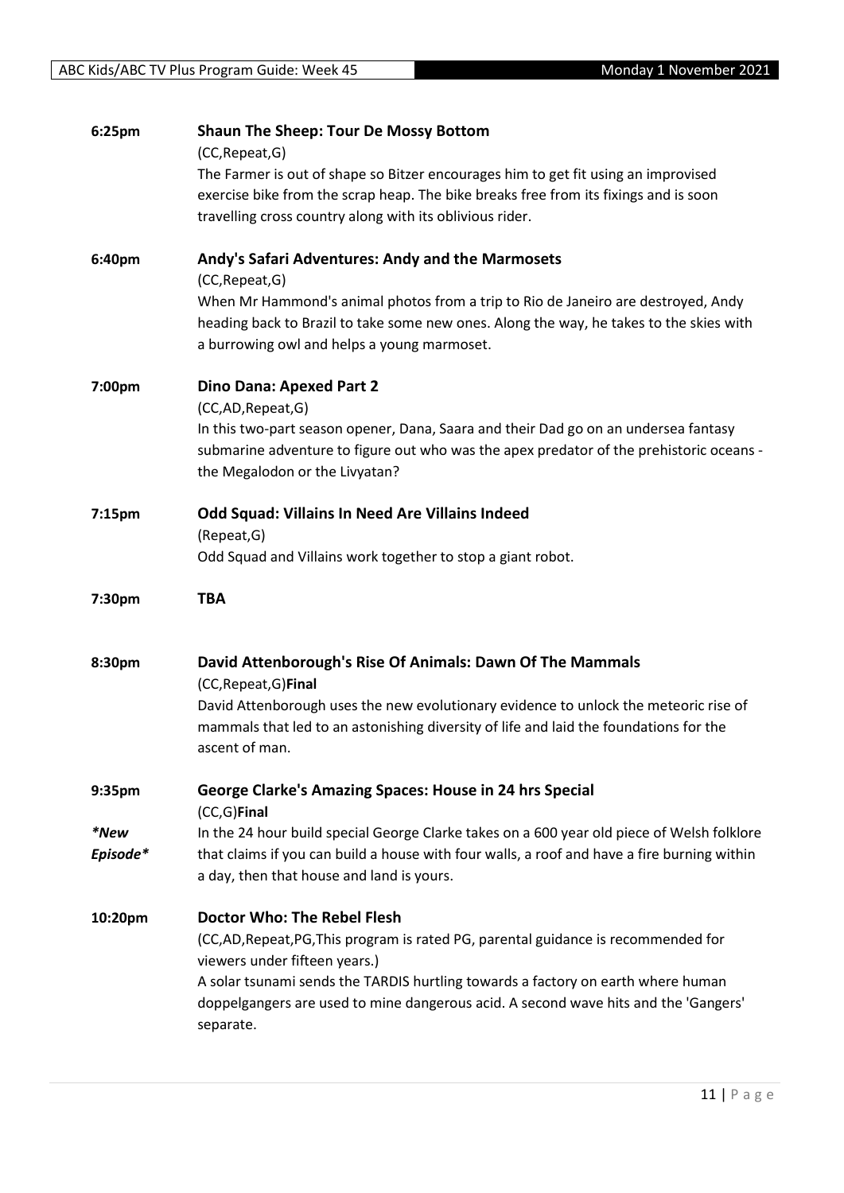| 6:25pm   | <b>Shaun The Sheep: Tour De Mossy Bottom</b><br>(CC, Repeat, G)                                  |
|----------|--------------------------------------------------------------------------------------------------|
|          | The Farmer is out of shape so Bitzer encourages him to get fit using an improvised               |
|          | exercise bike from the scrap heap. The bike breaks free from its fixings and is soon             |
|          | travelling cross country along with its oblivious rider.                                         |
| 6:40pm   | Andy's Safari Adventures: Andy and the Marmosets                                                 |
|          | (CC, Repeat, G)                                                                                  |
|          | When Mr Hammond's animal photos from a trip to Rio de Janeiro are destroyed, Andy                |
|          | heading back to Brazil to take some new ones. Along the way, he takes to the skies with          |
|          | a burrowing owl and helps a young marmoset.                                                      |
| 7:00pm   | <b>Dino Dana: Apexed Part 2</b>                                                                  |
|          | (CC,AD,Repeat,G)                                                                                 |
|          | In this two-part season opener, Dana, Saara and their Dad go on an undersea fantasy              |
|          | submarine adventure to figure out who was the apex predator of the prehistoric oceans -          |
|          | the Megalodon or the Livyatan?                                                                   |
| 7:15pm   | Odd Squad: Villains In Need Are Villains Indeed                                                  |
|          | (Repeat, G)                                                                                      |
|          | Odd Squad and Villains work together to stop a giant robot.                                      |
|          |                                                                                                  |
| 7:30pm   | <b>TBA</b>                                                                                       |
|          |                                                                                                  |
| 8:30pm   | David Attenborough's Rise Of Animals: Dawn Of The Mammals<br>(CC, Repeat, G) Final               |
|          | David Attenborough uses the new evolutionary evidence to unlock the meteoric rise of             |
|          | mammals that led to an astonishing diversity of life and laid the foundations for the            |
|          | ascent of man.                                                                                   |
| 9:35pm   | George Clarke's Amazing Spaces: House in 24 hrs Special                                          |
|          | $(CC, G)$ Final                                                                                  |
| *New     | In the 24 hour build special George Clarke takes on a 600 year old piece of Welsh folklore       |
| Episode* | that claims if you can build a house with four walls, a roof and have a fire burning within      |
|          | a day, then that house and land is yours.                                                        |
| 10:20pm  | Doctor Who: The Rebel Flesh                                                                      |
|          | (CC,AD, Repeat, PG, This program is rated PG, parental guidance is recommended for               |
|          | viewers under fifteen years.)                                                                    |
|          | A solar tsunami sends the TARDIS hurtling towards a factory on earth where human                 |
|          | doppelgangers are used to mine dangerous acid. A second wave hits and the 'Gangers'<br>separate. |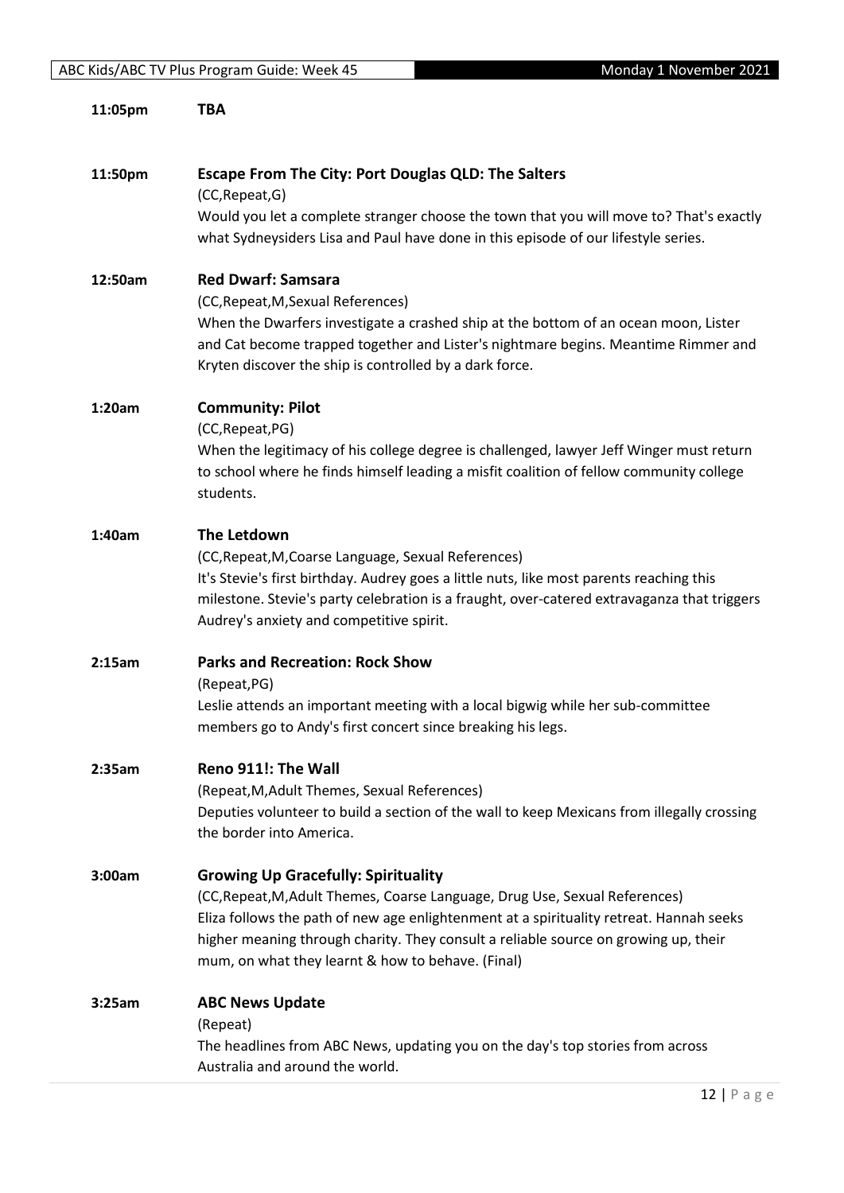| 11:05pm | TBA                                                                                                                                                                                                                                                                                                                |
|---------|--------------------------------------------------------------------------------------------------------------------------------------------------------------------------------------------------------------------------------------------------------------------------------------------------------------------|
| 11:50pm | <b>Escape From The City: Port Douglas QLD: The Salters</b><br>(CC, Repeat, G)<br>Would you let a complete stranger choose the town that you will move to? That's exactly                                                                                                                                           |
|         | what Sydneysiders Lisa and Paul have done in this episode of our lifestyle series.                                                                                                                                                                                                                                 |
| 12:50am | <b>Red Dwarf: Samsara</b><br>(CC, Repeat, M, Sexual References)                                                                                                                                                                                                                                                    |
|         | When the Dwarfers investigate a crashed ship at the bottom of an ocean moon, Lister<br>and Cat become trapped together and Lister's nightmare begins. Meantime Rimmer and<br>Kryten discover the ship is controlled by a dark force.                                                                               |
| 1:20am  | <b>Community: Pilot</b>                                                                                                                                                                                                                                                                                            |
|         | (CC, Repeat, PG)<br>When the legitimacy of his college degree is challenged, lawyer Jeff Winger must return<br>to school where he finds himself leading a misfit coalition of fellow community college<br>students.                                                                                                |
| 1:40am  | The Letdown                                                                                                                                                                                                                                                                                                        |
|         | (CC, Repeat, M, Coarse Language, Sexual References)<br>It's Stevie's first birthday. Audrey goes a little nuts, like most parents reaching this<br>milestone. Stevie's party celebration is a fraught, over-catered extravaganza that triggers<br>Audrey's anxiety and competitive spirit.                         |
| 2:15am  | <b>Parks and Recreation: Rock Show</b><br>(Repeat, PG)                                                                                                                                                                                                                                                             |
|         | Leslie attends an important meeting with a local bigwig while her sub-committee<br>members go to Andy's first concert since breaking his legs.                                                                                                                                                                     |
| 2:35am  | Reno 911!: The Wall                                                                                                                                                                                                                                                                                                |
|         | (Repeat, M, Adult Themes, Sexual References)<br>Deputies volunteer to build a section of the wall to keep Mexicans from illegally crossing<br>the border into America.                                                                                                                                             |
| 3:00am  | <b>Growing Up Gracefully: Spirituality</b>                                                                                                                                                                                                                                                                         |
|         | (CC, Repeat, M, Adult Themes, Coarse Language, Drug Use, Sexual References)<br>Eliza follows the path of new age enlightenment at a spirituality retreat. Hannah seeks<br>higher meaning through charity. They consult a reliable source on growing up, their<br>mum, on what they learnt & how to behave. (Final) |
| 3:25am  | <b>ABC News Update</b>                                                                                                                                                                                                                                                                                             |
|         | (Repeat)                                                                                                                                                                                                                                                                                                           |
|         | The headlines from ABC News, updating you on the day's top stories from across<br>Australia and around the world.                                                                                                                                                                                                  |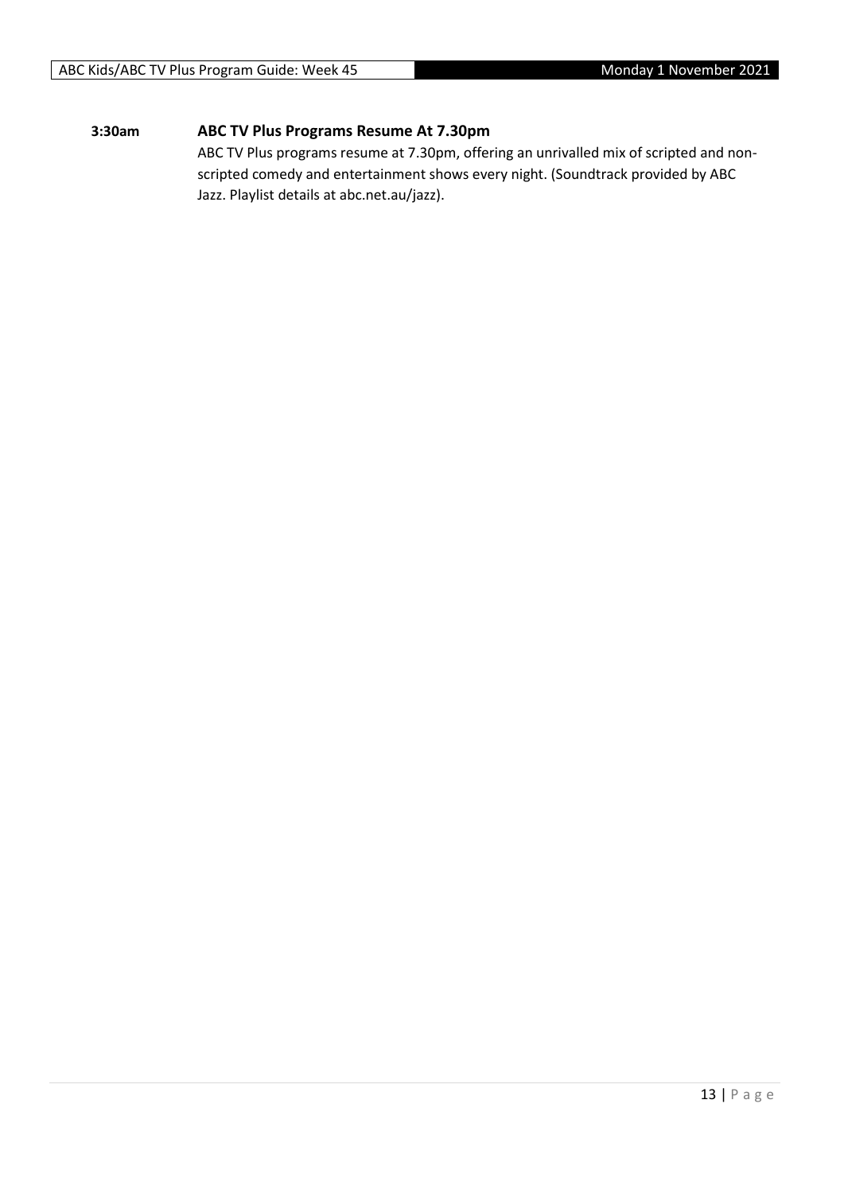#### **3:30am ABC TV Plus Programs Resume At 7.30pm**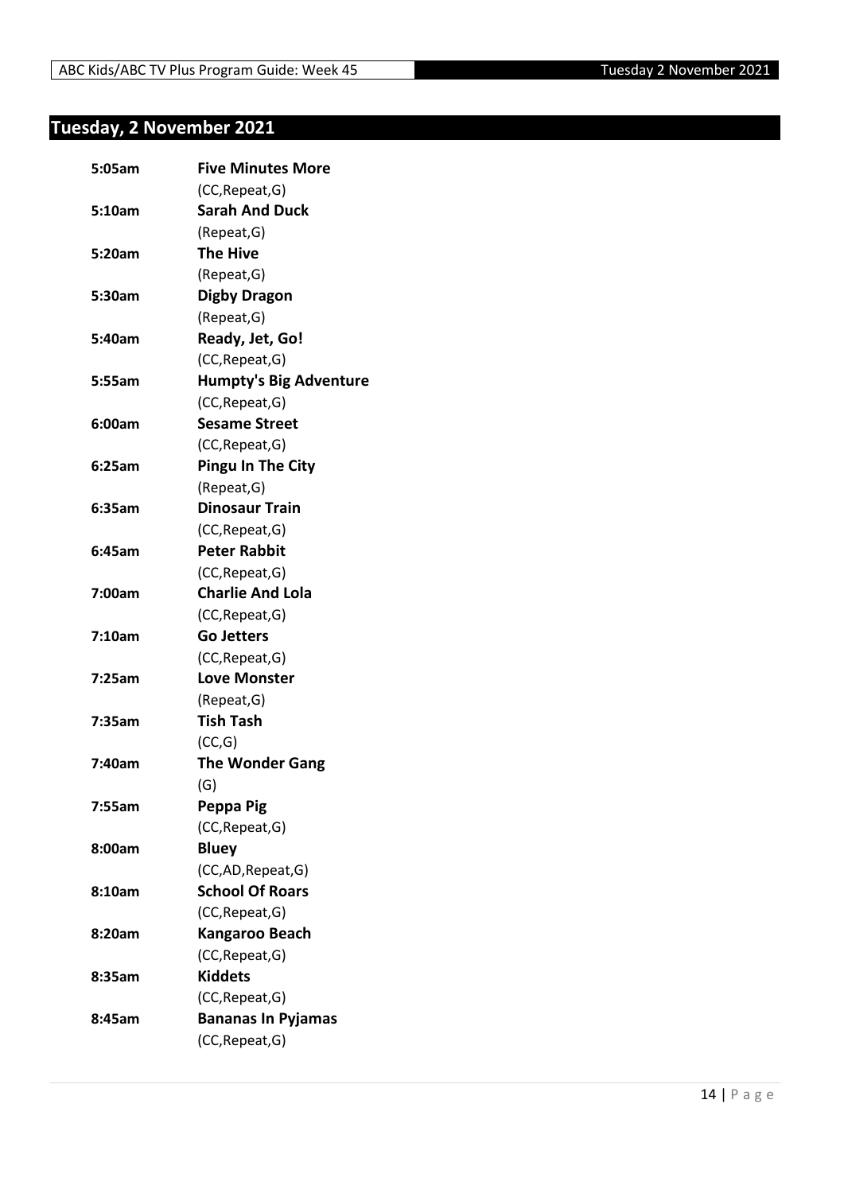## <span id="page-13-0"></span>**Tuesday, 2 November 2021**

| 5:05am | <b>Five Minutes More</b>      |
|--------|-------------------------------|
|        | (CC, Repeat, G)               |
| 5:10am | <b>Sarah And Duck</b>         |
|        | (Repeat, G)                   |
| 5:20am | <b>The Hive</b>               |
|        | (Repeat, G)                   |
| 5:30am | <b>Digby Dragon</b>           |
|        | (Repeat, G)                   |
| 5:40am | Ready, Jet, Go!               |
|        | (CC, Repeat, G)               |
| 5:55am | <b>Humpty's Big Adventure</b> |
|        | (CC, Repeat, G)               |
| 6:00am | <b>Sesame Street</b>          |
|        | (CC, Repeat, G)               |
| 6:25am | <b>Pingu In The City</b>      |
|        | (Repeat, G)                   |
| 6:35am | <b>Dinosaur Train</b>         |
|        | (CC, Repeat, G)               |
| 6:45am | <b>Peter Rabbit</b>           |
|        | (CC, Repeat, G)               |
| 7:00am | <b>Charlie And Lola</b>       |
|        | (CC, Repeat, G)               |
| 7:10am | <b>Go Jetters</b>             |
|        | (CC, Repeat, G)               |
| 7:25am | <b>Love Monster</b>           |
|        | (Repeat, G)                   |
| 7:35am | <b>Tish Tash</b>              |
|        | (CC,G)                        |
| 7:40am | <b>The Wonder Gang</b>        |
|        | (G)                           |
| 7:55am | Peppa Pig                     |
|        | (CC, Repeat, G)               |
| 8:00am | <b>Bluey</b>                  |
|        | (CC,AD, Repeat, G)            |
| 8:10am | <b>School Of Roars</b>        |
|        | (CC, Repeat, G)               |
| 8:20am | <b>Kangaroo Beach</b>         |
|        | (CC, Repeat, G)               |
| 8:35am | <b>Kiddets</b>                |
|        | (CC, Repeat, G)               |
| 8:45am | <b>Bananas In Pyjamas</b>     |
|        | (CC, Repeat, G)               |
|        |                               |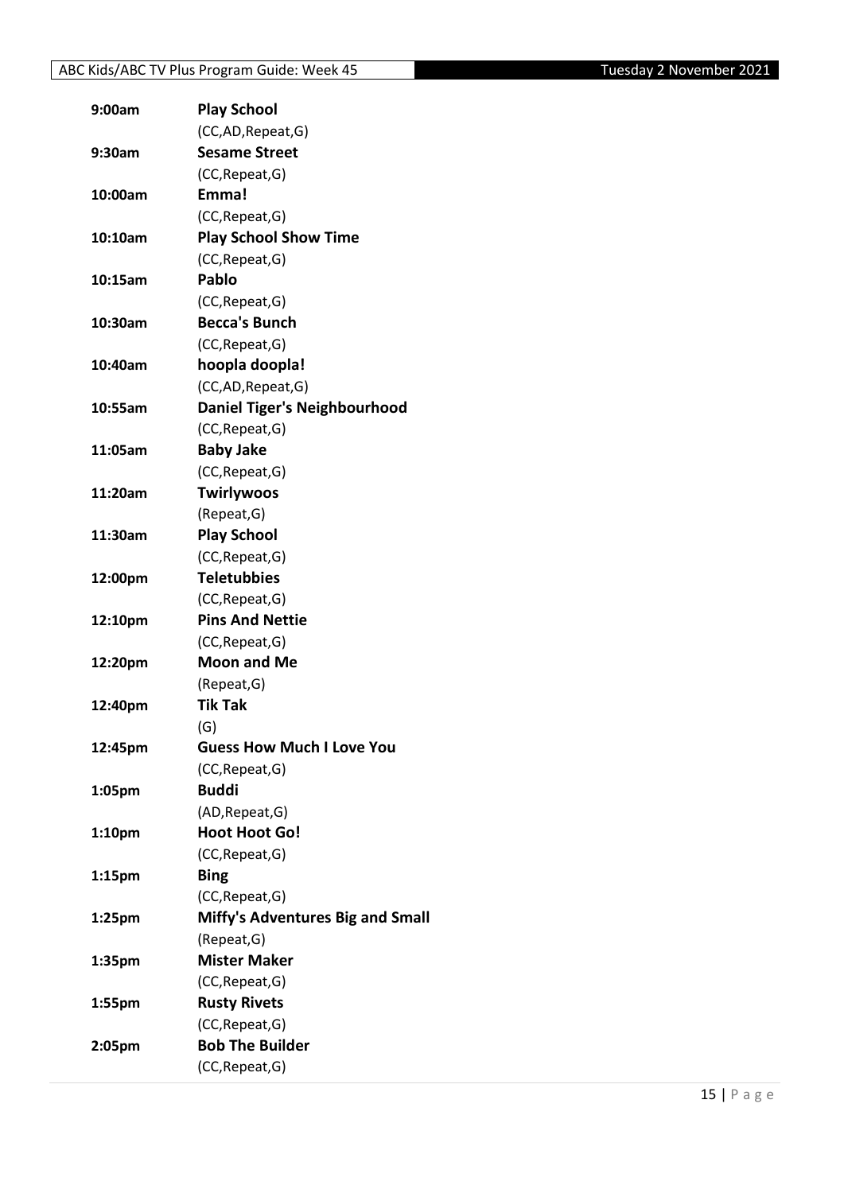| 9:00am             | <b>Play School</b>                      |
|--------------------|-----------------------------------------|
|                    | (CC,AD, Repeat, G)                      |
| 9:30am             | <b>Sesame Street</b>                    |
|                    | (CC, Repeat, G)                         |
| 10:00am            | Emma!                                   |
|                    | (CC, Repeat, G)                         |
| 10:10am            | <b>Play School Show Time</b>            |
|                    | (CC, Repeat, G)                         |
| 10:15am            | Pablo                                   |
|                    | (CC, Repeat, G)                         |
| 10:30am            | <b>Becca's Bunch</b>                    |
|                    | (CC, Repeat, G)                         |
| 10:40am            | hoopla doopla!                          |
|                    | (CC,AD, Repeat, G)                      |
| 10:55am            | <b>Daniel Tiger's Neighbourhood</b>     |
|                    | (CC, Repeat, G)                         |
| 11:05am            | <b>Baby Jake</b>                        |
|                    | (CC, Repeat, G)                         |
| 11:20am            | <b>Twirlywoos</b>                       |
|                    | (Repeat, G)                             |
| 11:30am            | <b>Play School</b>                      |
|                    | (CC, Repeat, G)                         |
| 12:00pm            | <b>Teletubbies</b>                      |
|                    | (CC, Repeat, G)                         |
| 12:10pm            | <b>Pins And Nettie</b>                  |
|                    | (CC, Repeat, G)                         |
| 12:20pm            | <b>Moon and Me</b>                      |
|                    | (Repeat, G)                             |
| 12:40pm            | <b>Tik Tak</b>                          |
|                    | (G)                                     |
| 12:45pm            | <b>Guess How Much I Love You</b>        |
|                    | (CC, Repeat, G)                         |
| 1:05pm             | <b>Buddi</b>                            |
|                    | (AD, Repeat, G)                         |
| 1:10 <sub>pm</sub> | <b>Hoot Hoot Go!</b>                    |
|                    | (CC, Repeat, G)                         |
| 1:15 <sub>pm</sub> | <b>Bing</b>                             |
|                    | (CC, Repeat, G)                         |
| 1:25pm             | <b>Miffy's Adventures Big and Small</b> |
|                    | (Repeat, G)                             |
| 1:35pm             | <b>Mister Maker</b>                     |
|                    | (CC, Repeat, G)                         |
| 1:55pm             | <b>Rusty Rivets</b>                     |
|                    | (CC, Repeat, G)                         |
| 2:05pm             | <b>Bob The Builder</b>                  |
|                    | (CC, Repeat, G)                         |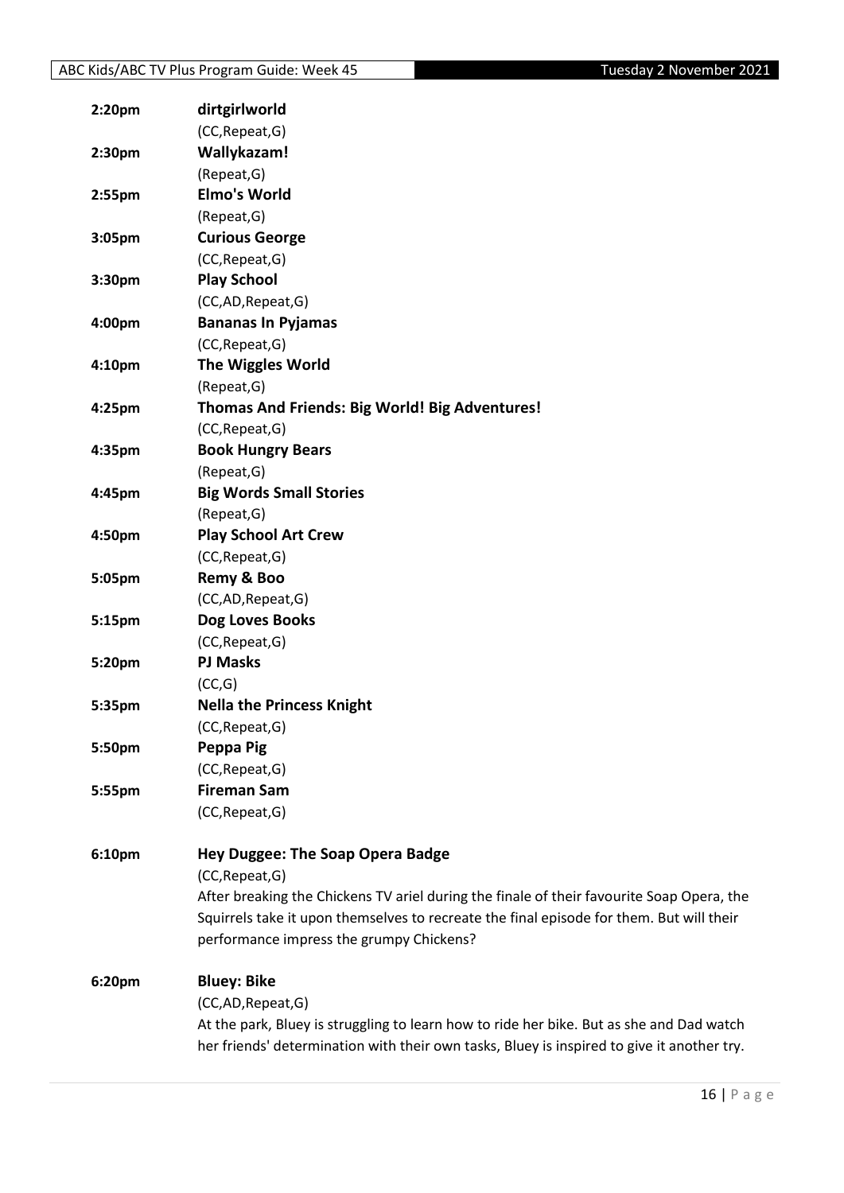| 2:20pm             | dirtgirlworld                                                                              |
|--------------------|--------------------------------------------------------------------------------------------|
|                    | (CC, Repeat, G)                                                                            |
| 2:30pm             | Wallykazam!                                                                                |
|                    | (Repeat, G)                                                                                |
| 2:55 <sub>pm</sub> | <b>Elmo's World</b>                                                                        |
|                    | (Repeat, G)                                                                                |
| 3:05pm             | <b>Curious George</b>                                                                      |
|                    | (CC, Repeat, G)                                                                            |
| 3:30pm             | <b>Play School</b>                                                                         |
|                    | (CC,AD,Repeat,G)                                                                           |
| 4:00pm             | <b>Bananas In Pyjamas</b>                                                                  |
|                    | (CC, Repeat, G)                                                                            |
| 4:10pm             | <b>The Wiggles World</b>                                                                   |
|                    | (Repeat, G)                                                                                |
| 4:25pm             | Thomas And Friends: Big World! Big Adventures!                                             |
|                    | (CC, Repeat, G)                                                                            |
| 4:35pm             | <b>Book Hungry Bears</b>                                                                   |
|                    | (Repeat, G)                                                                                |
| 4:45pm             | <b>Big Words Small Stories</b>                                                             |
|                    | (Repeat, G)                                                                                |
| 4:50pm             | <b>Play School Art Crew</b>                                                                |
|                    | (CC, Repeat, G)                                                                            |
| 5:05pm             | Remy & Boo                                                                                 |
|                    | (CC,AD,Repeat,G)                                                                           |
| 5:15pm             | Dog Loves Books                                                                            |
|                    | (CC, Repeat, G)                                                                            |
| 5:20pm             | <b>PJ Masks</b>                                                                            |
|                    | (CC,G)                                                                                     |
| 5:35pm             | <b>Nella the Princess Knight</b>                                                           |
|                    | (CC, Repeat, G)                                                                            |
| 5:50pm             | Peppa Pig                                                                                  |
|                    | (CC, Repeat, G)                                                                            |
| 5:55pm             | <b>Fireman Sam</b>                                                                         |
|                    | (CC, Repeat, G)                                                                            |
| 6:10pm             | Hey Duggee: The Soap Opera Badge                                                           |
|                    | (CC, Repeat, G)                                                                            |
|                    | After breaking the Chickens TV ariel during the finale of their favourite Soap Opera, the  |
|                    | Squirrels take it upon themselves to recreate the final episode for them. But will their   |
|                    | performance impress the grumpy Chickens?                                                   |
|                    |                                                                                            |
| 6:20pm             | <b>Bluey: Bike</b>                                                                         |
|                    | (CC,AD,Repeat,G)                                                                           |
|                    | At the park, Bluey is struggling to learn how to ride her bike. But as she and Dad watch   |
|                    | her friends' determination with their own tasks, Bluey is inspired to give it another try. |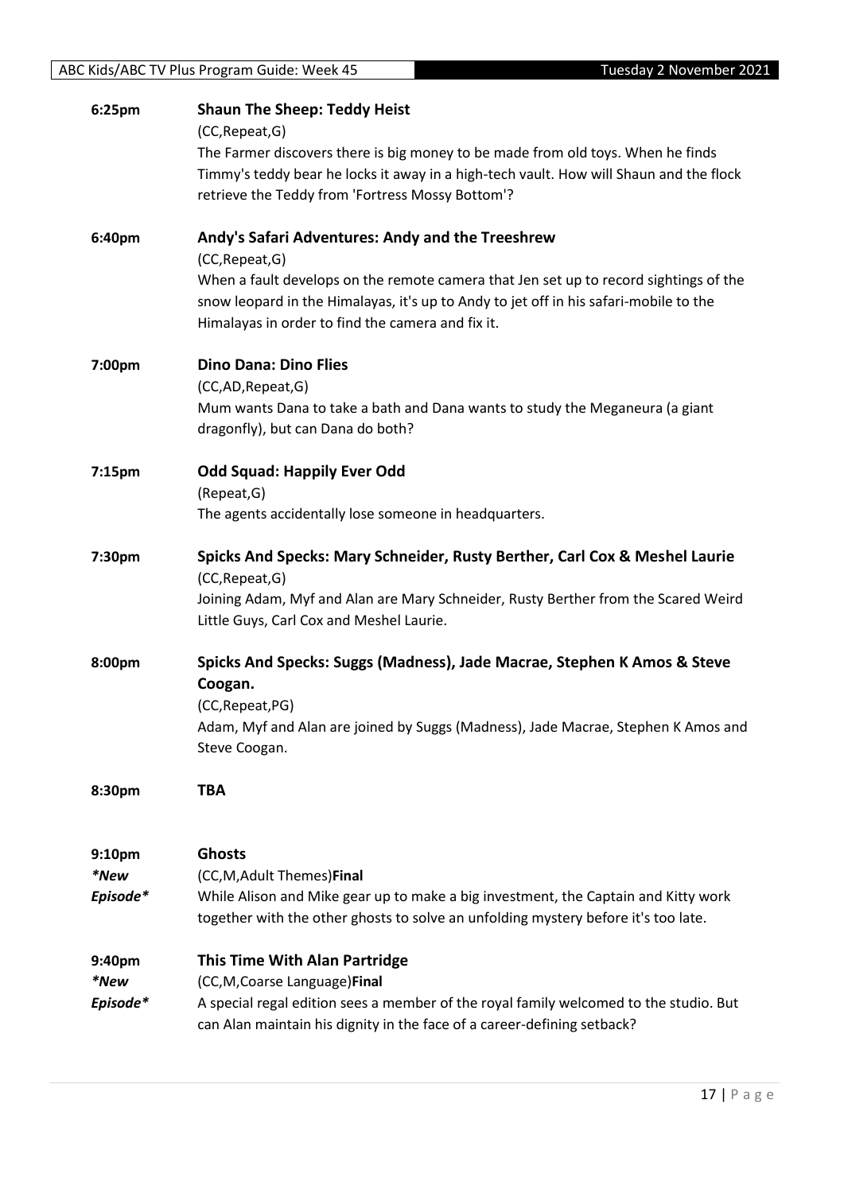| 6:25pm   | <b>Shaun The Sheep: Teddy Heist</b>                                                                                                                                      |
|----------|--------------------------------------------------------------------------------------------------------------------------------------------------------------------------|
|          | (CC, Repeat, G)                                                                                                                                                          |
|          | The Farmer discovers there is big money to be made from old toys. When he finds                                                                                          |
|          | Timmy's teddy bear he locks it away in a high-tech vault. How will Shaun and the flock                                                                                   |
|          | retrieve the Teddy from 'Fortress Mossy Bottom'?                                                                                                                         |
| 6:40pm   | Andy's Safari Adventures: Andy and the Treeshrew                                                                                                                         |
|          | (CC, Repeat, G)                                                                                                                                                          |
|          | When a fault develops on the remote camera that Jen set up to record sightings of the                                                                                    |
|          | snow leopard in the Himalayas, it's up to Andy to jet off in his safari-mobile to the                                                                                    |
|          | Himalayas in order to find the camera and fix it.                                                                                                                        |
| 7:00pm   | <b>Dino Dana: Dino Flies</b>                                                                                                                                             |
|          | (CC,AD, Repeat, G)                                                                                                                                                       |
|          | Mum wants Dana to take a bath and Dana wants to study the Meganeura (a giant                                                                                             |
|          | dragonfly), but can Dana do both?                                                                                                                                        |
| 7:15pm   | <b>Odd Squad: Happily Ever Odd</b>                                                                                                                                       |
|          | (Repeat, G)                                                                                                                                                              |
|          | The agents accidentally lose someone in headquarters.                                                                                                                    |
| 7:30pm   | Spicks And Specks: Mary Schneider, Rusty Berther, Carl Cox & Meshel Laurie                                                                                               |
|          | (CC, Repeat, G)                                                                                                                                                          |
|          | Joining Adam, Myf and Alan are Mary Schneider, Rusty Berther from the Scared Weird                                                                                       |
|          | Little Guys, Carl Cox and Meshel Laurie.                                                                                                                                 |
| 8:00pm   | Spicks And Specks: Suggs (Madness), Jade Macrae, Stephen K Amos & Steve                                                                                                  |
|          | Coogan.                                                                                                                                                                  |
|          | (CC, Repeat, PG)                                                                                                                                                         |
|          | Adam, Myf and Alan are joined by Suggs (Madness), Jade Macrae, Stephen K Amos and                                                                                        |
|          | Steve Coogan.                                                                                                                                                            |
| 8:30pm   | <b>TBA</b>                                                                                                                                                               |
|          |                                                                                                                                                                          |
|          |                                                                                                                                                                          |
| 9:10pm   | <b>Ghosts</b>                                                                                                                                                            |
| *New     | (CC,M,Adult Themes)Final                                                                                                                                                 |
| Episode* | While Alison and Mike gear up to make a big investment, the Captain and Kitty work<br>together with the other ghosts to solve an unfolding mystery before it's too late. |
|          |                                                                                                                                                                          |
| 9:40pm   | <b>This Time With Alan Partridge</b>                                                                                                                                     |
| *New     | (CC, M, Coarse Language) Final                                                                                                                                           |
| Episode* | A special regal edition sees a member of the royal family welcomed to the studio. But                                                                                    |
|          | can Alan maintain his dignity in the face of a career-defining setback?                                                                                                  |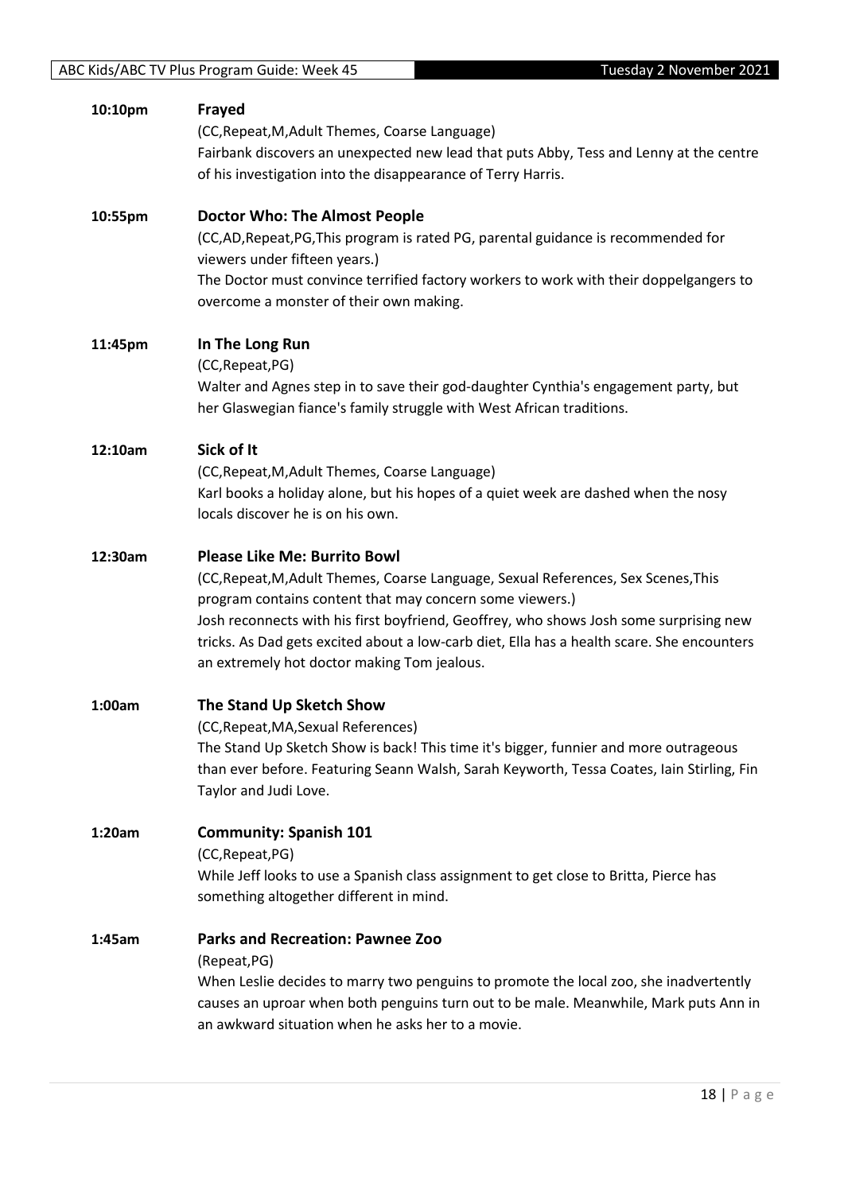| 10:10pm | Frayed<br>(CC, Repeat, M, Adult Themes, Coarse Language)<br>Fairbank discovers an unexpected new lead that puts Abby, Tess and Lenny at the centre<br>of his investigation into the disappearance of Terry Harris.                                                                                                                                                                                                           |
|---------|------------------------------------------------------------------------------------------------------------------------------------------------------------------------------------------------------------------------------------------------------------------------------------------------------------------------------------------------------------------------------------------------------------------------------|
| 10:55pm | <b>Doctor Who: The Almost People</b><br>(CC,AD,Repeat,PG,This program is rated PG, parental guidance is recommended for<br>viewers under fifteen years.)<br>The Doctor must convince terrified factory workers to work with their doppelgangers to<br>overcome a monster of their own making.                                                                                                                                |
| 11:45pm | In The Long Run<br>(CC, Repeat, PG)<br>Walter and Agnes step in to save their god-daughter Cynthia's engagement party, but<br>her Glaswegian fiance's family struggle with West African traditions.                                                                                                                                                                                                                          |
| 12:10am | Sick of It<br>(CC, Repeat, M, Adult Themes, Coarse Language)<br>Karl books a holiday alone, but his hopes of a quiet week are dashed when the nosy<br>locals discover he is on his own.                                                                                                                                                                                                                                      |
| 12:30am | <b>Please Like Me: Burrito Bowl</b><br>(CC, Repeat, M, Adult Themes, Coarse Language, Sexual References, Sex Scenes, This<br>program contains content that may concern some viewers.)<br>Josh reconnects with his first boyfriend, Geoffrey, who shows Josh some surprising new<br>tricks. As Dad gets excited about a low-carb diet, Ella has a health scare. She encounters<br>an extremely hot doctor making Tom jealous. |
| 1:00am  | The Stand Up Sketch Show<br>(CC, Repeat, MA, Sexual References)<br>The Stand Up Sketch Show is back! This time it's bigger, funnier and more outrageous<br>than ever before. Featuring Seann Walsh, Sarah Keyworth, Tessa Coates, Iain Stirling, Fin<br>Taylor and Judi Love.                                                                                                                                                |
| 1:20am  | <b>Community: Spanish 101</b><br>(CC, Repeat, PG)<br>While Jeff looks to use a Spanish class assignment to get close to Britta, Pierce has<br>something altogether different in mind.                                                                                                                                                                                                                                        |
| 1:45am  | <b>Parks and Recreation: Pawnee Zoo</b><br>(Repeat, PG)<br>When Leslie decides to marry two penguins to promote the local zoo, she inadvertently<br>causes an uproar when both penguins turn out to be male. Meanwhile, Mark puts Ann in<br>an awkward situation when he asks her to a movie.                                                                                                                                |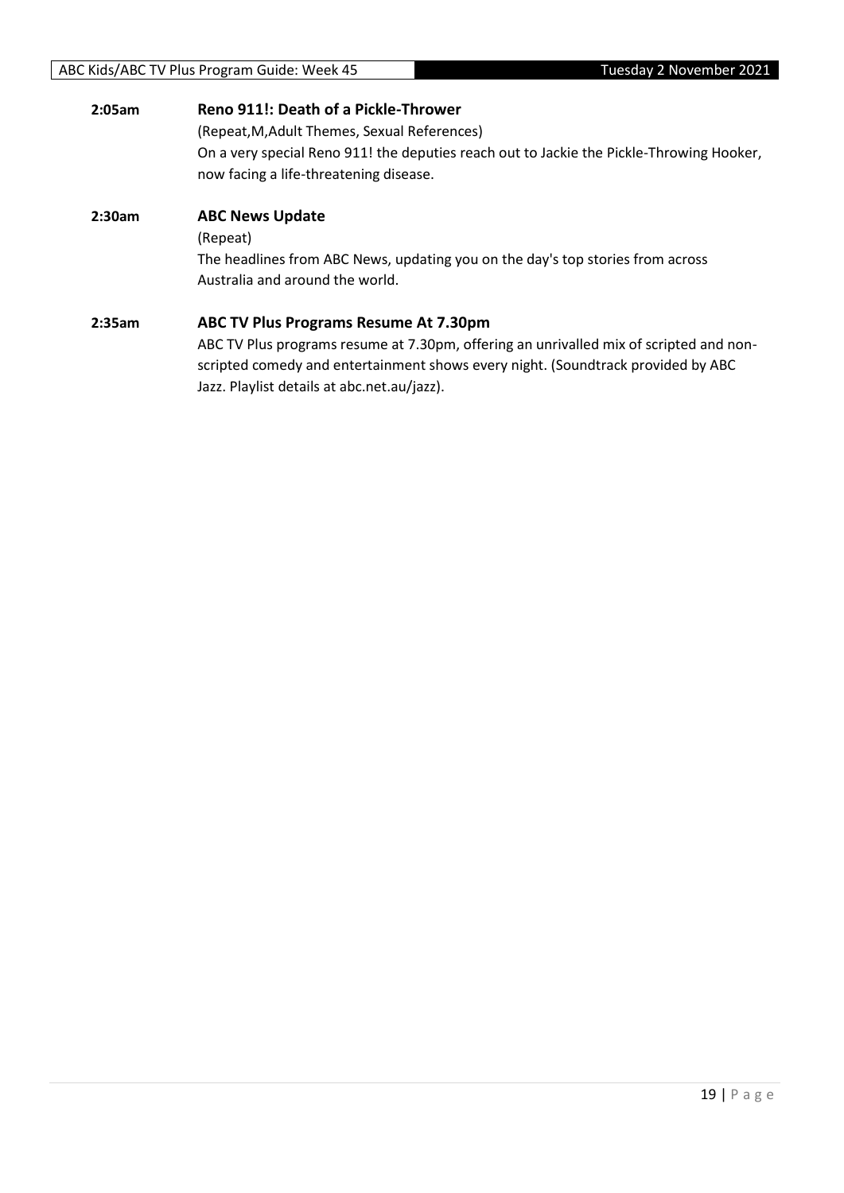| 2:05am | Reno 911!: Death of a Pickle-Thrower<br>(Repeat, M, Adult Themes, Sexual References)<br>On a very special Reno 911! the deputies reach out to Jackie the Pickle-Throwing Hooker,<br>now facing a life-threatening disease.                                                |
|--------|---------------------------------------------------------------------------------------------------------------------------------------------------------------------------------------------------------------------------------------------------------------------------|
| 2:30am | <b>ABC News Update</b><br>(Repeat)<br>The headlines from ABC News, updating you on the day's top stories from across<br>Australia and around the world.                                                                                                                   |
| 2:35am | <b>ABC TV Plus Programs Resume At 7.30pm</b><br>ABC TV Plus programs resume at 7.30pm, offering an unrivalled mix of scripted and non-<br>scripted comedy and entertainment shows every night. (Soundtrack provided by ABC<br>Jazz. Playlist details at abc.net.au/jazz). |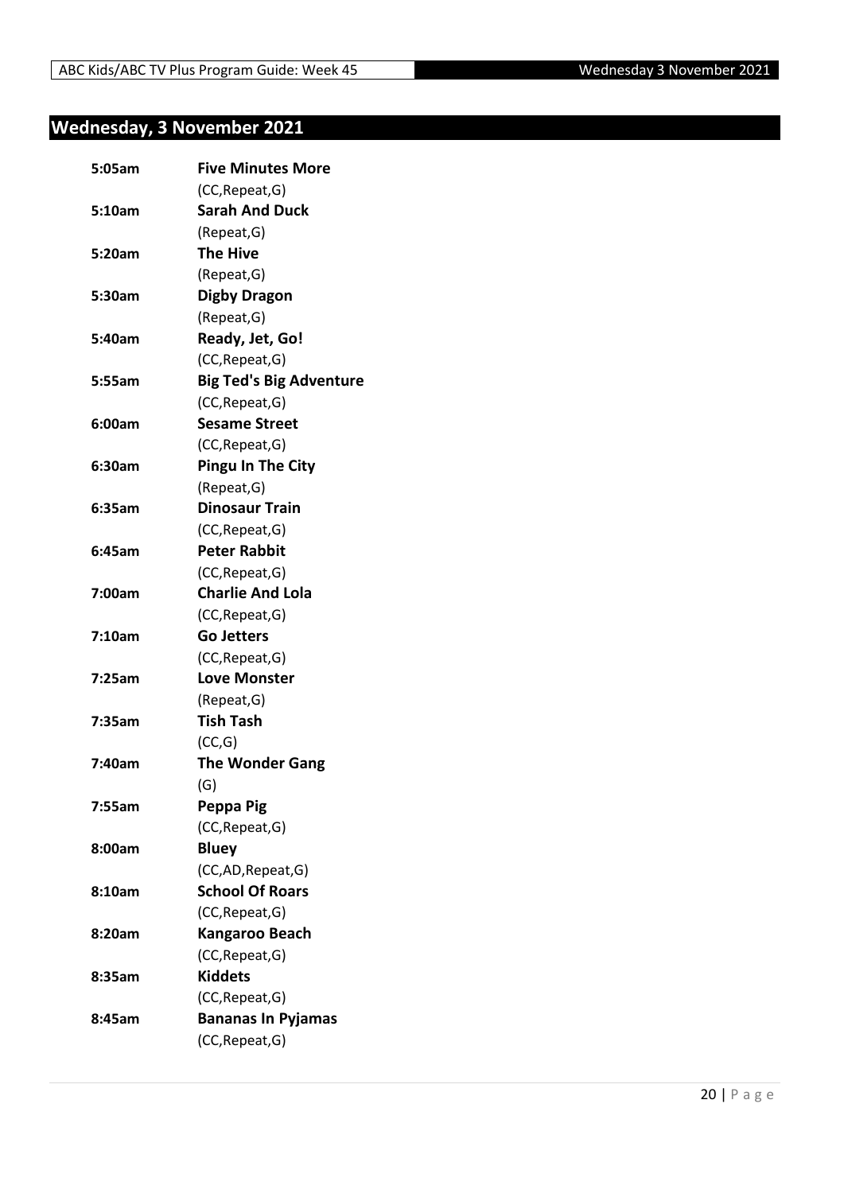## <span id="page-19-0"></span>**Wednesday, 3 November 2021**

| 5:05am | <b>Five Minutes More</b>       |
|--------|--------------------------------|
|        | (CC, Repeat, G)                |
| 5:10am | <b>Sarah And Duck</b>          |
|        | (Repeat, G)                    |
| 5:20am | <b>The Hive</b>                |
|        | (Repeat, G)                    |
| 5:30am | <b>Digby Dragon</b>            |
|        | (Repeat, G)                    |
| 5:40am | Ready, Jet, Go!                |
|        | (CC, Repeat, G)                |
| 5:55am | <b>Big Ted's Big Adventure</b> |
|        | (CC, Repeat, G)                |
| 6:00am | <b>Sesame Street</b>           |
|        | (CC, Repeat, G)                |
| 6:30am | <b>Pingu In The City</b>       |
|        | (Repeat, G)                    |
| 6:35am | <b>Dinosaur Train</b>          |
|        | (CC, Repeat, G)                |
| 6:45am | <b>Peter Rabbit</b>            |
|        | (CC, Repeat, G)                |
| 7:00am | <b>Charlie And Lola</b>        |
|        | (CC, Repeat, G)                |
| 7:10am | <b>Go Jetters</b>              |
|        | (CC, Repeat, G)                |
| 7:25am | <b>Love Monster</b>            |
|        | (Repeat, G)                    |
| 7:35am | <b>Tish Tash</b>               |
|        | (CC,G)                         |
| 7:40am | <b>The Wonder Gang</b>         |
|        | (G)                            |
| 7:55am | Peppa Pig                      |
|        | (CC, Repeat, G)                |
| 8:00am | <b>Bluey</b>                   |
|        | (CC,AD, Repeat, G)             |
| 8:10am | <b>School Of Roars</b>         |
|        | (CC, Repeat, G)                |
| 8:20am | <b>Kangaroo Beach</b>          |
|        | (CC, Repeat, G)                |
| 8:35am | <b>Kiddets</b>                 |
|        | (CC, Repeat, G)                |
| 8:45am | <b>Bananas In Pyjamas</b>      |
|        | (CC, Repeat, G)                |
|        |                                |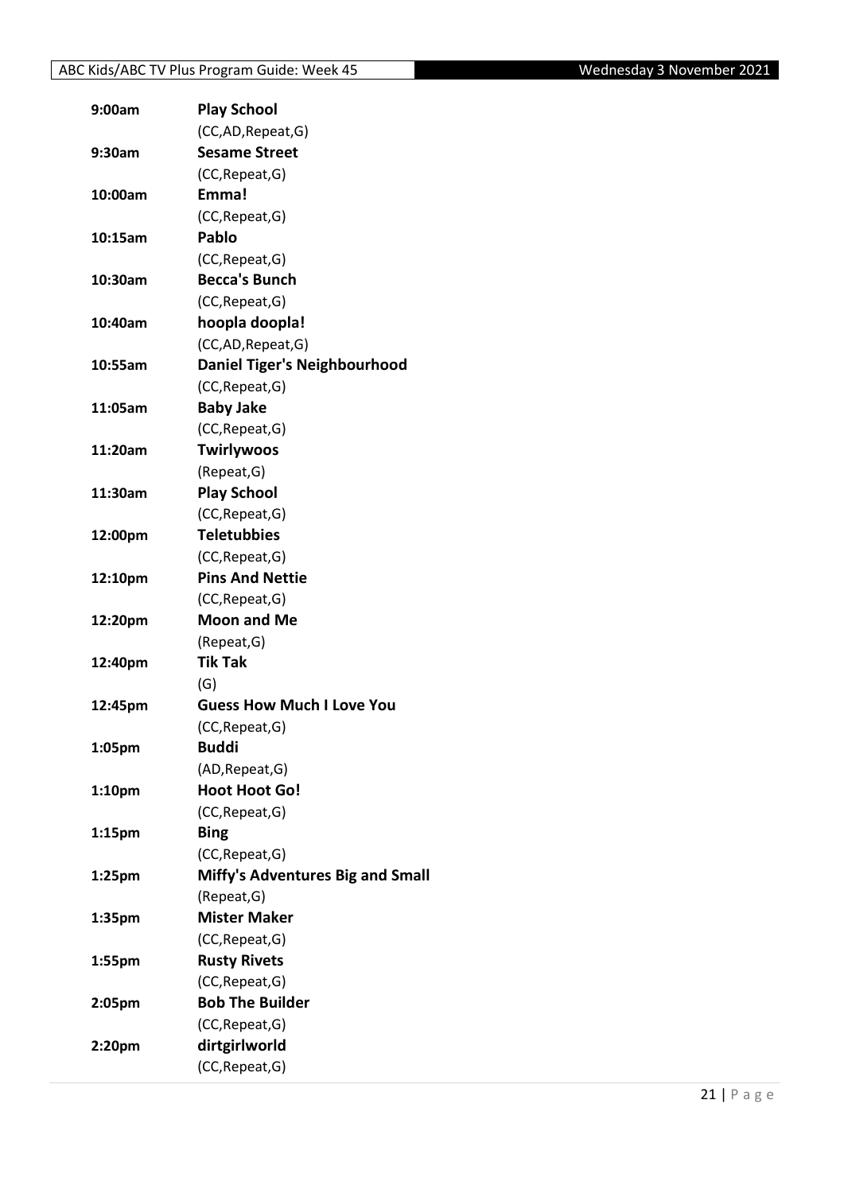| 9:00am             | <b>Play School</b>                  |
|--------------------|-------------------------------------|
|                    | (CC,AD,Repeat,G)                    |
| 9:30am             | <b>Sesame Street</b>                |
|                    | (CC, Repeat, G)                     |
| 10:00am            | Emma!                               |
|                    | (CC, Repeat, G)                     |
| 10:15am            | Pablo                               |
|                    | (CC, Repeat, G)                     |
| 10:30am            | <b>Becca's Bunch</b>                |
|                    | (CC, Repeat, G)                     |
| 10:40am            | hoopla doopla!                      |
|                    | (CC,AD,Repeat,G)                    |
| 10:55am            | <b>Daniel Tiger's Neighbourhood</b> |
|                    | (CC, Repeat, G)                     |
| 11:05am            | <b>Baby Jake</b>                    |
|                    | (CC, Repeat, G)                     |
| 11:20am            | <b>Twirlywoos</b>                   |
|                    | (Repeat, G)                         |
| 11:30am            | <b>Play School</b>                  |
|                    | (CC, Repeat, G)                     |
| 12:00pm            | <b>Teletubbies</b>                  |
|                    | (CC, Repeat, G)                     |
| 12:10pm            | <b>Pins And Nettie</b>              |
|                    | (CC, Repeat, G)                     |
| 12:20pm            | <b>Moon and Me</b>                  |
|                    | (Repeat, G)                         |
| 12:40pm            | <b>Tik Tak</b>                      |
|                    | (G)                                 |
| 12:45pm            | <b>Guess How Much I Love You</b>    |
|                    | (CC, Repeat, G)                     |
| 1:05pm             | <b>Buddi</b>                        |
|                    | (AD, Repeat, G)                     |
| 1:10pm             | <b>Hoot Hoot Go!</b>                |
|                    | (CC, Repeat, G)                     |
| 1:15pm             | <b>Bing</b>                         |
|                    | (CC, Repeat, G)                     |
| 1:25 <sub>pm</sub> | Miffy's Adventures Big and Small    |
|                    | (Repeat, G)                         |
| 1:35pm             | <b>Mister Maker</b>                 |
|                    | (CC, Repeat, G)                     |
| 1:55pm             | <b>Rusty Rivets</b>                 |
|                    | (CC, Repeat, G)                     |
| 2:05pm             | <b>Bob The Builder</b>              |
|                    | (CC, Repeat, G)                     |
| 2:20pm             | dirtgirlworld                       |
|                    | (CC, Repeat, G)                     |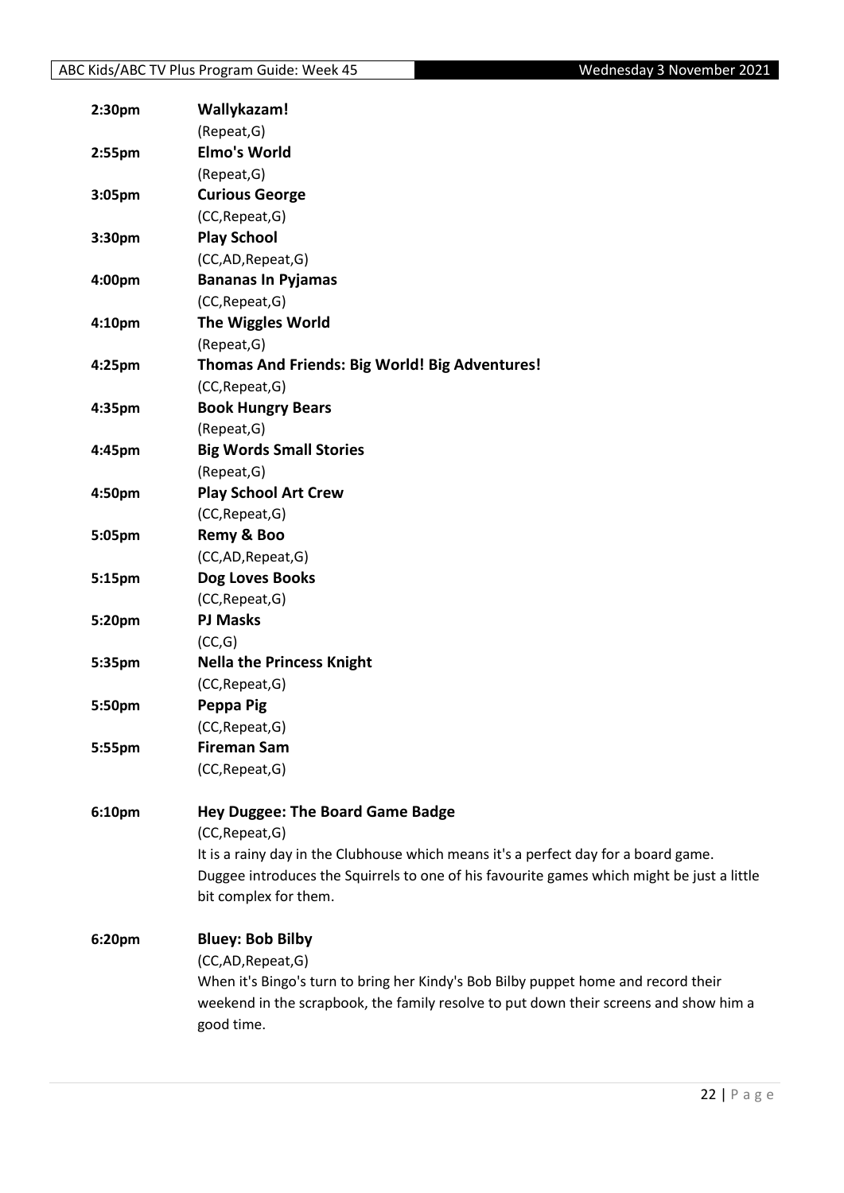| 2:30pm | Wallykazam!                                                                                |
|--------|--------------------------------------------------------------------------------------------|
|        | (Repeat, G)                                                                                |
| 2:55pm | <b>Elmo's World</b>                                                                        |
|        | (Repeat, G)                                                                                |
| 3:05pm | <b>Curious George</b>                                                                      |
|        | (CC, Repeat, G)                                                                            |
| 3:30pm | <b>Play School</b>                                                                         |
|        | (CC,AD,Repeat,G)                                                                           |
| 4:00pm | <b>Bananas In Pyjamas</b>                                                                  |
|        | (CC, Repeat, G)                                                                            |
| 4:10pm | <b>The Wiggles World</b>                                                                   |
|        | (Repeat, G)                                                                                |
| 4:25pm | Thomas And Friends: Big World! Big Adventures!                                             |
|        | (CC, Repeat, G)                                                                            |
| 4:35pm | <b>Book Hungry Bears</b>                                                                   |
|        | (Repeat, G)                                                                                |
| 4:45pm | <b>Big Words Small Stories</b>                                                             |
|        | (Repeat, G)                                                                                |
| 4:50pm | <b>Play School Art Crew</b>                                                                |
|        | (CC, Repeat, G)                                                                            |
| 5:05pm | Remy & Boo                                                                                 |
|        | (CC,AD,Repeat,G)                                                                           |
| 5:15pm | Dog Loves Books                                                                            |
|        | (CC, Repeat, G)                                                                            |
| 5:20pm | <b>PJ Masks</b>                                                                            |
|        | (CC,G)                                                                                     |
| 5:35pm | <b>Nella the Princess Knight</b>                                                           |
|        | (CC, Repeat, G)                                                                            |
| 5:50pm | Peppa Pig                                                                                  |
|        | (CC, Repeat, G)                                                                            |
| 5:55pm | <b>Fireman Sam</b>                                                                         |
|        | (CC, Repeat, G)                                                                            |
| 6:10pm | <b>Hey Duggee: The Board Game Badge</b>                                                    |
|        | (CC, Repeat, G)                                                                            |
|        | It is a rainy day in the Clubhouse which means it's a perfect day for a board game.        |
|        | Duggee introduces the Squirrels to one of his favourite games which might be just a little |
|        | bit complex for them.                                                                      |
|        |                                                                                            |
| 6:20pm | <b>Bluey: Bob Bilby</b>                                                                    |
|        | (CC,AD,Repeat,G)                                                                           |
|        | When it's Bingo's turn to bring her Kindy's Bob Bilby puppet home and record their         |
|        | weekend in the scrapbook, the family resolve to put down their screens and show him a      |
|        | good time.                                                                                 |
|        |                                                                                            |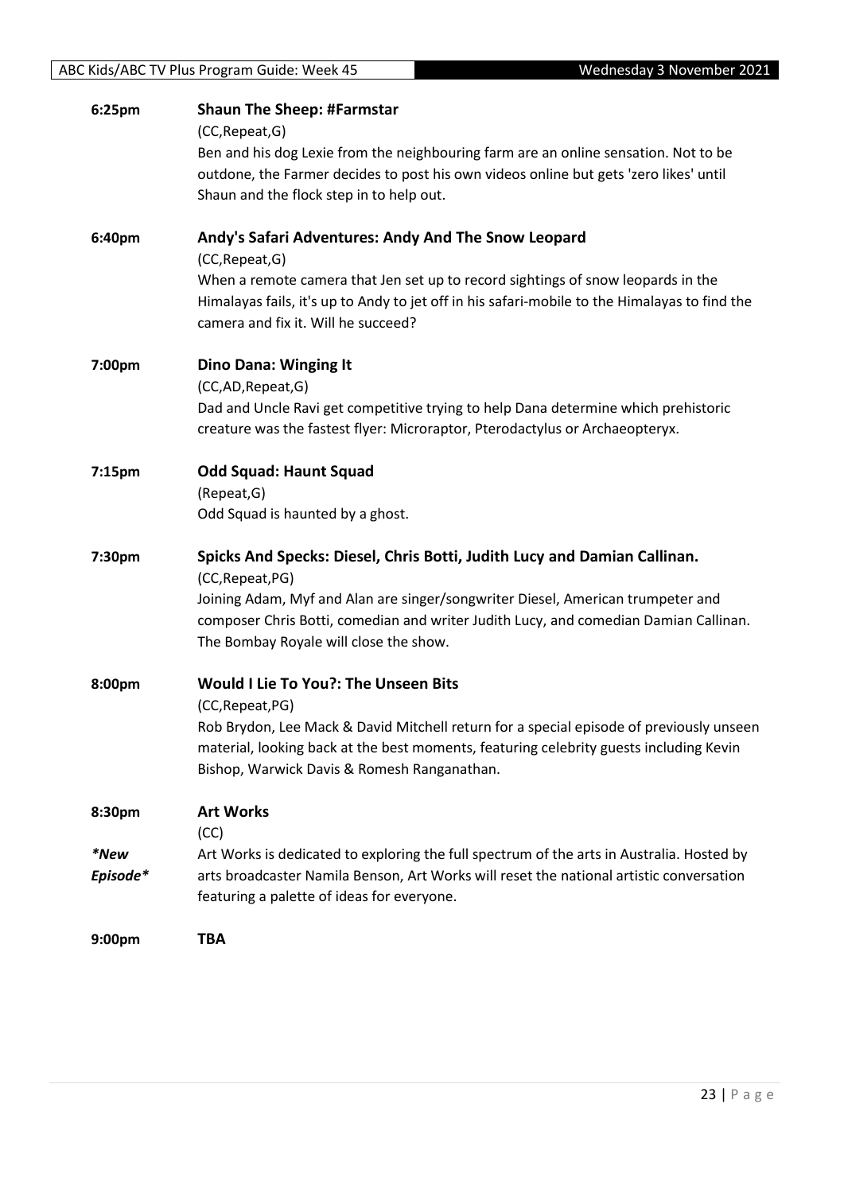| 6:25pm   | <b>Shaun The Sheep: #Farmstar</b><br>(CC, Repeat, G)                                                                                                                                                                                                 |
|----------|------------------------------------------------------------------------------------------------------------------------------------------------------------------------------------------------------------------------------------------------------|
|          | Ben and his dog Lexie from the neighbouring farm are an online sensation. Not to be<br>outdone, the Farmer decides to post his own videos online but gets 'zero likes' until<br>Shaun and the flock step in to help out.                             |
| 6:40pm   | Andy's Safari Adventures: Andy And The Snow Leopard<br>(CC, Repeat, G)                                                                                                                                                                               |
|          | When a remote camera that Jen set up to record sightings of snow leopards in the<br>Himalayas fails, it's up to Andy to jet off in his safari-mobile to the Himalayas to find the<br>camera and fix it. Will he succeed?                             |
| 7:00pm   | <b>Dino Dana: Winging It</b>                                                                                                                                                                                                                         |
|          | (CC,AD,Repeat,G)<br>Dad and Uncle Ravi get competitive trying to help Dana determine which prehistoric<br>creature was the fastest flyer: Microraptor, Pterodactylus or Archaeopteryx.                                                               |
| 7:15pm   | <b>Odd Squad: Haunt Squad</b>                                                                                                                                                                                                                        |
|          | (Repeat, G)<br>Odd Squad is haunted by a ghost.                                                                                                                                                                                                      |
| 7:30pm   | Spicks And Specks: Diesel, Chris Botti, Judith Lucy and Damian Callinan.<br>(CC, Repeat, PG)                                                                                                                                                         |
|          | Joining Adam, Myf and Alan are singer/songwriter Diesel, American trumpeter and<br>composer Chris Botti, comedian and writer Judith Lucy, and comedian Damian Callinan.<br>The Bombay Royale will close the show.                                    |
| 8:00pm   | Would I Lie To You?: The Unseen Bits                                                                                                                                                                                                                 |
|          | (CC, Repeat, PG)<br>Rob Brydon, Lee Mack & David Mitchell return for a special episode of previously unseen<br>material, looking back at the best moments, featuring celebrity guests including Kevin<br>Bishop, Warwick Davis & Romesh Ranganathan. |
| 8:30pm   | <b>Art Works</b><br>(CC)                                                                                                                                                                                                                             |
| *New     | Art Works is dedicated to exploring the full spectrum of the arts in Australia. Hosted by                                                                                                                                                            |
| Episode* | arts broadcaster Namila Benson, Art Works will reset the national artistic conversation<br>featuring a palette of ideas for everyone.                                                                                                                |
| 9:00pm   | <b>TBA</b>                                                                                                                                                                                                                                           |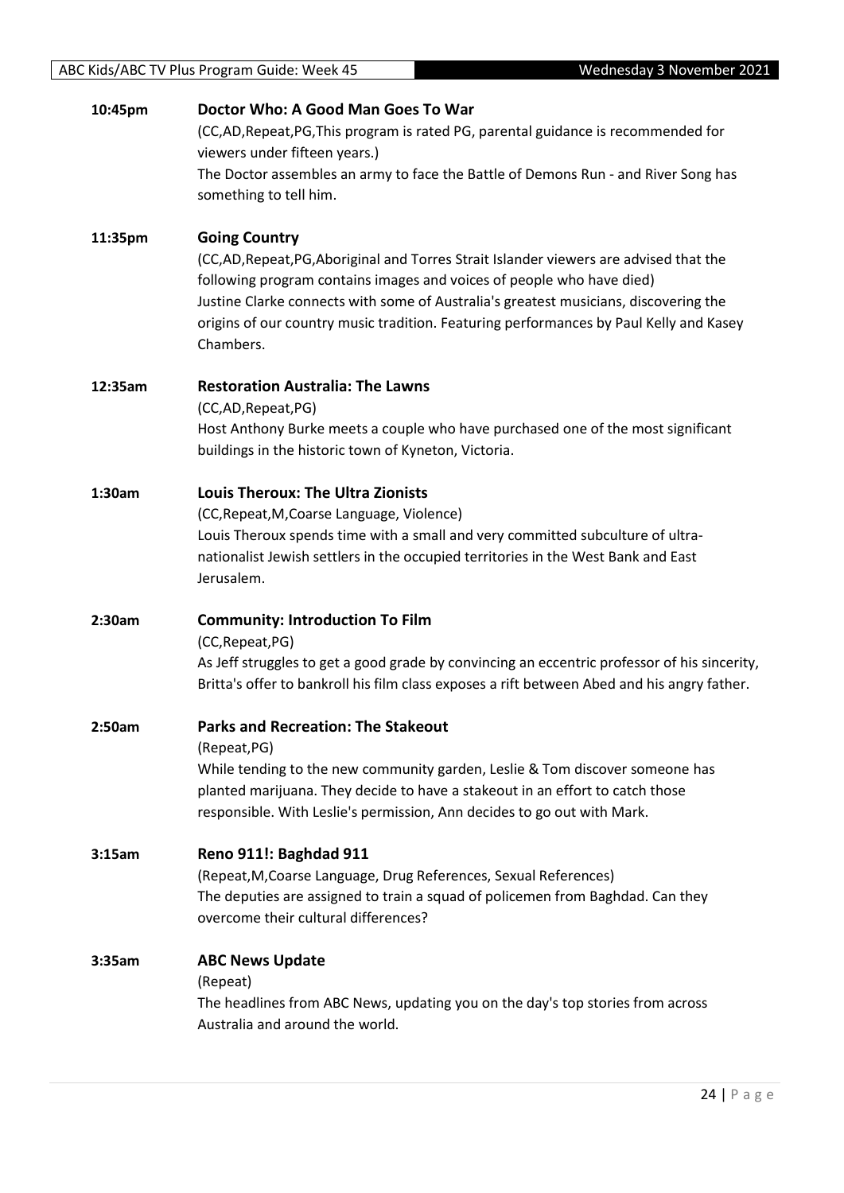| 10:45pm | Doctor Who: A Good Man Goes To War<br>(CC,AD,Repeat,PG,This program is rated PG, parental guidance is recommended for<br>viewers under fifteen years.)<br>The Doctor assembles an army to face the Battle of Demons Run - and River Song has<br>something to tell him.                                                                                                              |
|---------|-------------------------------------------------------------------------------------------------------------------------------------------------------------------------------------------------------------------------------------------------------------------------------------------------------------------------------------------------------------------------------------|
| 11:35pm | <b>Going Country</b><br>(CC,AD,Repeat,PG,Aboriginal and Torres Strait Islander viewers are advised that the<br>following program contains images and voices of people who have died)<br>Justine Clarke connects with some of Australia's greatest musicians, discovering the<br>origins of our country music tradition. Featuring performances by Paul Kelly and Kasey<br>Chambers. |
| 12:35am | <b>Restoration Australia: The Lawns</b><br>(CC,AD,Repeat,PG)<br>Host Anthony Burke meets a couple who have purchased one of the most significant<br>buildings in the historic town of Kyneton, Victoria.                                                                                                                                                                            |
| 1:30am  | <b>Louis Theroux: The Ultra Zionists</b><br>(CC, Repeat, M, Coarse Language, Violence)<br>Louis Theroux spends time with a small and very committed subculture of ultra-<br>nationalist Jewish settlers in the occupied territories in the West Bank and East<br>Jerusalem.                                                                                                         |
| 2:30am  | <b>Community: Introduction To Film</b><br>(CC, Repeat, PG)<br>As Jeff struggles to get a good grade by convincing an eccentric professor of his sincerity,<br>Britta's offer to bankroll his film class exposes a rift between Abed and his angry father.                                                                                                                           |
| 2:50am  | <b>Parks and Recreation: The Stakeout</b><br>(Repeat, PG)<br>While tending to the new community garden, Leslie & Tom discover someone has<br>planted marijuana. They decide to have a stakeout in an effort to catch those<br>responsible. With Leslie's permission, Ann decides to go out with Mark.                                                                               |
| 3:15am  | Reno 911!: Baghdad 911<br>(Repeat, M, Coarse Language, Drug References, Sexual References)<br>The deputies are assigned to train a squad of policemen from Baghdad. Can they<br>overcome their cultural differences?                                                                                                                                                                |
| 3:35am  | <b>ABC News Update</b><br>(Repeat)<br>The headlines from ABC News, updating you on the day's top stories from across<br>Australia and around the world.                                                                                                                                                                                                                             |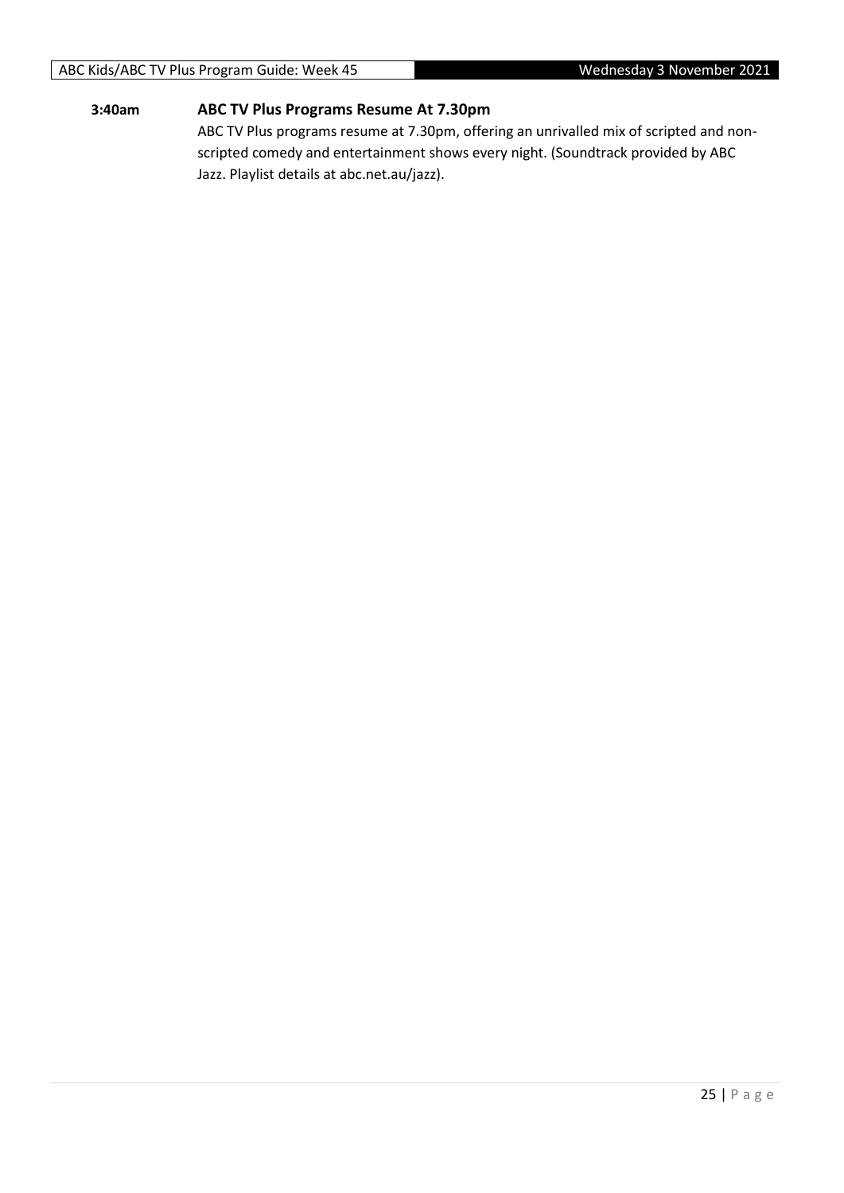#### ABC Kids/ABC TV Plus Program Guide: Week 45 Wednesday 3 November 2021

#### **3:40am ABC TV Plus Programs Resume At 7.30pm**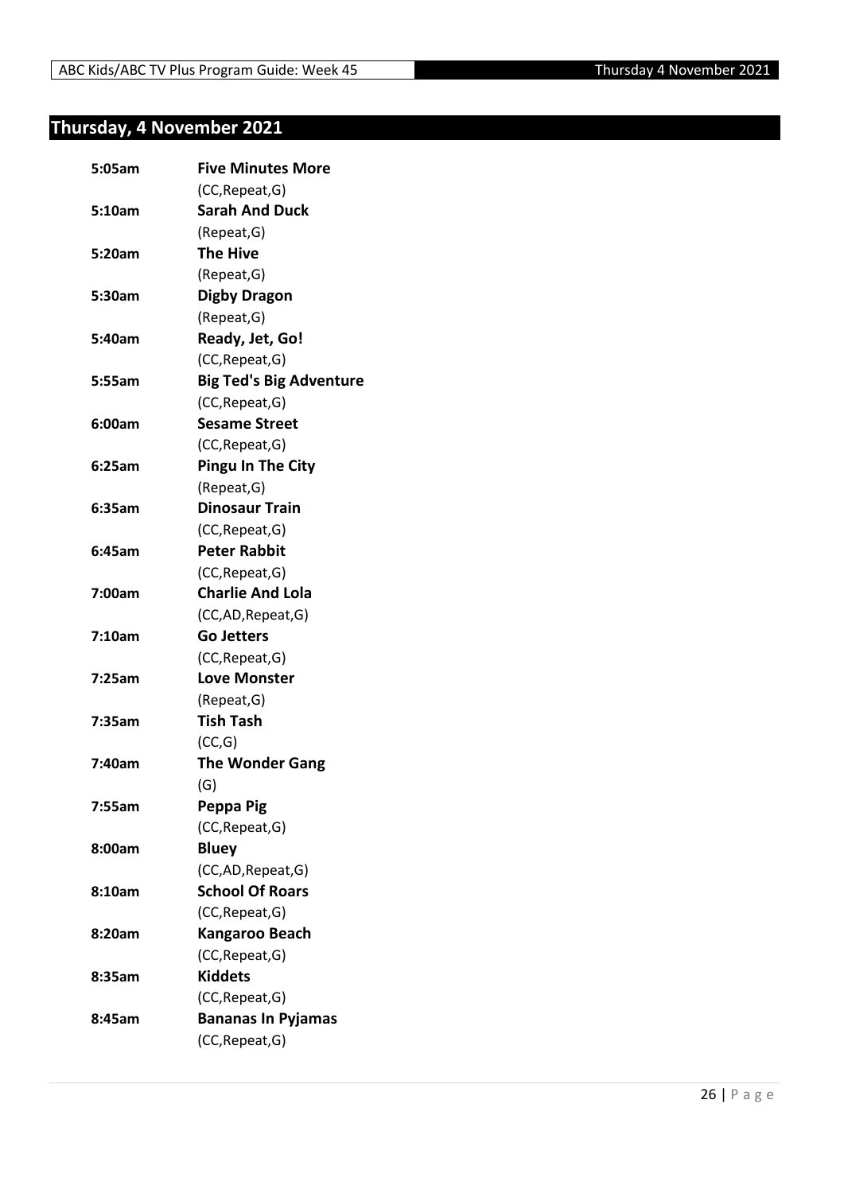## <span id="page-25-0"></span>**Thursday, 4 November 2021**

| 5:05am | <b>Five Minutes More</b>       |
|--------|--------------------------------|
|        | (CC, Repeat, G)                |
| 5:10am | <b>Sarah And Duck</b>          |
|        | (Repeat, G)                    |
| 5:20am | <b>The Hive</b>                |
|        | (Repeat, G)                    |
| 5:30am | <b>Digby Dragon</b>            |
|        | (Repeat, G)                    |
| 5:40am | Ready, Jet, Go!                |
|        | (CC, Repeat, G)                |
| 5:55am | <b>Big Ted's Big Adventure</b> |
|        | (CC, Repeat, G)                |
| 6:00am | <b>Sesame Street</b>           |
|        | (CC, Repeat, G)                |
| 6:25am | <b>Pingu In The City</b>       |
|        | (Repeat, G)                    |
| 6:35am | <b>Dinosaur Train</b>          |
|        | (CC, Repeat, G)                |
| 6:45am | <b>Peter Rabbit</b>            |
|        | (CC, Repeat, G)                |
| 7:00am | <b>Charlie And Lola</b>        |
|        | (CC,AD, Repeat, G)             |
| 7:10am | <b>Go Jetters</b>              |
|        | (CC, Repeat, G)                |
| 7:25am | <b>Love Monster</b>            |
|        | (Repeat, G)                    |
| 7:35am | <b>Tish Tash</b>               |
|        | (CC,G)                         |
| 7:40am | <b>The Wonder Gang</b>         |
|        | (G)                            |
| 7:55am | Peppa Pig                      |
|        | (CC, Repeat, G)                |
| 8:00am | <b>Bluey</b>                   |
|        | (CC,AD, Repeat, G)             |
| 8:10am | <b>School Of Roars</b>         |
|        | (CC, Repeat, G)                |
| 8:20am | Kangaroo Beach                 |
|        | (CC, Repeat, G)                |
| 8:35am | <b>Kiddets</b>                 |
|        | (CC, Repeat, G)                |
| 8:45am | <b>Bananas In Pyjamas</b>      |
|        | (CC, Repeat, G)                |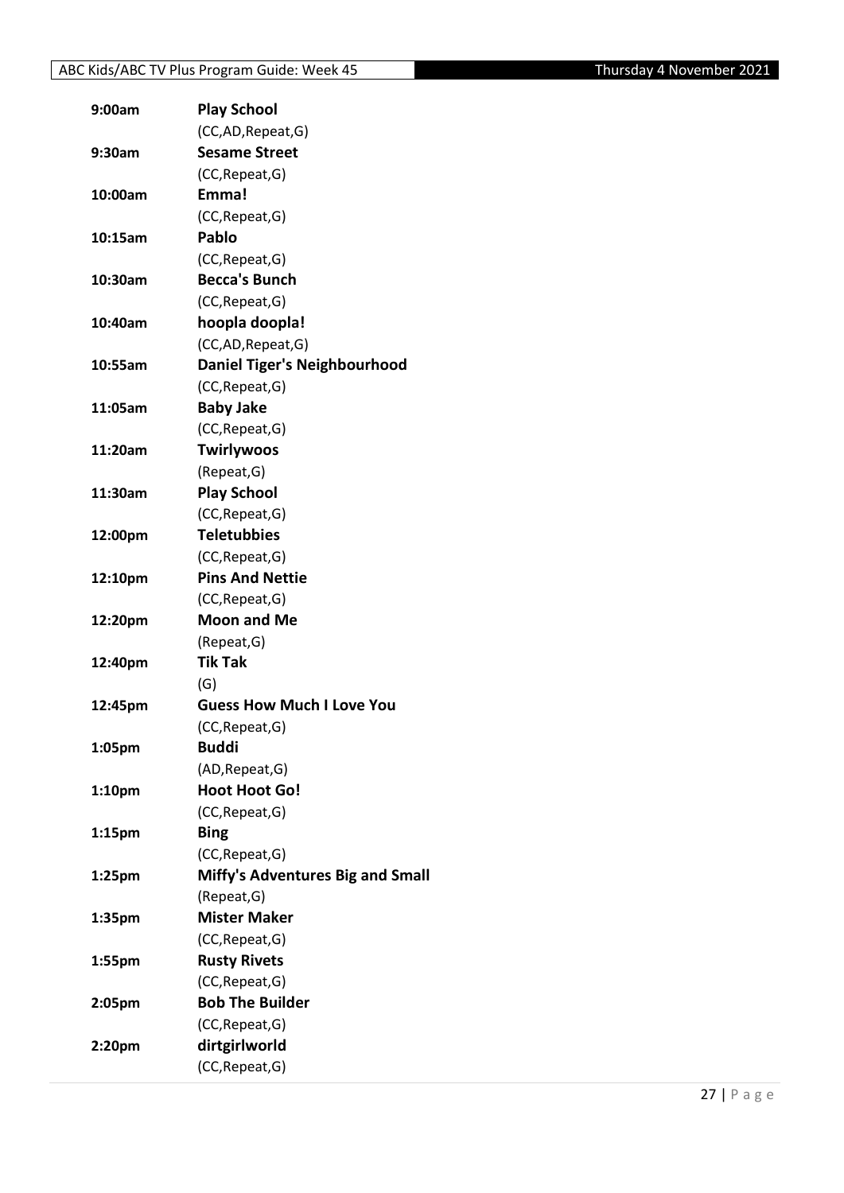| 9:00am  | <b>Play School</b>                  |
|---------|-------------------------------------|
|         | (CC,AD, Repeat, G)                  |
| 9:30am  | <b>Sesame Street</b>                |
|         | (CC, Repeat, G)                     |
| 10:00am | Emma!                               |
|         | (CC, Repeat, G)                     |
| 10:15am | Pablo                               |
|         | (CC, Repeat, G)                     |
| 10:30am | <b>Becca's Bunch</b>                |
|         | (CC, Repeat, G)                     |
| 10:40am | hoopla doopla!                      |
|         | (CC,AD,Repeat,G)                    |
| 10:55am | <b>Daniel Tiger's Neighbourhood</b> |
|         | (CC, Repeat, G)                     |
| 11:05am | <b>Baby Jake</b>                    |
|         | (CC, Repeat, G)                     |
| 11:20am | <b>Twirlywoos</b>                   |
|         | (Repeat, G)                         |
| 11:30am | <b>Play School</b>                  |
|         | (CC, Repeat, G)                     |
| 12:00pm | <b>Teletubbies</b>                  |
|         | (CC, Repeat, G)                     |
| 12:10pm | <b>Pins And Nettie</b>              |
|         | (CC, Repeat, G)                     |
| 12:20pm | <b>Moon and Me</b>                  |
|         | (Repeat, G)                         |
| 12:40pm | <b>Tik Tak</b>                      |
|         | (G)                                 |
| 12:45pm | <b>Guess How Much I Love You</b>    |
|         | (CC, Repeat, G)                     |
| 1:05pm  | <b>Buddi</b>                        |
|         | (AD, Repeat, G)                     |
| 1:10pm  | <b>Hoot Hoot Go!</b>                |
|         | (CC, Repeat, G)                     |
| 1:15pm  | <b>Bing</b>                         |
|         | (CC, Repeat, G)                     |
| 1:25pm  | Miffy's Adventures Big and Small    |
|         |                                     |
|         | (Repeat, G)<br><b>Mister Maker</b>  |
| 1:35pm  |                                     |
|         | (CC, Repeat, G)                     |
| 1:55pm  | <b>Rusty Rivets</b>                 |
|         | (CC, Repeat, G)                     |
| 2:05pm  | <b>Bob The Builder</b>              |
|         | (CC, Repeat, G)                     |
| 2:20pm  | dirtgirlworld                       |
|         | (CC, Repeat, G)                     |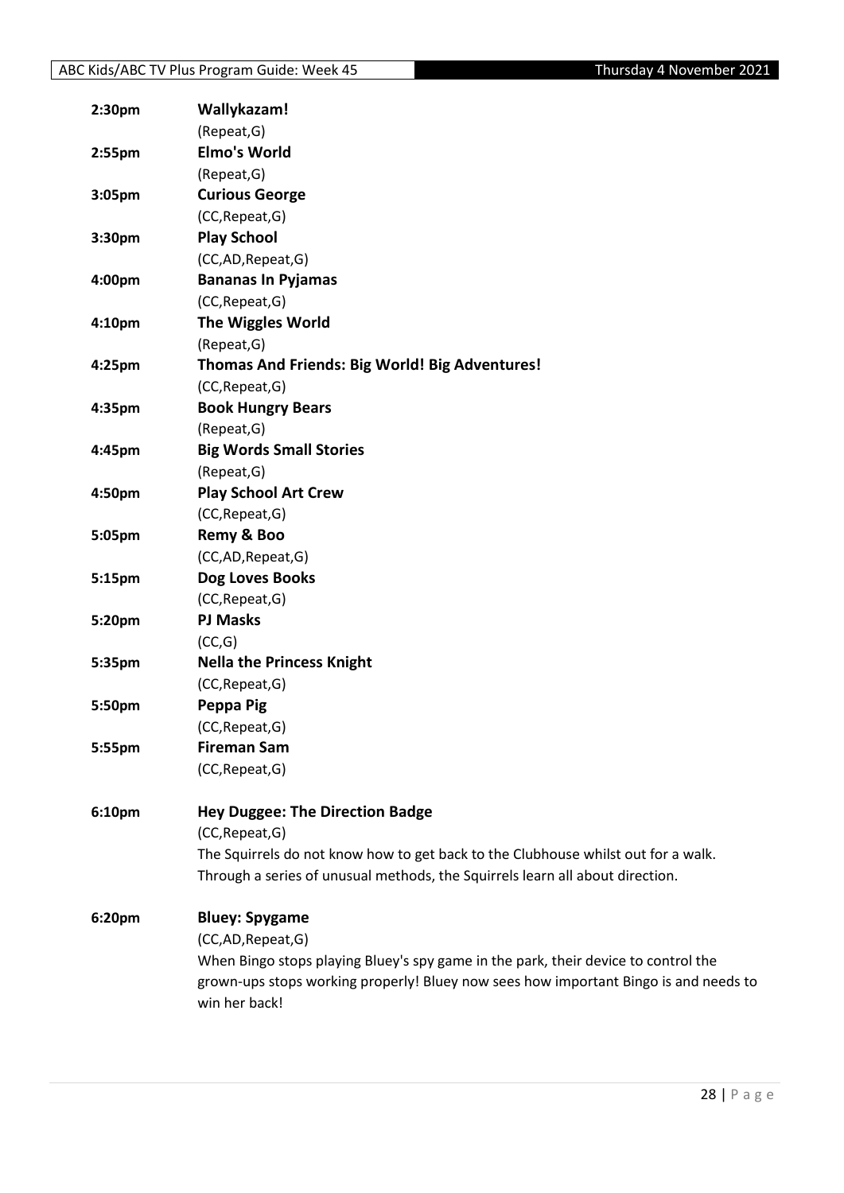| 2:30pm             | Wallykazam!                                                                          |
|--------------------|--------------------------------------------------------------------------------------|
|                    | (Repeat, G)                                                                          |
| 2:55pm             | <b>Elmo's World</b>                                                                  |
|                    | (Repeat, G)                                                                          |
| 3:05pm             | <b>Curious George</b>                                                                |
|                    | (CC, Repeat, G)                                                                      |
| 3:30pm             | <b>Play School</b>                                                                   |
|                    | (CC,AD,Repeat,G)                                                                     |
| 4:00pm             | <b>Bananas In Pyjamas</b>                                                            |
|                    | (CC, Repeat, G)                                                                      |
| 4:10pm             | <b>The Wiggles World</b>                                                             |
|                    | (Repeat, G)                                                                          |
| 4:25pm             | Thomas And Friends: Big World! Big Adventures!                                       |
|                    | (CC, Repeat, G)                                                                      |
| 4:35pm             | <b>Book Hungry Bears</b>                                                             |
|                    | (Repeat, G)                                                                          |
| 4:45pm             | <b>Big Words Small Stories</b>                                                       |
|                    | (Repeat, G)                                                                          |
| 4:50pm             | <b>Play School Art Crew</b>                                                          |
|                    | (CC, Repeat, G)                                                                      |
| 5:05pm             | Remy & Boo                                                                           |
|                    | (CC,AD, Repeat, G)                                                                   |
| 5:15pm             | Dog Loves Books                                                                      |
|                    | (CC, Repeat, G)                                                                      |
| 5:20pm             | <b>PJ Masks</b>                                                                      |
|                    | (CC,G)                                                                               |
| 5:35pm             | <b>Nella the Princess Knight</b>                                                     |
|                    | (CC, Repeat, G)                                                                      |
| 5:50pm             | Peppa Pig                                                                            |
|                    | (CC, Repeat, G)                                                                      |
| 5:55pm             | <b>Fireman Sam</b>                                                                   |
|                    | (CC, Repeat, G)                                                                      |
|                    |                                                                                      |
| 6:10 <sub>pm</sub> | <b>Hey Duggee: The Direction Badge</b>                                               |
|                    | (CC, Repeat, G)                                                                      |
|                    | The Squirrels do not know how to get back to the Clubhouse whilst out for a walk.    |
|                    | Through a series of unusual methods, the Squirrels learn all about direction.        |
| 6:20pm             | <b>Bluey: Spygame</b>                                                                |
|                    | (CC,AD,Repeat,G)                                                                     |
|                    | When Bingo stops playing Bluey's spy game in the park, their device to control the   |
|                    | grown-ups stops working properly! Bluey now sees how important Bingo is and needs to |
|                    | win her back!                                                                        |
|                    |                                                                                      |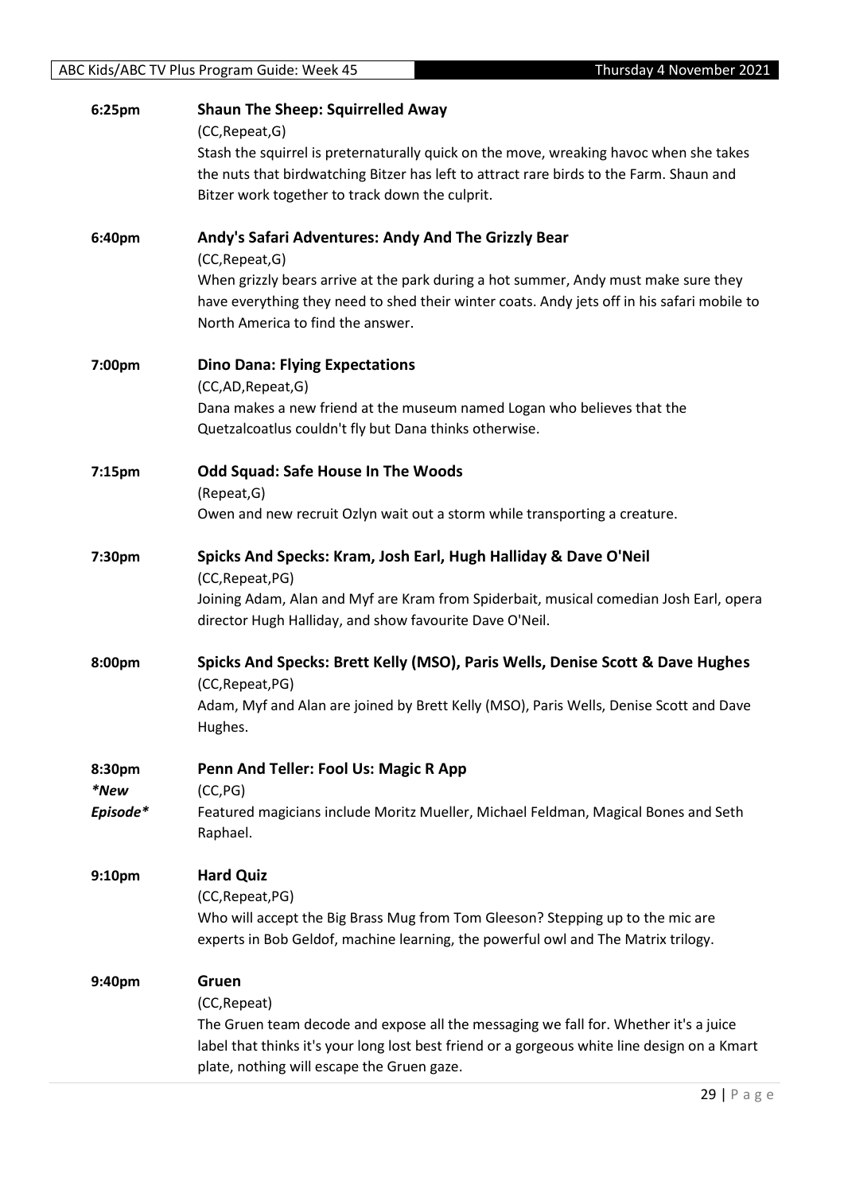| 6:25pm             | <b>Shaun The Sheep: Squirrelled Away</b><br>(CC, Repeat, G)                                                                                       |
|--------------------|---------------------------------------------------------------------------------------------------------------------------------------------------|
|                    | Stash the squirrel is preternaturally quick on the move, wreaking havoc when she takes                                                            |
|                    | the nuts that birdwatching Bitzer has left to attract rare birds to the Farm. Shaun and                                                           |
|                    | Bitzer work together to track down the culprit.                                                                                                   |
| 6:40pm             | Andy's Safari Adventures: Andy And The Grizzly Bear                                                                                               |
|                    | (CC, Repeat, G)                                                                                                                                   |
|                    | When grizzly bears arrive at the park during a hot summer, Andy must make sure they                                                               |
|                    | have everything they need to shed their winter coats. Andy jets off in his safari mobile to                                                       |
|                    | North America to find the answer.                                                                                                                 |
| 7:00pm             | <b>Dino Dana: Flying Expectations</b>                                                                                                             |
|                    | (CC,AD,Repeat,G)                                                                                                                                  |
|                    | Dana makes a new friend at the museum named Logan who believes that the<br>Quetzalcoatlus couldn't fly but Dana thinks otherwise.                 |
| 7:15 <sub>pm</sub> | <b>Odd Squad: Safe House In The Woods</b>                                                                                                         |
|                    | (Repeat, G)                                                                                                                                       |
|                    | Owen and new recruit Ozlyn wait out a storm while transporting a creature.                                                                        |
| 7:30pm             | Spicks And Specks: Kram, Josh Earl, Hugh Halliday & Dave O'Neil                                                                                   |
|                    | (CC, Repeat, PG)                                                                                                                                  |
|                    | Joining Adam, Alan and Myf are Kram from Spiderbait, musical comedian Josh Earl, opera<br>director Hugh Halliday, and show favourite Dave O'Neil. |
| 8:00pm             | Spicks And Specks: Brett Kelly (MSO), Paris Wells, Denise Scott & Dave Hughes                                                                     |
|                    | (CC, Repeat, PG)                                                                                                                                  |
|                    | Adam, Myf and Alan are joined by Brett Kelly (MSO), Paris Wells, Denise Scott and Dave<br>Hughes.                                                 |
| 8:30pm             | Penn And Teller: Fool Us: Magic R App                                                                                                             |
| *New               | (CC, PG)                                                                                                                                          |
| Episode*           | Featured magicians include Moritz Mueller, Michael Feldman, Magical Bones and Seth<br>Raphael.                                                    |
| 9:10pm             | <b>Hard Quiz</b>                                                                                                                                  |
|                    | (CC, Repeat, PG)                                                                                                                                  |
|                    | Who will accept the Big Brass Mug from Tom Gleeson? Stepping up to the mic are                                                                    |
|                    | experts in Bob Geldof, machine learning, the powerful owl and The Matrix trilogy.                                                                 |
| 9:40pm             | Gruen                                                                                                                                             |
|                    | (CC, Repeat)                                                                                                                                      |
|                    | The Gruen team decode and expose all the messaging we fall for. Whether it's a juice                                                              |
|                    | label that thinks it's your long lost best friend or a gorgeous white line design on a Kmart<br>plate, nothing will escape the Gruen gaze.        |
|                    |                                                                                                                                                   |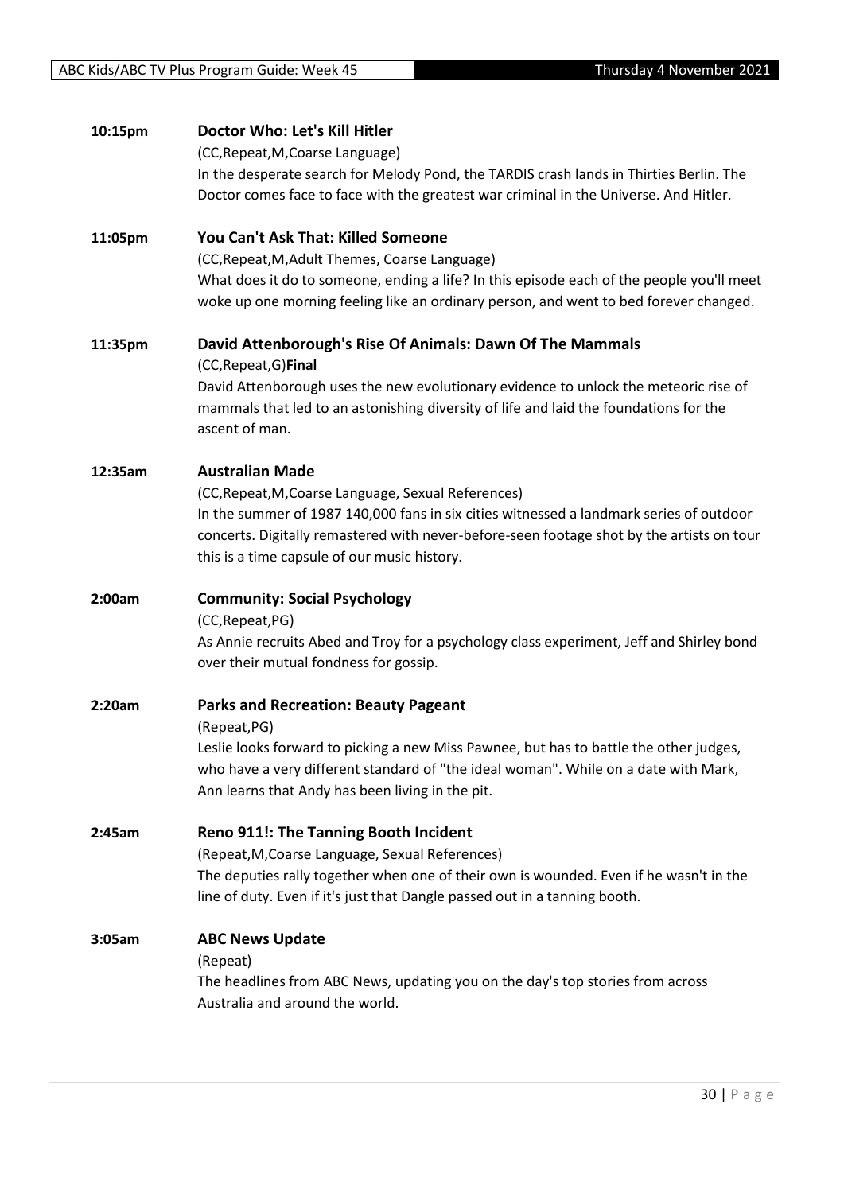| 10:15pm | Doctor Who: Let's Kill Hitler                                                                                                                                                      |
|---------|------------------------------------------------------------------------------------------------------------------------------------------------------------------------------------|
|         | (CC, Repeat, M, Coarse Language)                                                                                                                                                   |
|         | In the desperate search for Melody Pond, the TARDIS crash lands in Thirties Berlin. The                                                                                            |
|         | Doctor comes face to face with the greatest war criminal in the Universe. And Hitler.                                                                                              |
| 11:05pm | You Can't Ask That: Killed Someone                                                                                                                                                 |
|         | (CC, Repeat, M, Adult Themes, Coarse Language)                                                                                                                                     |
|         | What does it do to someone, ending a life? In this episode each of the people you'll meet<br>woke up one morning feeling like an ordinary person, and went to bed forever changed. |
| 11:35pm | David Attenborough's Rise Of Animals: Dawn Of The Mammals<br>(CC, Repeat, G) Final                                                                                                 |
|         | David Attenborough uses the new evolutionary evidence to unlock the meteoric rise of                                                                                               |
|         | mammals that led to an astonishing diversity of life and laid the foundations for the<br>ascent of man.                                                                            |
| 12:35am | <b>Australian Made</b>                                                                                                                                                             |
|         | (CC, Repeat, M, Coarse Language, Sexual References)                                                                                                                                |
|         | In the summer of 1987 140,000 fans in six cities witnessed a landmark series of outdoor                                                                                            |
|         | concerts. Digitally remastered with never-before-seen footage shot by the artists on tour                                                                                          |
|         | this is a time capsule of our music history.                                                                                                                                       |
|         |                                                                                                                                                                                    |
| 2:00am  | <b>Community: Social Psychology</b>                                                                                                                                                |
|         | (CC, Repeat, PG)                                                                                                                                                                   |
|         | As Annie recruits Abed and Troy for a psychology class experiment, Jeff and Shirley bond                                                                                           |
|         | over their mutual fondness for gossip.                                                                                                                                             |
| 2:20am  | <b>Parks and Recreation: Beauty Pageant</b>                                                                                                                                        |
|         | (Repeat, PG)                                                                                                                                                                       |
|         | Leslie looks forward to picking a new Miss Pawnee, but has to battle the other judges,<br>who have a very different standard of "the ideal woman". While on a date with Mark,      |
|         | Ann learns that Andy has been living in the pit.                                                                                                                                   |
| 2:45am  | Reno 911!: The Tanning Booth Incident                                                                                                                                              |
|         | (Repeat, M, Coarse Language, Sexual References)                                                                                                                                    |
|         | The deputies rally together when one of their own is wounded. Even if he wasn't in the<br>line of duty. Even if it's just that Dangle passed out in a tanning booth.               |
|         |                                                                                                                                                                                    |
| 3:05am  | <b>ABC News Update</b>                                                                                                                                                             |
|         | (Repeat)                                                                                                                                                                           |
|         | The headlines from ABC News, updating you on the day's top stories from across<br>Australia and around the world.                                                                  |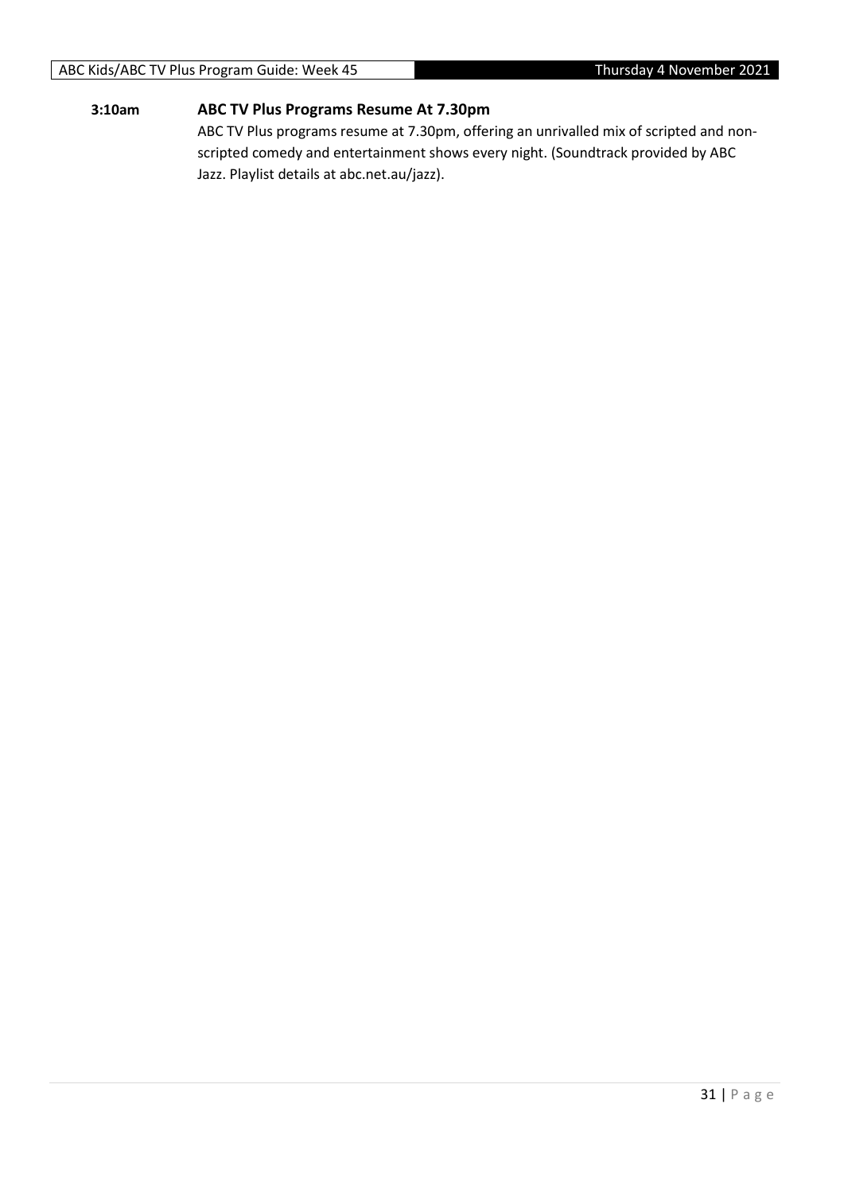#### ABC Kids/ABC TV Plus Program Guide: Week 45 Thursday 4 November 2021

#### **3:10am ABC TV Plus Programs Resume At 7.30pm**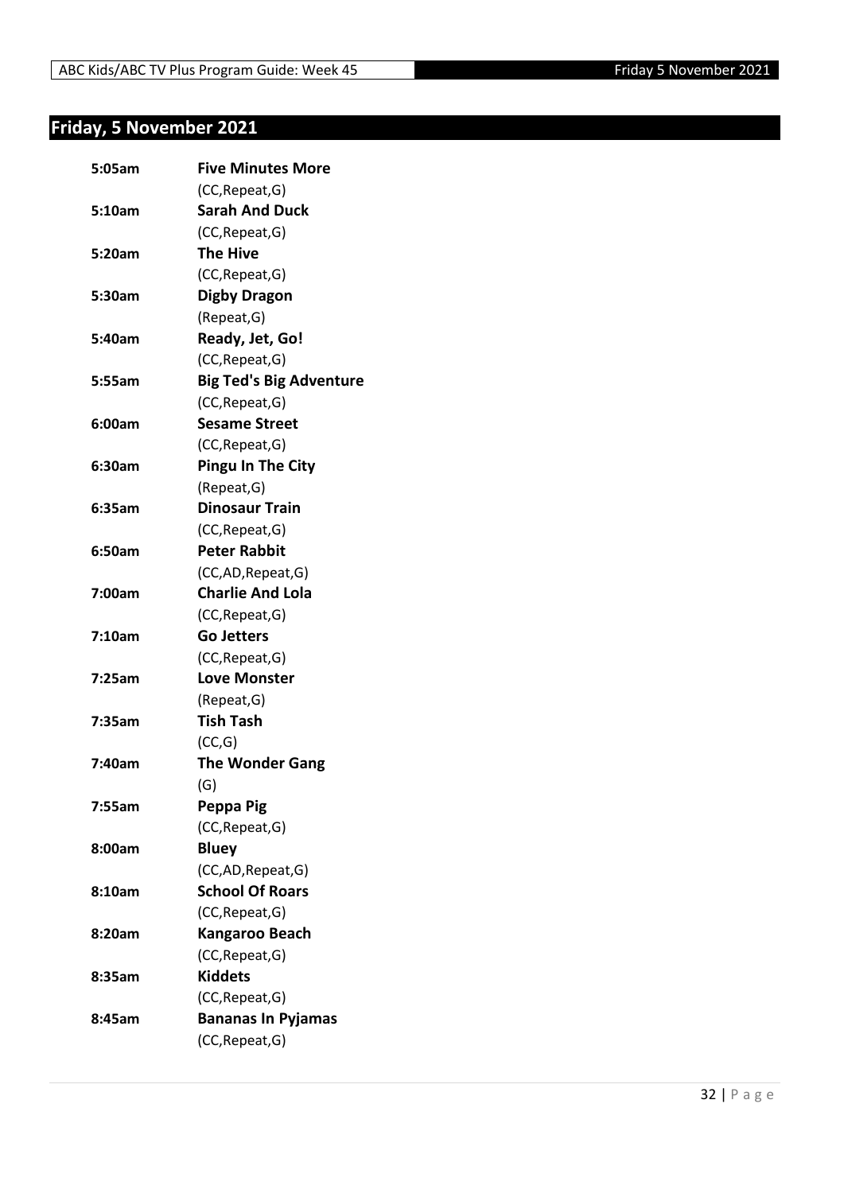## <span id="page-31-0"></span>**Friday, 5 November 2021**

| 5:05am | <b>Five Minutes More</b>       |
|--------|--------------------------------|
|        | (CC, Repeat, G)                |
| 5:10am | <b>Sarah And Duck</b>          |
|        | (CC, Repeat, G)                |
| 5:20am | <b>The Hive</b>                |
|        | (CC, Repeat, G)                |
| 5:30am | <b>Digby Dragon</b>            |
|        | (Repeat, G)                    |
| 5:40am | Ready, Jet, Go!                |
|        | (CC, Repeat, G)                |
| 5:55am | <b>Big Ted's Big Adventure</b> |
|        | (CC, Repeat, G)                |
| 6:00am | <b>Sesame Street</b>           |
|        | (CC, Repeat, G)                |
| 6:30am | <b>Pingu In The City</b>       |
|        | (Repeat, G)                    |
| 6:35am | <b>Dinosaur Train</b>          |
|        | (CC, Repeat, G)                |
| 6:50am | <b>Peter Rabbit</b>            |
|        | (CC,AD, Repeat, G)             |
| 7:00am | <b>Charlie And Lola</b>        |
|        | (CC, Repeat, G)                |
| 7:10am | <b>Go Jetters</b>              |
|        | (CC, Repeat, G)                |
| 7:25am | <b>Love Monster</b>            |
|        | (Repeat, G)                    |
| 7:35am | <b>Tish Tash</b>               |
|        | (CC,G)                         |
| 7:40am | <b>The Wonder Gang</b>         |
|        | (G)                            |
| 7:55am | Peppa Pig                      |
|        | (CC, Repeat, G)                |
| 8:00am | <b>Bluey</b>                   |
|        | (CC,AD, Repeat, G)             |
| 8:10am | <b>School Of Roars</b>         |
|        | (CC, Repeat, G)                |
| 8:20am | <b>Kangaroo Beach</b>          |
|        | (CC, Repeat, G)                |
| 8:35am | <b>Kiddets</b>                 |
|        | (CC, Repeat, G)                |
| 8:45am | <b>Bananas In Pyjamas</b>      |
|        | (CC, Repeat, G)                |
|        |                                |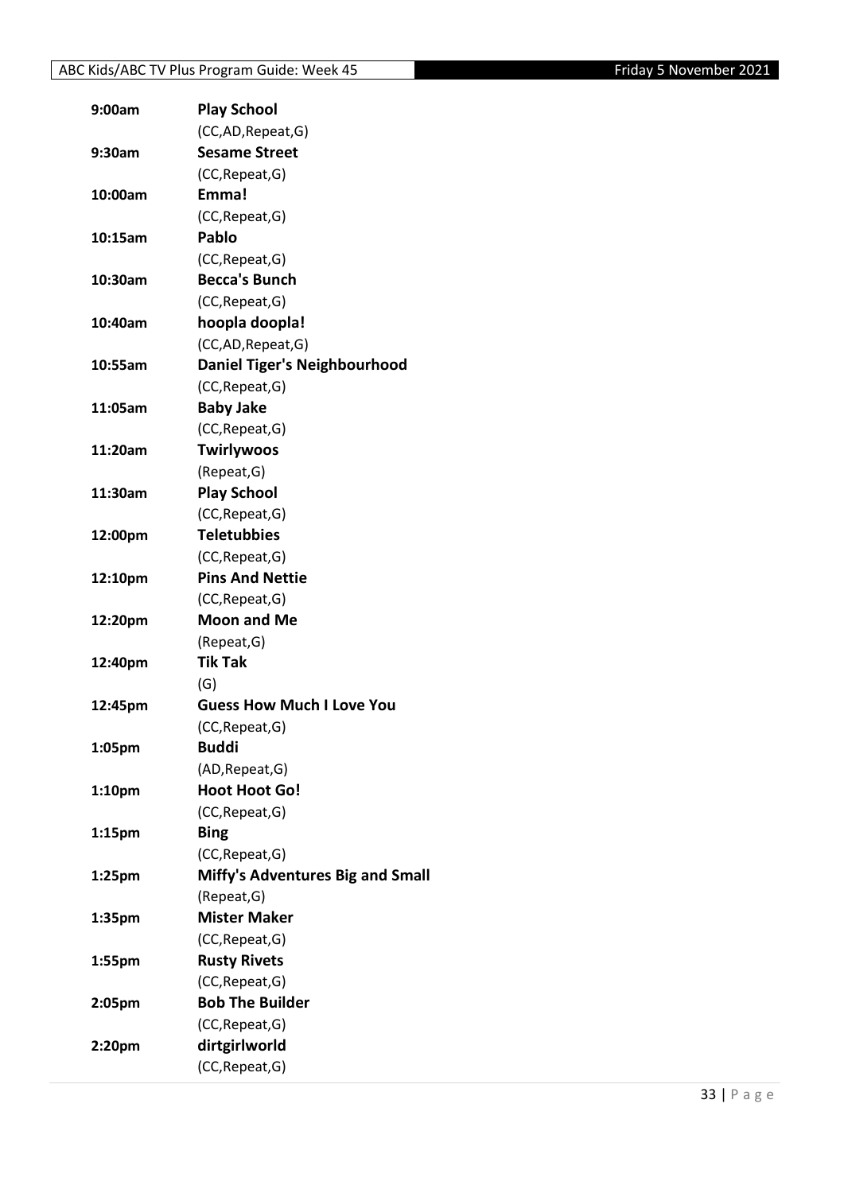| 9:00am             | <b>Play School</b>                      |
|--------------------|-----------------------------------------|
|                    | (CC,AD, Repeat, G)                      |
| 9:30am             | <b>Sesame Street</b>                    |
|                    | (CC, Repeat, G)                         |
| 10:00am            | Emma!                                   |
|                    | (CC, Repeat, G)                         |
| 10:15am            | Pablo                                   |
|                    | (CC, Repeat, G)                         |
| 10:30am            | <b>Becca's Bunch</b>                    |
|                    | (CC, Repeat, G)                         |
| 10:40am            | hoopla doopla!                          |
|                    | (CC,AD, Repeat, G)                      |
| 10:55am            | <b>Daniel Tiger's Neighbourhood</b>     |
|                    | (CC, Repeat, G)                         |
| 11:05am            | <b>Baby Jake</b>                        |
|                    | (CC, Repeat, G)                         |
| 11:20am            | <b>Twirlywoos</b>                       |
|                    | (Repeat, G)                             |
| 11:30am            | <b>Play School</b>                      |
|                    | (CC, Repeat, G)                         |
| 12:00pm            | <b>Teletubbies</b>                      |
|                    | (CC, Repeat, G)                         |
| 12:10pm            | <b>Pins And Nettie</b>                  |
|                    | (CC, Repeat, G)                         |
| 12:20pm            | <b>Moon and Me</b>                      |
|                    | (Repeat, G)                             |
| 12:40pm            | <b>Tik Tak</b>                          |
|                    | (G)                                     |
| 12:45pm            | <b>Guess How Much I Love You</b>        |
|                    | (CC, Repeat, G)                         |
| 1:05pm             | <b>Buddi</b>                            |
|                    | (AD, Repeat, G)                         |
| 1:10pm             | <b>Hoot Hoot Go!</b>                    |
|                    | (CC, Repeat, G)                         |
| 1:15pm             | <b>Bing</b>                             |
|                    | (CC, Repeat, G)                         |
| 1:25 <sub>pm</sub> | <b>Miffy's Adventures Big and Small</b> |
|                    | (Repeat, G)                             |
| 1:35pm             | <b>Mister Maker</b>                     |
|                    | (CC, Repeat, G)                         |
| 1:55pm             | <b>Rusty Rivets</b>                     |
|                    | (CC, Repeat, G)                         |
| 2:05pm             | <b>Bob The Builder</b>                  |
|                    | (CC, Repeat, G)                         |
| 2:20pm             | dirtgirlworld                           |
|                    | (CC, Repeat, G)                         |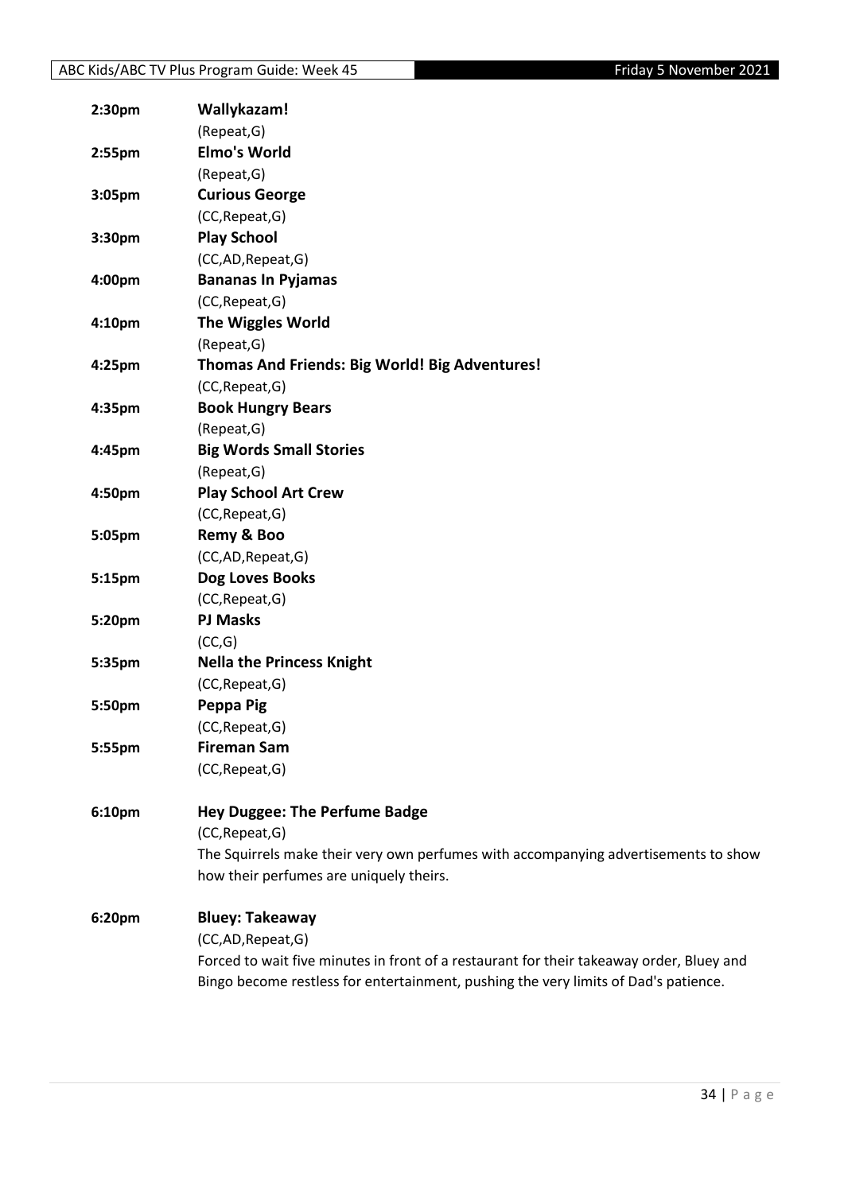| 2:30 <sub>pm</sub> | Wallykazam!                                                                                                                    |
|--------------------|--------------------------------------------------------------------------------------------------------------------------------|
|                    | (Repeat, G)                                                                                                                    |
| 2:55pm             | <b>Elmo's World</b>                                                                                                            |
|                    | (Repeat, G)                                                                                                                    |
| 3:05pm             | <b>Curious George</b>                                                                                                          |
|                    | (CC, Repeat, G)                                                                                                                |
| 3:30pm             | <b>Play School</b>                                                                                                             |
|                    | (CC,AD,Repeat,G)                                                                                                               |
| 4:00pm             | <b>Bananas In Pyjamas</b>                                                                                                      |
|                    | (CC, Repeat, G)                                                                                                                |
| 4:10pm             | <b>The Wiggles World</b>                                                                                                       |
|                    | (Repeat, G)                                                                                                                    |
| 4:25pm             | Thomas And Friends: Big World! Big Adventures!                                                                                 |
|                    | (CC, Repeat, G)                                                                                                                |
| 4:35pm             | <b>Book Hungry Bears</b>                                                                                                       |
|                    | (Repeat, G)                                                                                                                    |
| 4:45pm             | <b>Big Words Small Stories</b>                                                                                                 |
|                    | (Repeat, G)                                                                                                                    |
| 4:50pm             | <b>Play School Art Crew</b>                                                                                                    |
|                    | (CC, Repeat, G)                                                                                                                |
| 5:05pm             | Remy & Boo                                                                                                                     |
|                    | (CC,AD,Repeat,G)                                                                                                               |
| 5:15pm             | Dog Loves Books                                                                                                                |
|                    | (CC, Repeat, G)                                                                                                                |
| 5:20pm             | <b>PJ Masks</b>                                                                                                                |
|                    | (CC,G)                                                                                                                         |
| 5:35pm             | <b>Nella the Princess Knight</b>                                                                                               |
|                    | (CC, Repeat, G)                                                                                                                |
| 5:50pm             | Peppa Pig                                                                                                                      |
|                    | (CC, Repeat, G)                                                                                                                |
| 5:55pm             | <b>Fireman Sam</b>                                                                                                             |
|                    | (CC, Repeat, G)                                                                                                                |
|                    |                                                                                                                                |
| 6:10pm             | <b>Hey Duggee: The Perfume Badge</b>                                                                                           |
|                    | (CC, Repeat, G)                                                                                                                |
|                    | The Squirrels make their very own perfumes with accompanying advertisements to show<br>how their perfumes are uniquely theirs. |
|                    |                                                                                                                                |
| 6:20pm             | <b>Bluey: Takeaway</b>                                                                                                         |
|                    | (CC,AD,Repeat,G)                                                                                                               |
|                    | Forced to wait five minutes in front of a restaurant for their takeaway order, Bluey and                                       |
|                    | Bingo become restless for entertainment, pushing the very limits of Dad's patience.                                            |
|                    |                                                                                                                                |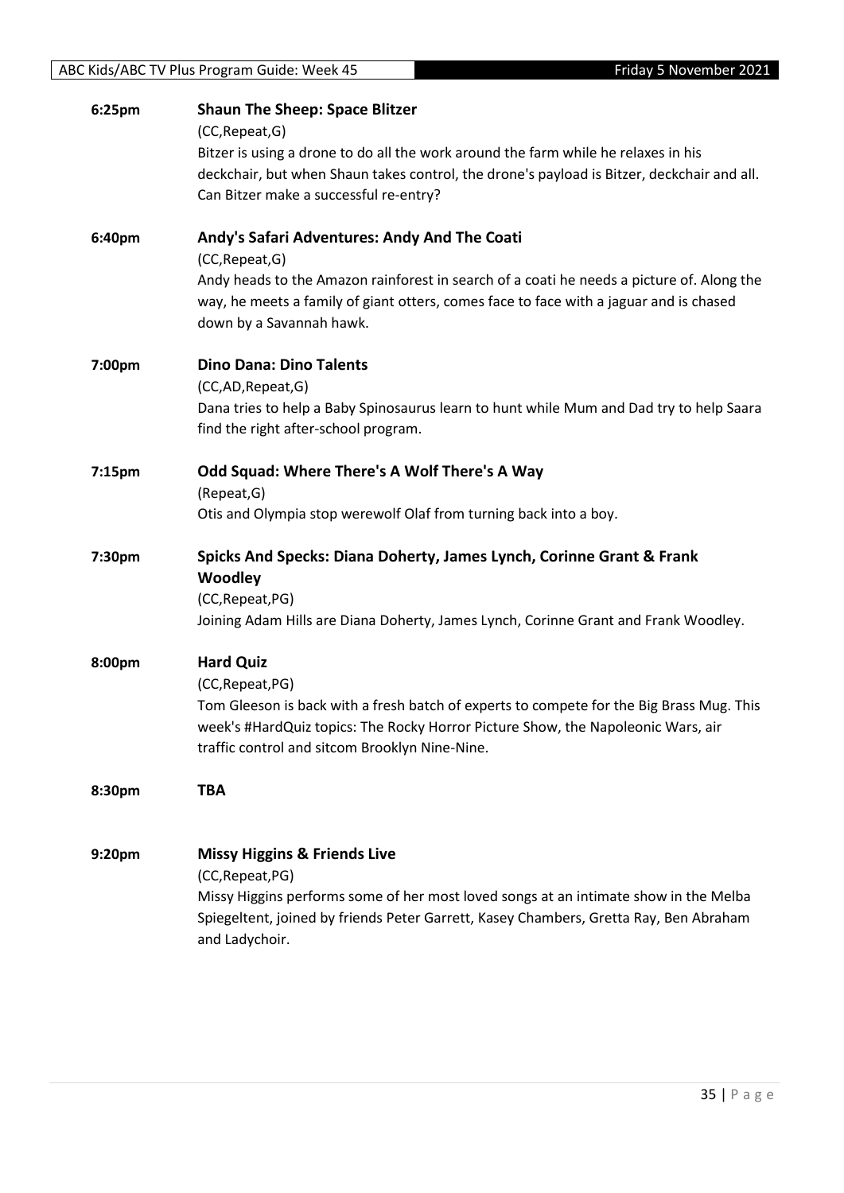| 6:25pm | <b>Shaun The Sheep: Space Blitzer</b>                                                                   |
|--------|---------------------------------------------------------------------------------------------------------|
|        | (CC, Repeat, G)                                                                                         |
|        | Bitzer is using a drone to do all the work around the farm while he relaxes in his                      |
|        | deckchair, but when Shaun takes control, the drone's payload is Bitzer, deckchair and all.              |
|        | Can Bitzer make a successful re-entry?                                                                  |
| 6:40pm | Andy's Safari Adventures: Andy And The Coati                                                            |
|        | (CC, Repeat, G)                                                                                         |
|        | Andy heads to the Amazon rainforest in search of a coati he needs a picture of. Along the               |
|        | way, he meets a family of giant otters, comes face to face with a jaguar and is chased                  |
|        | down by a Savannah hawk.                                                                                |
| 7:00pm | <b>Dino Dana: Dino Talents</b>                                                                          |
|        | (CC,AD,Repeat,G)                                                                                        |
|        | Dana tries to help a Baby Spinosaurus learn to hunt while Mum and Dad try to help Saara                 |
|        | find the right after-school program.                                                                    |
| 7:15pm | Odd Squad: Where There's A Wolf There's A Way                                                           |
|        | (Repeat, G)                                                                                             |
|        | Otis and Olympia stop werewolf Olaf from turning back into a boy.                                       |
|        |                                                                                                         |
| 7:30pm | Spicks And Specks: Diana Doherty, James Lynch, Corinne Grant & Frank                                    |
|        | <b>Woodley</b>                                                                                          |
|        | (CC, Repeat, PG)                                                                                        |
|        | Joining Adam Hills are Diana Doherty, James Lynch, Corinne Grant and Frank Woodley.                     |
|        |                                                                                                         |
| 8:00pm | <b>Hard Quiz</b>                                                                                        |
|        | (CC, Repeat, PG)                                                                                        |
|        | Tom Gleeson is back with a fresh batch of experts to compete for the Big Brass Mug. This                |
|        | week's #HardQuiz topics: The Rocky Horror Picture Show, the Napoleonic Wars, air                        |
|        | traffic control and sitcom Brooklyn Nine-Nine.                                                          |
| 8:30pm | <b>TBA</b>                                                                                              |
|        |                                                                                                         |
|        |                                                                                                         |
| 9:20pm | <b>Missy Higgins &amp; Friends Live</b>                                                                 |
|        | (CC, Repeat, PG)                                                                                        |
|        | Missy Higgins performs some of her most loved songs at an intimate show in the Melba                    |
|        | Spiegeltent, joined by friends Peter Garrett, Kasey Chambers, Gretta Ray, Ben Abraham<br>and Ladychoir. |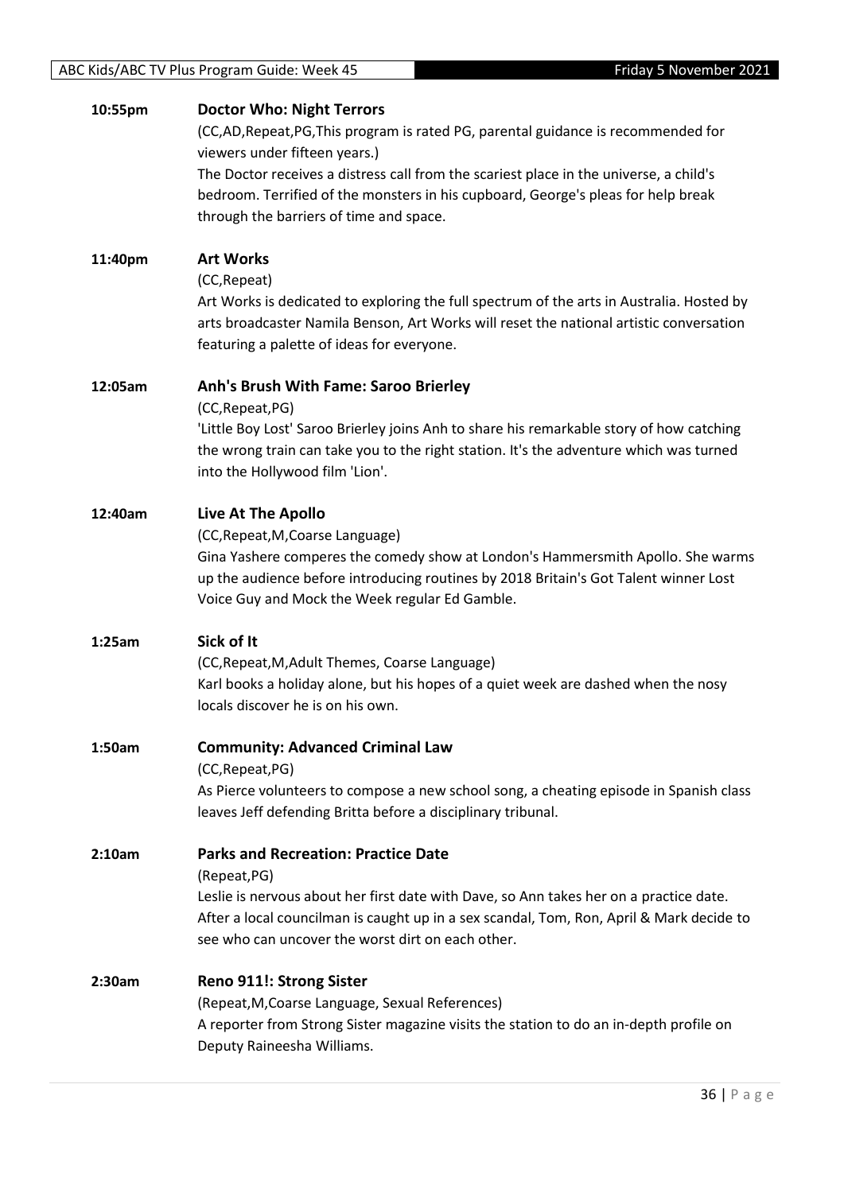## **10:55pm Doctor Who: Night Terrors** (CC,AD,Repeat,PG,This program is rated PG, parental guidance is recommended for viewers under fifteen years.) The Doctor receives a distress call from the scariest place in the universe, a child's bedroom. Terrified of the monsters in his cupboard, George's pleas for help break through the barriers of time and space. **11:40pm Art Works** (CC,Repeat) Art Works is dedicated to exploring the full spectrum of the arts in Australia. Hosted by arts broadcaster Namila Benson, Art Works will reset the national artistic conversation featuring a palette of ideas for everyone. **12:05am Anh's Brush With Fame: Saroo Brierley** (CC,Repeat,PG) 'Little Boy Lost' Saroo Brierley joins Anh to share his remarkable story of how catching the wrong train can take you to the right station. It's the adventure which was turned into the Hollywood film 'Lion'. **12:40am Live At The Apollo** (CC,Repeat,M,Coarse Language) Gina Yashere comperes the comedy show at London's Hammersmith Apollo. She warms up the audience before introducing routines by 2018 Britain's Got Talent winner Lost Voice Guy and Mock the Week regular Ed Gamble. **1:25am Sick of It** (CC,Repeat,M,Adult Themes, Coarse Language) Karl books a holiday alone, but his hopes of a quiet week are dashed when the nosy locals discover he is on his own. **1:50am Community: Advanced Criminal Law** (CC,Repeat,PG) As Pierce volunteers to compose a new school song, a cheating episode in Spanish class leaves Jeff defending Britta before a disciplinary tribunal. **2:10am Parks and Recreation: Practice Date** (Repeat,PG) Leslie is nervous about her first date with Dave, so Ann takes her on a practice date. After a local councilman is caught up in a sex scandal, Tom, Ron, April & Mark decide to see who can uncover the worst dirt on each other. **2:30am Reno 911!: Strong Sister** (Repeat,M,Coarse Language, Sexual References) A reporter from Strong Sister magazine visits the station to do an in-depth profile on Deputy Raineesha Williams.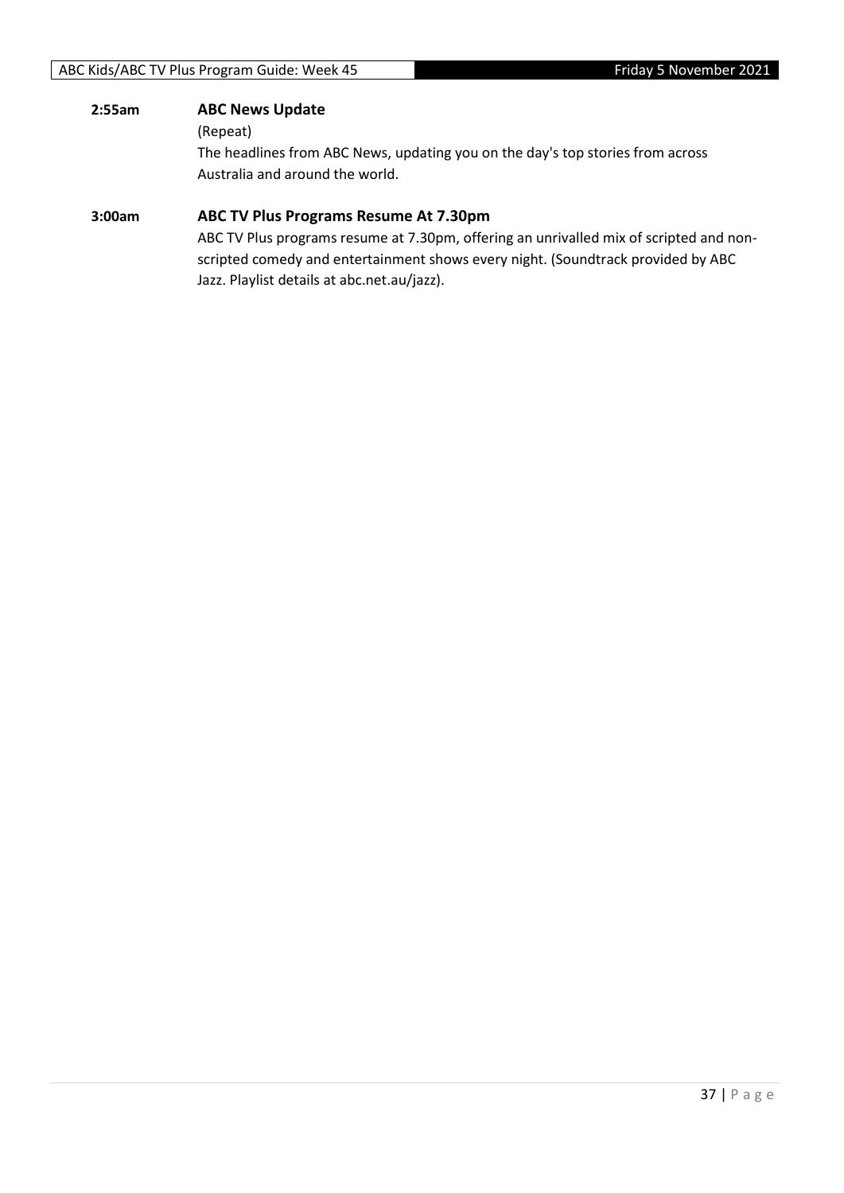### **2:55am ABC News Update**

(Repeat)

The headlines from ABC News, updating you on the day's top stories from across Australia and around the world.

#### **3:00am ABC TV Plus Programs Resume At 7.30pm**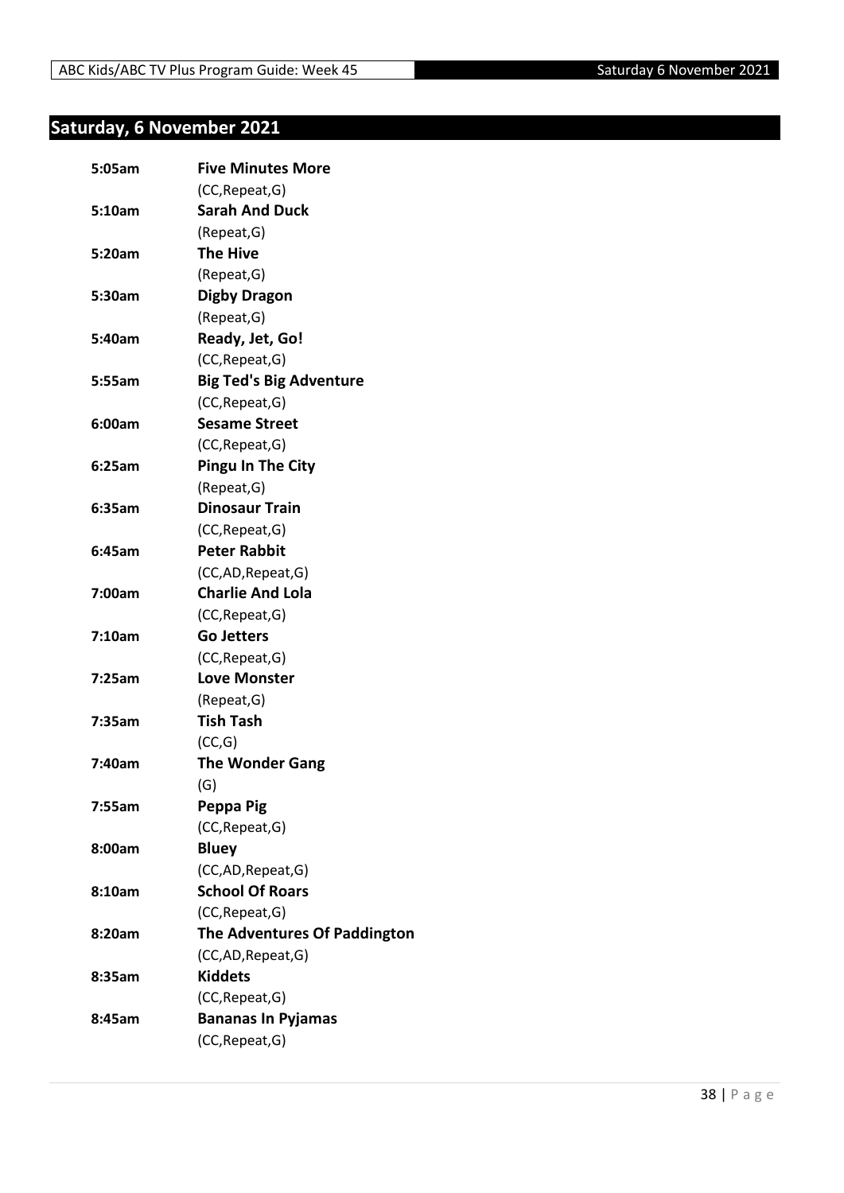## <span id="page-37-0"></span>**Saturday, 6 November 2021**

| 5:05am | <b>Five Minutes More</b>            |
|--------|-------------------------------------|
|        | (CC, Repeat, G)                     |
| 5:10am | <b>Sarah And Duck</b>               |
|        | (Repeat, G)                         |
| 5:20am | <b>The Hive</b>                     |
|        | (Repeat, G)                         |
| 5:30am | Digby Dragon                        |
|        | (Repeat, G)                         |
| 5:40am | Ready, Jet, Go!                     |
|        | (CC, Repeat, G)                     |
| 5:55am | <b>Big Ted's Big Adventure</b>      |
|        | (CC, Repeat, G)                     |
|        | <b>Sesame Street</b>                |
| 6:00am |                                     |
| 6:25am | (CC, Repeat, G)                     |
|        | <b>Pingu In The City</b>            |
|        | (Repeat, G)                         |
| 6:35am | <b>Dinosaur Train</b>               |
|        | (CC, Repeat, G)                     |
| 6:45am | <b>Peter Rabbit</b>                 |
|        | (CC,AD, Repeat, G)                  |
| 7:00am | <b>Charlie And Lola</b>             |
|        | (CC, Repeat, G)                     |
| 7:10am | <b>Go Jetters</b>                   |
|        | (CC, Repeat, G)                     |
| 7:25am | <b>Love Monster</b>                 |
|        | (Repeat, G)                         |
| 7:35am | <b>Tish Tash</b>                    |
|        | (CC,G)                              |
| 7:40am | <b>The Wonder Gang</b>              |
|        | (G)                                 |
| 7:55am | Peppa Pig                           |
|        | (CC, Repeat, G)                     |
| 8:00am | <b>Bluey</b>                        |
|        | (CC,AD, Repeat, G)                  |
| 8:10am | <b>School Of Roars</b>              |
|        | (CC, Repeat, G)                     |
| 8:20am | <b>The Adventures Of Paddington</b> |
|        | (CC,AD, Repeat, G)                  |
| 8:35am | <b>Kiddets</b>                      |
|        | (CC, Repeat, G)                     |
| 8:45am | <b>Bananas In Pyjamas</b>           |
|        | (CC, Repeat, G)                     |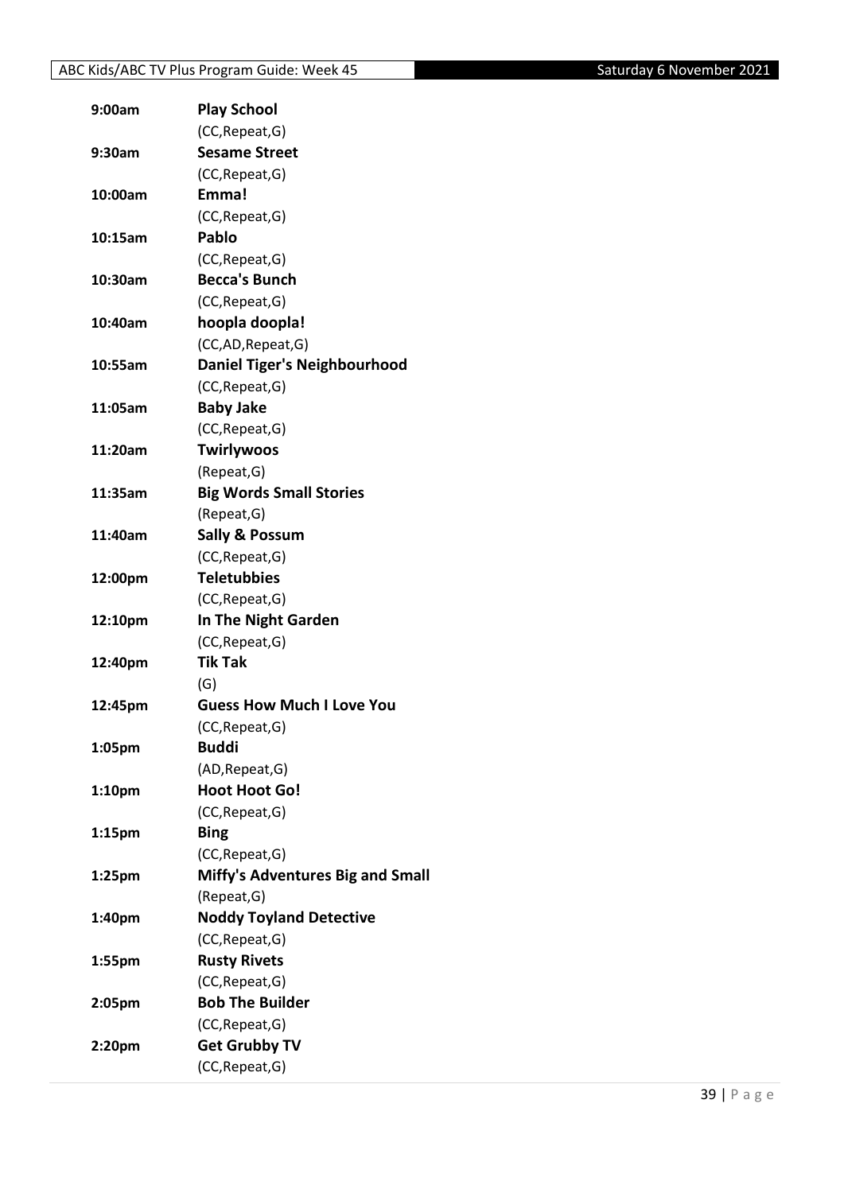| 9:00am             | <b>Play School</b>                      |
|--------------------|-----------------------------------------|
|                    | (CC, Repeat, G)                         |
| 9:30am             | <b>Sesame Street</b>                    |
|                    | (CC, Repeat, G)                         |
| 10:00am            | Emma!                                   |
|                    | (CC, Repeat, G)                         |
| 10:15am            | Pablo                                   |
|                    | (CC, Repeat, G)                         |
| 10:30am            | <b>Becca's Bunch</b>                    |
|                    | (CC, Repeat, G)                         |
| 10:40am            | hoopla doopla!                          |
|                    | (CC,AD,Repeat,G)                        |
| 10:55am            | <b>Daniel Tiger's Neighbourhood</b>     |
|                    | (CC, Repeat, G)                         |
| 11:05am            | <b>Baby Jake</b>                        |
|                    | (CC, Repeat, G)                         |
| 11:20am            | <b>Twirlywoos</b>                       |
|                    | (Repeat, G)                             |
| 11:35am            | <b>Big Words Small Stories</b>          |
|                    | (Repeat, G)                             |
| 11:40am            | <b>Sally &amp; Possum</b>               |
|                    | (CC, Repeat, G)                         |
| 12:00pm            | <b>Teletubbies</b>                      |
|                    | (CC, Repeat, G)                         |
| 12:10pm            | In The Night Garden                     |
|                    | (CC, Repeat, G)                         |
| 12:40pm            | <b>Tik Tak</b>                          |
|                    | (G)                                     |
| 12:45pm            | <b>Guess How Much I Love You</b>        |
|                    | (CC, Repeat, G)                         |
| 1:05pm             | <b>Buddi</b>                            |
|                    | (AD, Repeat, G)                         |
| 1:10pm             | <b>Hoot Hoot Go!</b>                    |
|                    | (CC, Repeat, G)                         |
|                    | <b>Bing</b>                             |
| 1:15pm             | (CC, Repeat, G)                         |
|                    | <b>Miffy's Adventures Big and Small</b> |
| 1:25 <sub>pm</sub> | (Repeat, G)                             |
|                    |                                         |
| 1:40pm             | <b>Noddy Toyland Detective</b>          |
|                    | (CC, Repeat, G)                         |
| 1:55pm             | <b>Rusty Rivets</b>                     |
|                    | (CC, Repeat, G)                         |
| 2:05pm             | <b>Bob The Builder</b>                  |
|                    | (CC, Repeat, G)                         |
| 2:20pm             | <b>Get Grubby TV</b>                    |
|                    | (CC, Repeat, G)                         |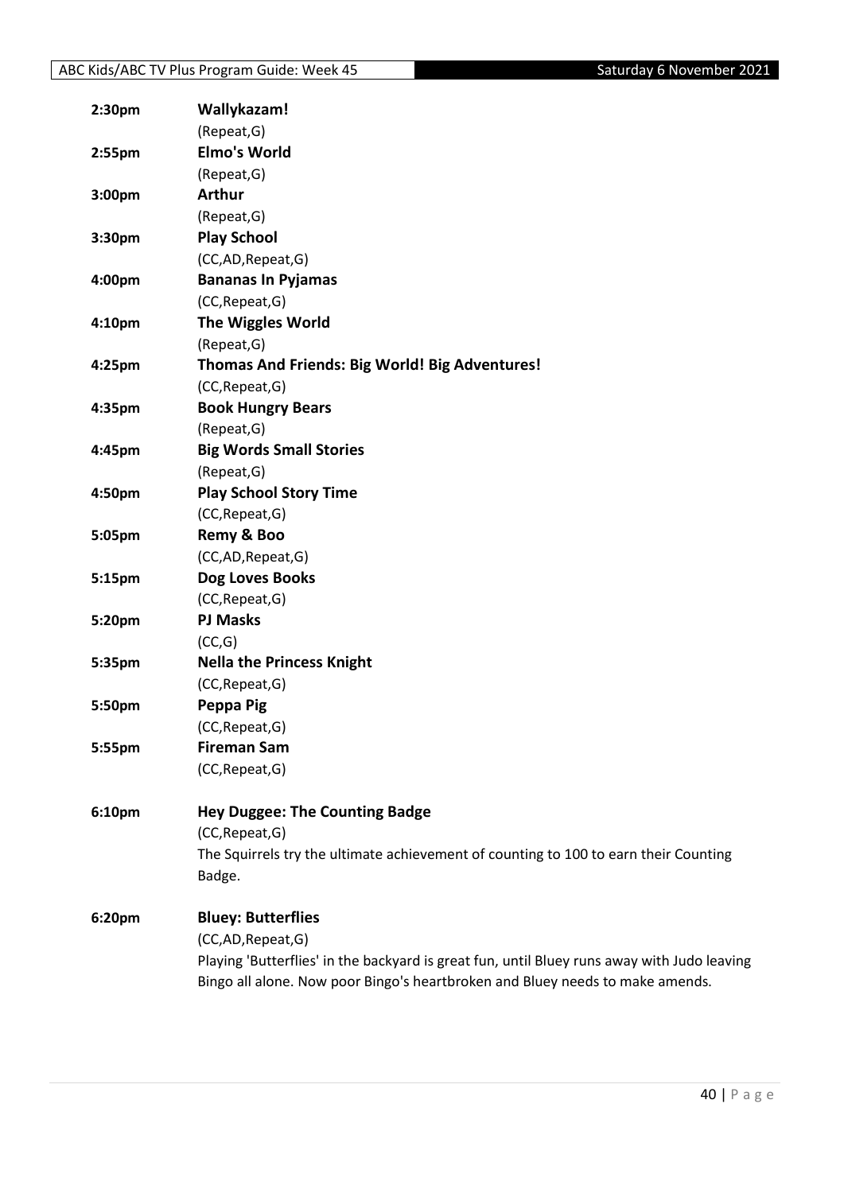| 2:30pm | Wallykazam!                                                                                             |
|--------|---------------------------------------------------------------------------------------------------------|
|        | (Repeat, G)                                                                                             |
| 2:55pm | <b>Elmo's World</b>                                                                                     |
|        | (Repeat, G)                                                                                             |
| 3:00pm | <b>Arthur</b>                                                                                           |
|        | (Repeat, G)                                                                                             |
| 3:30pm | <b>Play School</b>                                                                                      |
|        | (CC,AD,Repeat,G)                                                                                        |
| 4:00pm | <b>Bananas In Pyjamas</b>                                                                               |
|        | (CC, Repeat, G)                                                                                         |
| 4:10pm | <b>The Wiggles World</b>                                                                                |
|        | (Repeat, G)                                                                                             |
| 4:25pm | Thomas And Friends: Big World! Big Adventures!                                                          |
|        | (CC, Repeat, G)                                                                                         |
| 4:35pm | <b>Book Hungry Bears</b>                                                                                |
|        | (Repeat, G)                                                                                             |
| 4:45pm | <b>Big Words Small Stories</b>                                                                          |
|        | (Repeat, G)                                                                                             |
| 4:50pm | <b>Play School Story Time</b>                                                                           |
|        | (CC, Repeat, G)                                                                                         |
| 5:05pm | Remy & Boo                                                                                              |
|        | (CC,AD,Repeat,G)                                                                                        |
| 5:15pm | Dog Loves Books                                                                                         |
|        | (CC, Repeat, G)                                                                                         |
| 5:20pm | <b>PJ Masks</b>                                                                                         |
|        | (CC,G)                                                                                                  |
| 5:35pm | <b>Nella the Princess Knight</b>                                                                        |
|        | (CC, Repeat, G)                                                                                         |
| 5:50pm | Peppa Pig                                                                                               |
|        | (CC, Repeat, G)                                                                                         |
| 5:55pm | <b>Fireman Sam</b>                                                                                      |
|        | (CC, Repeat, G)                                                                                         |
|        |                                                                                                         |
| 6:10pm | <b>Hey Duggee: The Counting Badge</b>                                                                   |
|        | (CC, Repeat, G)<br>The Squirrels try the ultimate achievement of counting to 100 to earn their Counting |
|        | Badge.                                                                                                  |
|        |                                                                                                         |
| 6:20pm | <b>Bluey: Butterflies</b>                                                                               |
|        | (CC,AD,Repeat,G)                                                                                        |
|        | Playing 'Butterflies' in the backyard is great fun, until Bluey runs away with Judo leaving             |
|        | Bingo all alone. Now poor Bingo's heartbroken and Bluey needs to make amends.                           |
|        |                                                                                                         |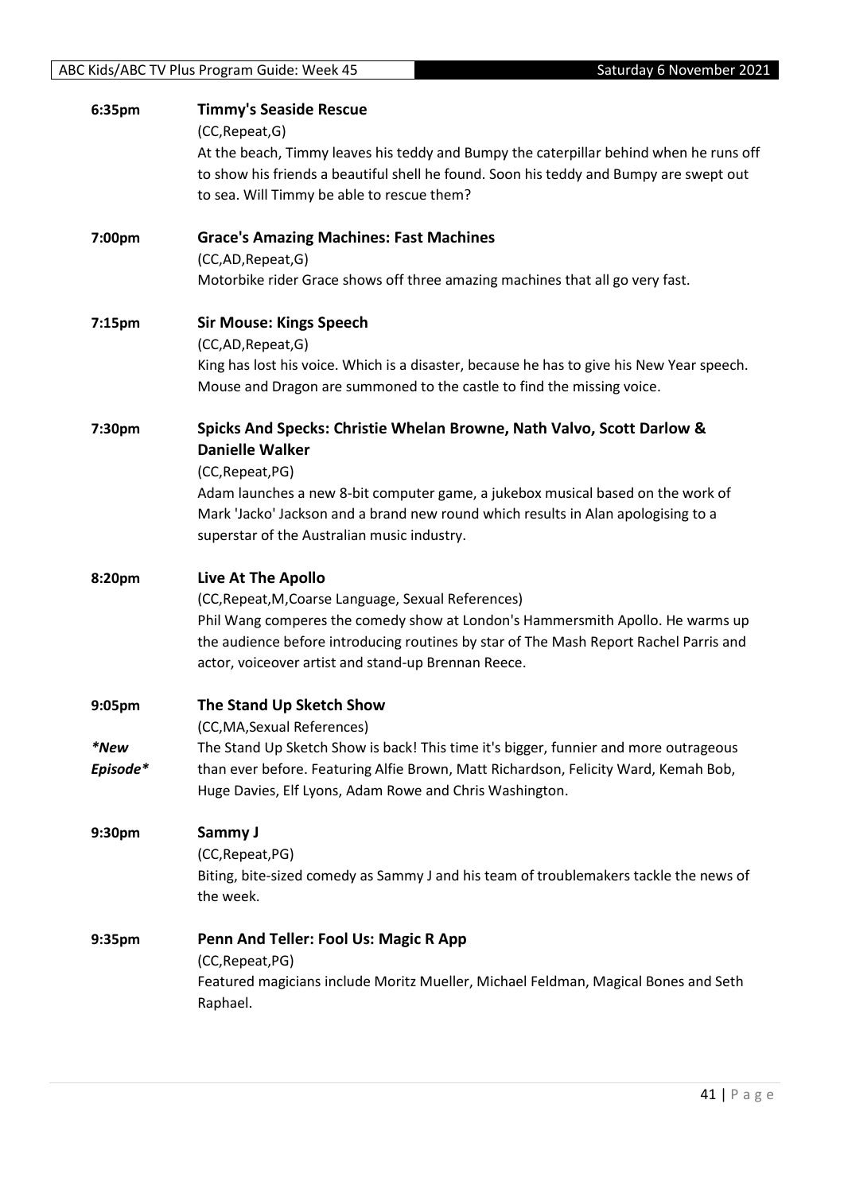| ABC Kids/ABC TV Plus Program Guide: Week 45 |  |
|---------------------------------------------|--|
|---------------------------------------------|--|

| 6:35pm             | <b>Timmy's Seaside Rescue</b><br>(CC, Repeat, G)<br>At the beach, Timmy leaves his teddy and Bumpy the caterpillar behind when he runs off<br>to show his friends a beautiful shell he found. Soon his teddy and Bumpy are swept out<br>to sea. Will Timmy be able to rescue them?                                                         |
|--------------------|--------------------------------------------------------------------------------------------------------------------------------------------------------------------------------------------------------------------------------------------------------------------------------------------------------------------------------------------|
| 7:00pm             | <b>Grace's Amazing Machines: Fast Machines</b><br>(CC,AD,Repeat,G)<br>Motorbike rider Grace shows off three amazing machines that all go very fast.                                                                                                                                                                                        |
| 7:15pm             | <b>Sir Mouse: Kings Speech</b><br>(CC,AD,Repeat,G)<br>King has lost his voice. Which is a disaster, because he has to give his New Year speech.<br>Mouse and Dragon are summoned to the castle to find the missing voice.                                                                                                                  |
| 7:30pm             | Spicks And Specks: Christie Whelan Browne, Nath Valvo, Scott Darlow &<br><b>Danielle Walker</b><br>(CC, Repeat, PG)<br>Adam launches a new 8-bit computer game, a jukebox musical based on the work of<br>Mark 'Jacko' Jackson and a brand new round which results in Alan apologising to a<br>superstar of the Australian music industry. |
| 8:20pm             | Live At The Apollo<br>(CC, Repeat, M, Coarse Language, Sexual References)<br>Phil Wang comperes the comedy show at London's Hammersmith Apollo. He warms up<br>the audience before introducing routines by star of The Mash Report Rachel Parris and<br>actor, voiceover artist and stand-up Brennan Reece.                                |
| 9:05pm<br>*New     | The Stand Up Sketch Show<br>(CC, MA, Sexual References)                                                                                                                                                                                                                                                                                    |
| Episode*           | The Stand Up Sketch Show is back! This time it's bigger, funnier and more outrageous<br>than ever before. Featuring Alfie Brown, Matt Richardson, Felicity Ward, Kemah Bob,<br>Huge Davies, Elf Lyons, Adam Rowe and Chris Washington.                                                                                                     |
| 9:30pm             | Sammy J<br>(CC, Repeat, PG)<br>Biting, bite-sized comedy as Sammy J and his team of troublemakers tackle the news of<br>the week.                                                                                                                                                                                                          |
| 9:35 <sub>pm</sub> | Penn And Teller: Fool Us: Magic R App<br>(CC, Repeat, PG)<br>Featured magicians include Moritz Mueller, Michael Feldman, Magical Bones and Seth<br>Raphael.                                                                                                                                                                                |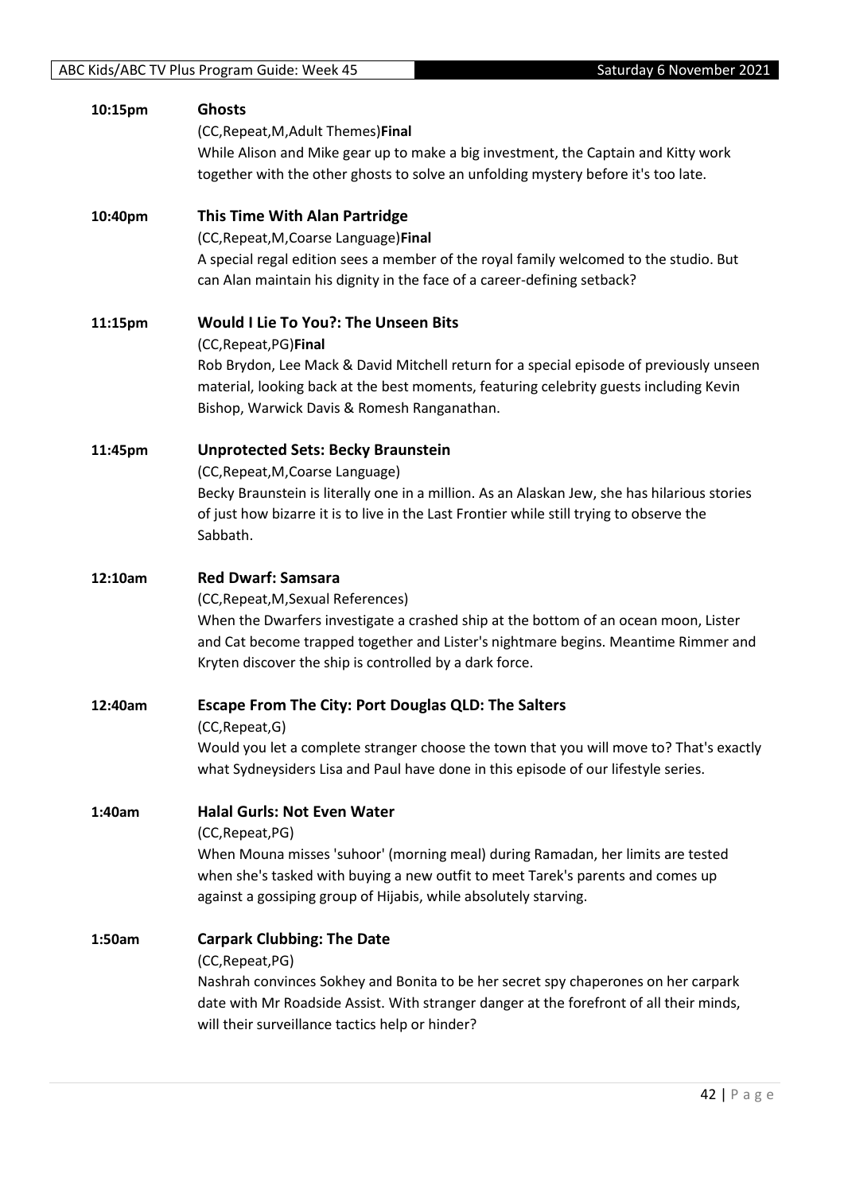| 10:15pm | <b>Ghosts</b><br>(CC, Repeat, M, Adult Themes) Final<br>While Alison and Mike gear up to make a big investment, the Captain and Kitty work<br>together with the other ghosts to solve an unfolding mystery before it's too late.                                                                          |
|---------|-----------------------------------------------------------------------------------------------------------------------------------------------------------------------------------------------------------------------------------------------------------------------------------------------------------|
| 10:40pm | <b>This Time With Alan Partridge</b><br>(CC, Repeat, M, Coarse Language) Final<br>A special regal edition sees a member of the royal family welcomed to the studio. But<br>can Alan maintain his dignity in the face of a career-defining setback?                                                        |
| 11:15pm | <b>Would I Lie To You?: The Unseen Bits</b><br>(CC, Repeat, PG) Final<br>Rob Brydon, Lee Mack & David Mitchell return for a special episode of previously unseen<br>material, looking back at the best moments, featuring celebrity guests including Kevin<br>Bishop, Warwick Davis & Romesh Ranganathan. |
| 11:45pm | <b>Unprotected Sets: Becky Braunstein</b><br>(CC, Repeat, M, Coarse Language)<br>Becky Braunstein is literally one in a million. As an Alaskan Jew, she has hilarious stories<br>of just how bizarre it is to live in the Last Frontier while still trying to observe the<br>Sabbath.                     |
| 12:10am | <b>Red Dwarf: Samsara</b><br>(CC, Repeat, M, Sexual References)<br>When the Dwarfers investigate a crashed ship at the bottom of an ocean moon, Lister<br>and Cat become trapped together and Lister's nightmare begins. Meantime Rimmer and<br>Kryten discover the ship is controlled by a dark force.   |
| 12:40am | <b>Escape From The City: Port Douglas QLD: The Salters</b><br>(CC, Repeat, G)<br>Would you let a complete stranger choose the town that you will move to? That's exactly<br>what Sydneysiders Lisa and Paul have done in this episode of our lifestyle series.                                            |
| 1:40am  | <b>Halal Gurls: Not Even Water</b><br>(CC, Repeat, PG)<br>When Mouna misses 'suhoor' (morning meal) during Ramadan, her limits are tested<br>when she's tasked with buying a new outfit to meet Tarek's parents and comes up<br>against a gossiping group of Hijabis, while absolutely starving.          |
| 1:50am  | <b>Carpark Clubbing: The Date</b><br>(CC, Repeat, PG)<br>Nashrah convinces Sokhey and Bonita to be her secret spy chaperones on her carpark<br>date with Mr Roadside Assist. With stranger danger at the forefront of all their minds,<br>will their surveillance tactics help or hinder?                 |